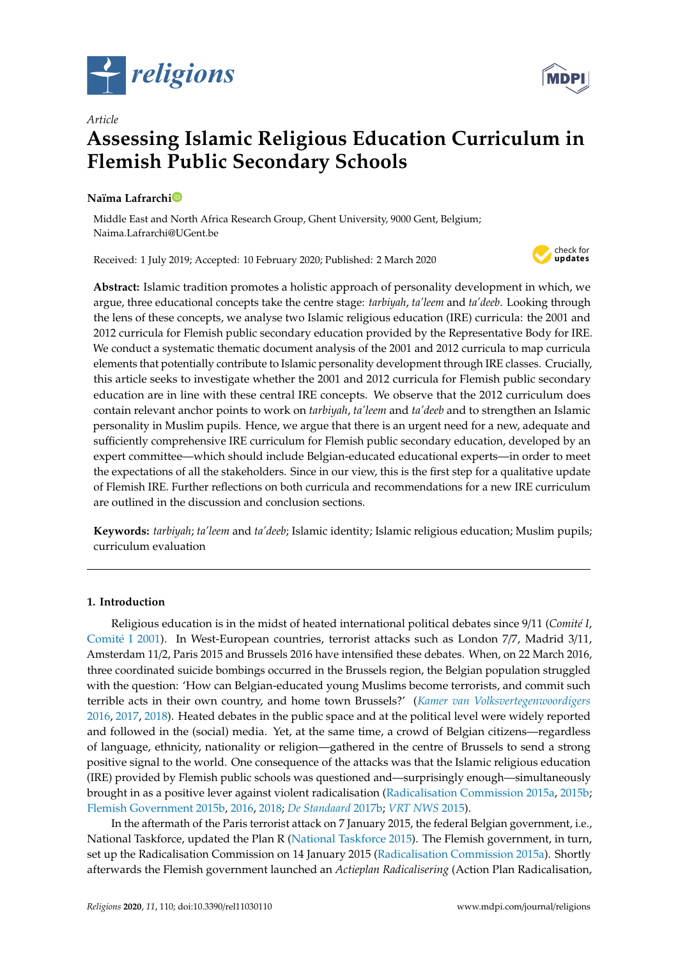



# **Assessing Islamic Religious Education Curriculum in Flemish Public Secondary Schools**

# **Naïma Lafrarch[i](https://orcid.org/0000-0003-0320-3754)**

*Article*

Middle East and North Africa Research Group, Ghent University, 9000 Gent, Belgium; Naima.Lafrarchi@UGent.be

Received: 1 July 2019; Accepted: 10 February 2020; Published: 2 March 2020



**Abstract:** Islamic tradition promotes a holistic approach of personality development in which, we argue, three educational concepts take the centre stage: *tarbiyah*, *ta'leem* and *ta'deeb*. Looking through the lens of these concepts, we analyse two Islamic religious education (IRE) curricula: the 2001 and 2012 curricula for Flemish public secondary education provided by the Representative Body for IRE. We conduct a systematic thematic document analysis of the 2001 and 2012 curricula to map curricula elements that potentially contribute to Islamic personality development through IRE classes. Crucially, this article seeks to investigate whether the 2001 and 2012 curricula for Flemish public secondary education are in line with these central IRE concepts. We observe that the 2012 curriculum does contain relevant anchor points to work on *tarbiyah*, *ta'leem* and *ta'deeb* and to strengthen an Islamic personality in Muslim pupils. Hence, we argue that there is an urgent need for a new, adequate and sufficiently comprehensive IRE curriculum for Flemish public secondary education, developed by an expert committee—which should include Belgian-educated educational experts—in order to meet the expectations of all the stakeholders. Since in our view, this is the first step for a qualitative update of Flemish IRE. Further reflections on both curricula and recommendations for a new IRE curriculum are outlined in the discussion and conclusion sections.

**Keywords:** *tarbiyah*; *ta'leem* and *ta'deeb*; Islamic identity; Islamic religious education; Muslim pupils; curriculum evaluation

# **1. Introduction**

Religious education is in the midst of heated international political debates since 9/11 (*Comité I*, [Comit](#page-18-0)é I [2001\)](#page-18-0). In West-European countries, terrorist attacks such as London 7/7, Madrid 3/11, Amsterdam 11/2, Paris 2015 and Brussels 2016 have intensified these debates. When, on 22 March 2016, three coordinated suicide bombings occurred in the Brussels region, the Belgian population struggled with the question: 'How can Belgian-educated young Muslims become terrorists, and commit such terrible acts in their own country, and home town Brussels?' (*[Kamer van Volksvertegenwoordigers](#page-22-0)* [2016,](#page-22-0) [2017,](#page-22-1) [2018\)](#page-22-2). Heated debates in the public space and at the political level were widely reported and followed in the (social) media. Yet, at the same time, a crowd of Belgian citizens—regardless of language, ethnicity, nationality or religion—gathered in the centre of Brussels to send a strong positive signal to the world. One consequence of the attacks was that the Islamic religious education (IRE) provided by Flemish public schools was questioned and—surprisingly enough—simultaneously brought in as a positive lever against violent radicalisation [\(Radicalisation Commission](#page-19-0) [2015a,](#page-19-0) [2015b;](#page-19-1) [Flemish Government](#page-26-0) [2015b,](#page-26-0) [2016,](#page-26-1) [2018;](#page-26-2) *[De Standaard](#page-20-0)* [2017b;](#page-20-0) *[VRT NWS](#page-27-0)* [2015\)](#page-27-0).

In the aftermath of the Paris terrorist attack on 7 January 2015, the federal Belgian government, i.e., National Taskforce, updated the Plan R [\(National Taskforce](#page-24-0) [2015\)](#page-24-0). The Flemish government, in turn, set up the Radicalisation Commission on 14 January 2015 [\(Radicalisation Commission](#page-19-0) [2015a\)](#page-19-0). Shortly afterwards the Flemish government launched an *Actieplan Radicalisering* (Action Plan Radicalisation,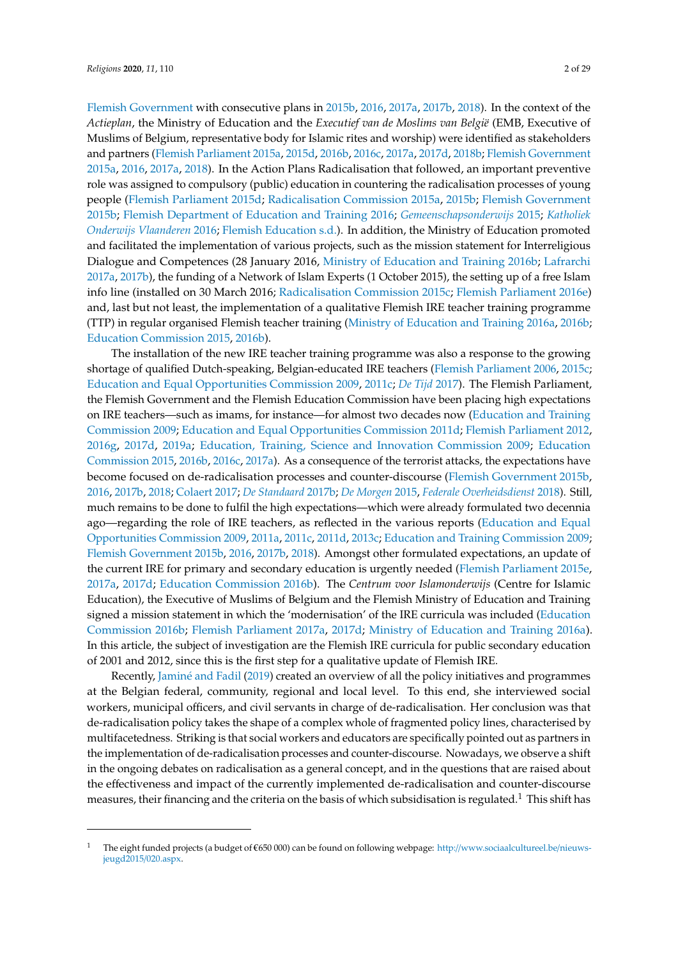[Flemish Government](#page-26-0) with consecutive plans in [2015b,](#page-26-0) [2016,](#page-26-1) [2017a,](#page-26-3) [2017b,](#page-26-4) [2018\)](#page-26-2). In the context of the *Actieplan*, the Ministry of Education and the *Executief van de Moslims van België* (EMB, Executive of Muslims of Belgium, representative body for Islamic rites and worship) were identified as stakeholders and partners [\(Flemish Parliament](#page-26-5) [2015a,](#page-26-5) [2015d,](#page-26-6) [2016b,](#page-27-1) [2016c,](#page-27-2) [2017a,](#page-27-3) [2017d,](#page-27-4) [2018b;](#page-27-5) [Flemish Government](#page-25-0) [2015a,](#page-25-0) [2016,](#page-26-1) [2017a,](#page-26-3) [2018\)](#page-26-2). In the Action Plans Radicalisation that followed, an important preventive role was assigned to compulsory (public) education in countering the radicalisation processes of young people [\(Flemish Parliament](#page-26-6) [2015d;](#page-26-6) [Radicalisation Commission](#page-19-0) [2015a,](#page-19-0) [2015b;](#page-19-1) [Flemish Government](#page-26-0) [2015b;](#page-26-0) [Flemish Department of Education and Training](#page-19-2) [2016;](#page-19-2) *[Gemeenschapsonderwijs](#page-21-0)* [2015;](#page-21-0) *[Katholiek](#page-22-3) [Onderwijs Vlaanderen](#page-22-3)* [2016;](#page-22-3) [Flemish Education](#page-24-1) [s.d.\)](#page-24-1). In addition, the Ministry of Education promoted and facilitated the implementation of various projects, such as the mission statement for Interreligious Dialogue and Competences (28 January 2016, [Ministry of Education and Training](#page-24-2) [2016b;](#page-24-2) [Lafrarchi](#page-23-0) [2017a,](#page-23-0) [2017b\)](#page-23-1), the funding of a Network of Islam Experts (1 October 2015), the setting up of a free Islam info line (installed on 30 March 2016; [Radicalisation Commission](#page-19-3) [2015c;](#page-19-3) [Flemish Parliament](#page-27-6) [2016e\)](#page-27-6) and, last but not least, the implementation of a qualitative Flemish IRE teacher training programme (TTP) in regular organised Flemish teacher training [\(Ministry of Education and Training](#page-24-3) [2016a,](#page-24-3) [2016b;](#page-24-2) [Education Commission](#page-18-1) [2015,](#page-18-1) [2016b\)](#page-18-2).

The installation of the new IRE teacher training programme was also a response to the growing shortage of qualified Dutch-speaking, Belgian-educated IRE teachers [\(Flemish Parliament](#page-26-7) [2006,](#page-26-7) [2015c;](#page-26-8) [Education and Equal Opportunities Commission](#page-18-3) [2009,](#page-18-3) [2011c;](#page-18-4) *[De Tijd](#page-20-1)* [2017\)](#page-20-1). The Flemish Parliament, the Flemish Government and the Flemish Education Commission have been placing high expectations on IRE teachers—such as imams, for instance—for almost two decades now [\(Education and Training](#page-18-5) [Commission](#page-18-5) [2009;](#page-18-5) [Education and Equal Opportunities Commission](#page-18-6) [2011d;](#page-18-6) [Flemish Parliament](#page-26-9) [2012,](#page-26-9) [2016g,](#page-27-7) [2017d,](#page-27-4) [2019a;](#page-27-8) [Education, Training, Science and Innovation Commission](#page-19-4) [2009;](#page-19-4) [Education](#page-18-1) [Commission](#page-18-1) [2015,](#page-18-1) [2016b,](#page-18-2) [2016c,](#page-18-7) [2017a\)](#page-18-8). As a consequence of the terrorist attacks, the expectations have become focused on de-radicalisation processes and counter-discourse [\(Flemish Government](#page-26-0) [2015b,](#page-26-0) [2016,](#page-26-1) [2017b,](#page-26-4) [2018;](#page-26-2) [Colaert](#page-18-9) [2017;](#page-18-9) *[De Standaard](#page-20-0)* [2017b;](#page-20-0) *[De Morgen](#page-19-5)* [2015,](#page-19-5) *[Federale Overheidsdienst](#page-21-1)* [2018\)](#page-21-1). Still, much remains to be done to fulfil the high expectations—which were already formulated two decennia ago—regarding the role of IRE teachers, as reflected in the various reports [\(Education and Equal](#page-18-3) [Opportunities Commission](#page-18-3) [2009,](#page-18-3) [2011a,](#page-18-10) [2011c,](#page-18-4) [2011d,](#page-18-6) [2013c;](#page-18-11) [Education and Training Commission](#page-18-5) [2009;](#page-18-5) [Flemish Government](#page-26-0) [2015b,](#page-26-0) [2016,](#page-26-1) [2017b,](#page-26-4) [2018\)](#page-26-2). Amongst other formulated expectations, an update of the current IRE for primary and secondary education is urgently needed [\(Flemish Parliament](#page-26-10) [2015e,](#page-26-10) [2017a,](#page-27-3) [2017d;](#page-27-4) [Education Commission](#page-18-2) [2016b\)](#page-18-2). The *Centrum voor Islamonderwijs* (Centre for Islamic Education), the Executive of Muslims of Belgium and the Flemish Ministry of Education and Training signed a mission statement in which the 'modernisation' of the IRE curricula was included [\(Education](#page-18-2) [Commission](#page-18-2) [2016b;](#page-18-2) [Flemish Parliament](#page-27-3) [2017a,](#page-27-3) [2017d;](#page-27-4) [Ministry of Education and Training](#page-24-3) [2016a\)](#page-24-3). In this article, the subject of investigation are the Flemish IRE curricula for public secondary education of 2001 and 2012, since this is the first step for a qualitative update of Flemish IRE.

Recently, Jaminé [and Fadil](#page-22-4) [\(2019\)](#page-22-4) created an overview of all the policy initiatives and programmes at the Belgian federal, community, regional and local level. To this end, she interviewed social workers, municipal officers, and civil servants in charge of de-radicalisation. Her conclusion was that de-radicalisation policy takes the shape of a complex whole of fragmented policy lines, characterised by multifacetedness. Striking is that social workers and educators are specifically pointed out as partners in the implementation of de-radicalisation processes and counter-discourse. Nowadays, we observe a shift in the ongoing debates on radicalisation as a general concept, and in the questions that are raised about the effectiveness and impact of the currently implemented de-radicalisation and counter-discourse measures, their financing and the criteria on the basis of which subsidisation is regulated.<sup>1</sup> This shift has

<sup>1</sup> The eight funded projects (a budget of €650 000) can be found on following webpage: http://[www.sociaalcultureel.be](http://www.sociaalcultureel.be/nieuws-jeugd2015/020.aspx)/nieuws[jeugd2015](http://www.sociaalcultureel.be/nieuws-jeugd2015/020.aspx)/020.aspx.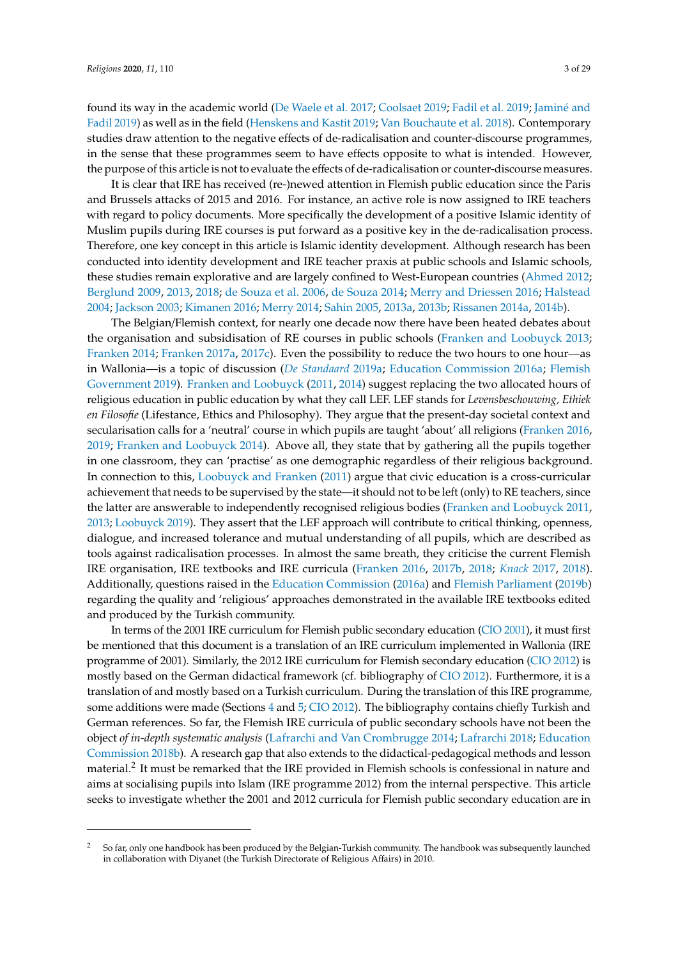found its way in the academic world [\(De Waele et al.](#page-20-2) [2017;](#page-20-2) [Coolsaet](#page-19-6) [2019;](#page-19-6) [Fadil et al.](#page-21-2) [2019;](#page-21-2) [Jamin](#page-22-4)é and [Fadil](#page-22-4) [2019\)](#page-22-4) as well as in the field [\(Henskens and Kastit](#page-21-3) [2019;](#page-21-3) [Van Bouchaute et al.](#page-25-1) [2018\)](#page-25-1). Contemporary studies draw attention to the negative effects of de-radicalisation and counter-discourse programmes, in the sense that these programmes seem to have effects opposite to what is intended. However, the purpose of this article is not to evaluate the effects of de-radicalisation or counter-discourse measures.

It is clear that IRE has received (re-)newed attention in Flemish public education since the Paris and Brussels attacks of 2015 and 2016. For instance, an active role is now assigned to IRE teachers with regard to policy documents. More specifically the development of a positive Islamic identity of Muslim pupils during IRE courses is put forward as a positive key in the de-radicalisation process. Therefore, one key concept in this article is Islamic identity development. Although research has been conducted into identity development and IRE teacher praxis at public schools and Islamic schools, these studies remain explorative and are largely confined to West-European countries [\(Ahmed](#page-17-0) [2012;](#page-17-0) [Berglund](#page-17-1) [2009,](#page-17-1) [2013,](#page-17-2) [2018;](#page-17-3) [de Souza et al.](#page-20-3) [2006,](#page-20-3) [de Souza](#page-20-4) [2014;](#page-20-4) [Merry and Driessen](#page-23-2) [2016;](#page-23-2) [Halstead](#page-21-4) [2004;](#page-21-4) [Jackson](#page-21-5) [2003;](#page-21-5) [Kimanen](#page-22-5) [2016;](#page-22-5) [Merry](#page-23-3) [2014;](#page-23-3) [Sahin](#page-24-4) [2005,](#page-24-4) [2013a,](#page-24-5) [2013b;](#page-24-6) [Rissanen](#page-24-7) [2014a,](#page-24-7) [2014b\)](#page-24-8).

The Belgian/Flemish context, for nearly one decade now there have been heated debates about the organisation and subsidisation of RE courses in public schools [\(Franken and Loobuyck](#page-21-6) [2013;](#page-21-6) [Franken](#page-21-7) [2014;](#page-21-7) [Franken](#page-21-8) [2017a,](#page-21-8) [2017c\)](#page-21-9). Even the possibility to reduce the two hours to one hour—as in Wallonia—is a topic of discussion (*[De Standaard](#page-20-5)* [2019a;](#page-20-5) [Education Commission](#page-18-12) [2016a;](#page-18-12) [Flemish](#page-26-11) [Government](#page-26-11) [2019\)](#page-26-11). [Franken and Loobuyck](#page-21-10) [\(2011,](#page-21-10) [2014\)](#page-21-11) suggest replacing the two allocated hours of religious education in public education by what they call LEF. LEF stands for *Levensbeschouwing, Ethiek en Filosofie* (Lifestance, Ethics and Philosophy). They argue that the present-day societal context and secularisation calls for a 'neutral' course in which pupils are taught 'about' all religions [\(Franken](#page-21-12) [2016,](#page-21-12) [2019;](#page-21-13) [Franken and Loobuyck](#page-21-11) [2014\)](#page-21-11). Above all, they state that by gathering all the pupils together in one classroom, they can 'practise' as one demographic regardless of their religious background. In connection to this, [Loobuyck and Franken](#page-23-4) [\(2011\)](#page-23-4) argue that civic education is a cross-curricular achievement that needs to be supervised by the state—it should not to be left (only) to RE teachers, since the latter are answerable to independently recognised religious bodies [\(Franken and Loobuyck](#page-21-10) [2011,](#page-21-10) [2013;](#page-21-6) [Loobuyck](#page-23-5) [2019\)](#page-23-5). They assert that the LEF approach will contribute to critical thinking, openness, dialogue, and increased tolerance and mutual understanding of all pupils, which are described as tools against radicalisation processes. In almost the same breath, they criticise the current Flemish IRE organisation, IRE textbooks and IRE curricula [\(Franken](#page-21-12) [2016,](#page-21-12) [2017b,](#page-21-14) [2018;](#page-21-15) *[Knack](#page-23-6)* [2017,](#page-23-6) [2018\)](#page-23-7). Additionally, questions raised in the [Education Commission](#page-18-12) [\(2016a\)](#page-18-12) and [Flemish Parliament](#page-27-9) [\(2019b\)](#page-27-9) regarding the quality and 'religious' approaches demonstrated in the available IRE textbooks edited and produced by the Turkish community.

In terms of the 2001 IRE curriculum for Flemish public secondary education [\(CIO](#page-17-4) [2001\)](#page-17-4), it must first be mentioned that this document is a translation of an IRE curriculum implemented in Wallonia (IRE programme of 2001). Similarly, the 2012 IRE curriculum for Flemish secondary education [\(CIO](#page-18-13) [2012\)](#page-18-13) is mostly based on the German didactical framework (cf. bibliography of [CIO](#page-18-13) [2012\)](#page-18-13). Furthermore, it is a translation of and mostly based on a Turkish curriculum. During the translation of this IRE programme, some additions were made (Sections [4](#page-5-0) and [5;](#page-8-0) [CIO](#page-18-13) [2012\)](#page-18-13). The bibliography contains chiefly Turkish and German references. So far, the Flemish IRE curricula of public secondary schools have not been the object *of in-depth systematic analysis* [\(Lafrarchi and Van Crombrugge](#page-23-8) [2014;](#page-23-8) [Lafrarchi](#page-23-9) [2018;](#page-23-9) [Education](#page-19-7) [Commission](#page-19-7) [2018b\)](#page-19-7). A research gap that also extends to the didactical-pedagogical methods and lesson material.<sup>2</sup> It must be remarked that the IRE provided in Flemish schools is confessional in nature and aims at socialising pupils into Islam (IRE programme 2012) from the internal perspective. This article seeks to investigate whether the 2001 and 2012 curricula for Flemish public secondary education are in

<sup>2</sup> So far, only one handbook has been produced by the Belgian-Turkish community. The handbook was subsequently launched in collaboration with Diyanet (the Turkish Directorate of Religious Affairs) in 2010.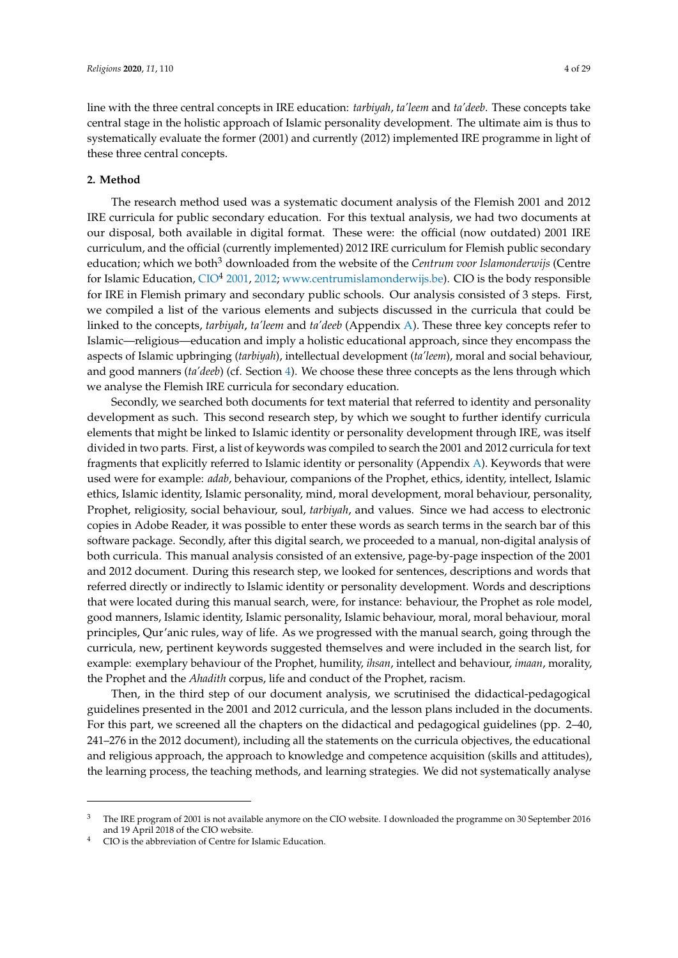line with the three central concepts in IRE education: *tarbiyah*, *ta'leem* and *ta'deeb*. These concepts take central stage in the holistic approach of Islamic personality development. The ultimate aim is thus to systematically evaluate the former (2001) and currently (2012) implemented IRE programme in light of these three central concepts.

# **2. Method**

The research method used was a systematic document analysis of the Flemish 2001 and 2012 IRE curricula for public secondary education. For this textual analysis, we had two documents at our disposal, both available in digital format. These were: the official (now outdated) 2001 IRE curriculum, and the official (currently implemented) 2012 IRE curriculum for Flemish public secondary education; which we both<sup>3</sup> downloaded from the website of the *Centrum voor Islamonderwijs* (Centre for Islamic Education, [CIO](#page-17-4)<sup>4</sup> [2001,](#page-17-4) [2012;](#page-18-13) [www.centrumislamonderwijs.be\)](www.centrumislamonderwijs.be). CIO is the body responsible for IRE in Flemish primary and secondary public schools. Our analysis consisted of 3 steps. First, we compiled a list of the various elements and subjects discussed in the curricula that could be linked to the concepts, *tarbiyah*, *ta'leem* and *ta'deeb* (Appendix [A\)](#page-17-5). These three key concepts refer to Islamic—religious—education and imply a holistic educational approach, since they encompass the aspects of Islamic upbringing (*tarbiyah*), intellectual development (*ta'leem*), moral and social behaviour, and good manners (*ta'deeb*) (cf. Section [4\)](#page-5-0). We choose these three concepts as the lens through which we analyse the Flemish IRE curricula for secondary education.

Secondly, we searched both documents for text material that referred to identity and personality development as such. This second research step, by which we sought to further identify curricula elements that might be linked to Islamic identity or personality development through IRE, was itself divided in two parts. First, a list of keywords was compiled to search the 2001 and 2012 curricula for text fragments that explicitly referred to Islamic identity or personality (Appendix [A\)](#page-17-5). Keywords that were used were for example: *adab*, behaviour, companions of the Prophet, ethics, identity, intellect, Islamic ethics, Islamic identity, Islamic personality, mind, moral development, moral behaviour, personality, Prophet, religiosity, social behaviour, soul, *tarbiyah*, and values. Since we had access to electronic copies in Adobe Reader, it was possible to enter these words as search terms in the search bar of this software package. Secondly, after this digital search, we proceeded to a manual, non-digital analysis of both curricula. This manual analysis consisted of an extensive, page-by-page inspection of the 2001 and 2012 document. During this research step, we looked for sentences, descriptions and words that referred directly or indirectly to Islamic identity or personality development. Words and descriptions that were located during this manual search, were, for instance: behaviour, the Prophet as role model, good manners, Islamic identity, Islamic personality, Islamic behaviour, moral, moral behaviour, moral principles, Qur'anic rules, way of life. As we progressed with the manual search, going through the curricula, new, pertinent keywords suggested themselves and were included in the search list, for example: exemplary behaviour of the Prophet, humility, *ihsan*, intellect and behaviour, *imaan*, morality, the Prophet and the *Ahadith* corpus, life and conduct of the Prophet, racism.

Then, in the third step of our document analysis, we scrutinised the didactical-pedagogical guidelines presented in the 2001 and 2012 curricula, and the lesson plans included in the documents. For this part, we screened all the chapters on the didactical and pedagogical guidelines (pp. 2–40, 241–276 in the 2012 document), including all the statements on the curricula objectives, the educational and religious approach, the approach to knowledge and competence acquisition (skills and attitudes), the learning process, the teaching methods, and learning strategies. We did not systematically analyse

<sup>3</sup> The IRE program of 2001 is not available anymore on the CIO website. I downloaded the programme on 30 September 2016 and 19 April 2018 of the CIO website.

<sup>4</sup> CIO is the abbreviation of Centre for Islamic Education.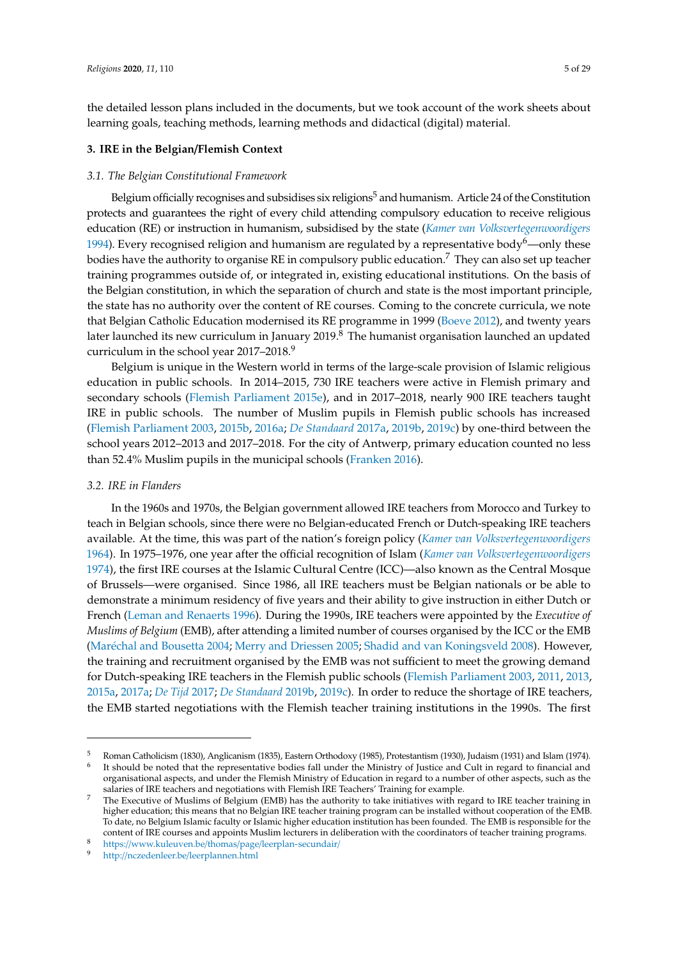the detailed lesson plans included in the documents, but we took account of the work sheets about learning goals, teaching methods, learning methods and didactical (digital) material.

#### **3. IRE in the Belgian**/**Flemish Context**

#### *3.1. The Belgian Constitutional Framework*

Belgium officially recognises and subsidises six religions<sup>5</sup> and humanism. Article 24 of the Constitution protects and guarantees the right of every child attending compulsory education to receive religious education (RE) or instruction in humanism, subsidised by the state (*[Kamer van Volksvertegenwoordigers](#page-22-6)* [1994\)](#page-22-6). Every recognised religion and humanism are regulated by a representative body<sup>6</sup>—only these bodies have the authority to organise RE in compulsory public education.<sup>7</sup> They can also set up teacher training programmes outside of, or integrated in, existing educational institutions. On the basis of the Belgian constitution, in which the separation of church and state is the most important principle, the state has no authority over the content of RE courses. Coming to the concrete curricula, we note that Belgian Catholic Education modernised its RE programme in 1999 [\(Boeve](#page-17-6) [2012\)](#page-17-6), and twenty years later launched its new curriculum in January 2019.<sup>8</sup> The humanist organisation launched an updated curriculum in the school year 2017–2018.<sup>9</sup>

Belgium is unique in the Western world in terms of the large-scale provision of Islamic religious education in public schools. In 2014–2015, 730 IRE teachers were active in Flemish primary and secondary schools [\(Flemish Parliament](#page-26-10) [2015e\)](#page-26-10), and in 2017–2018, nearly 900 IRE teachers taught IRE in public schools. The number of Muslim pupils in Flemish public schools has increased [\(Flemish Parliament](#page-26-12) [2003,](#page-26-12) [2015b,](#page-26-13) [2016a;](#page-26-14) *[De Standaard](#page-20-6)* [2017a,](#page-20-6) [2019b,](#page-20-7) [2019c\)](#page-20-8) by one-third between the school years 2012–2013 and 2017–2018. For the city of Antwerp, primary education counted no less than 52.4% Muslim pupils in the municipal schools [\(Franken](#page-21-12) [2016\)](#page-21-12).

#### <span id="page-4-0"></span>*3.2. IRE in Flanders*

In the 1960s and 1970s, the Belgian government allowed IRE teachers from Morocco and Turkey to teach in Belgian schools, since there were no Belgian-educated French or Dutch-speaking IRE teachers available. At the time, this was part of the nation's foreign policy (*[Kamer van Volksvertegenwoordigers](#page-22-7)* [1964\)](#page-22-7). In 1975–1976, one year after the official recognition of Islam (*[Kamer van Volksvertegenwoordigers](#page-22-8)* [1974\)](#page-22-8), the first IRE courses at the Islamic Cultural Centre (ICC)—also known as the Central Mosque of Brussels—were organised. Since 1986, all IRE teachers must be Belgian nationals or be able to demonstrate a minimum residency of five years and their ability to give instruction in either Dutch or French [\(Leman and Renaerts](#page-23-10) [1996\)](#page-23-10). During the 1990s, IRE teachers were appointed by the *Executive of Muslims of Belgium* (EMB), after attending a limited number of courses organised by the ICC or the EMB (Maré[chal and Bousetta](#page-23-11) [2004;](#page-23-11) [Merry and Driessen](#page-23-12) [2005;](#page-23-12) [Shadid and van Koningsveld](#page-25-2) [2008\)](#page-25-2). However, the training and recruitment organised by the EMB was not sufficient to meet the growing demand for Dutch-speaking IRE teachers in the Flemish public schools [\(Flemish Parliament](#page-26-12) [2003,](#page-26-12) [2011,](#page-26-15) [2013,](#page-26-16) [2015a,](#page-26-5) [2017a;](#page-27-3) *[De Tijd](#page-20-1)* [2017;](#page-20-1) *[De Standaard](#page-20-7)* [2019b,](#page-20-7) [2019c\)](#page-20-8). In order to reduce the shortage of IRE teachers, the EMB started negotiations with the Flemish teacher training institutions in the 1990s. The first

<sup>5</sup> Roman Catholicism (1830), Anglicanism (1835), Eastern Orthodoxy (1985), Protestantism (1930), Judaism (1931) and Islam (1974). 6 It should be noted that the representative bodies fall under the Ministry of Justice and Cult in regard to financial and organisational aspects, and under the Flemish Ministry of Education in regard to a number of other aspects, such as the salaries of IRE teachers and negotiations with Flemish IRE Teachers' Training for example.

<sup>7</sup> The Executive of Muslims of Belgium (EMB) has the authority to take initiatives with regard to IRE teacher training in higher education; this means that no Belgian IRE teacher training program can be installed without cooperation of the EMB. To date, no Belgium Islamic faculty or Islamic higher education institution has been founded. The EMB is responsible for the content of IRE courses and appoints Muslim lecturers in deliberation with the coordinators of teacher training programs.

https://www.kuleuven.be/thomas/page/[leerplan-secundair](https://www.kuleuven.be/thomas/page/leerplan-secundair/)/

<sup>9</sup> http://nczedenleer.be/[leerplannen.html](http://nczedenleer.be/leerplannen.html)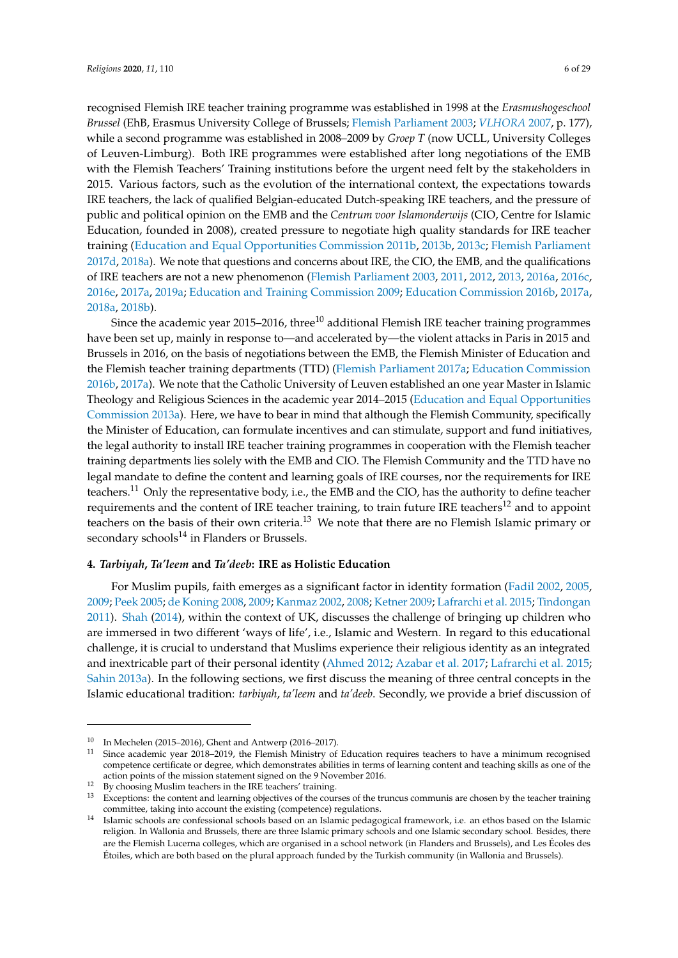recognised Flemish IRE teacher training programme was established in 1998 at the *Erasmushogeschool Brussel* (EhB, Erasmus University College of Brussels; [Flemish Parliament](#page-26-12) [2003;](#page-26-12) *[VLHORA](#page-27-10)* [2007,](#page-27-10) p. 177), while a second programme was established in 2008–2009 by *Groep T* (now UCLL, University Colleges of Leuven-Limburg). Both IRE programmes were established after long negotiations of the EMB with the Flemish Teachers' Training institutions before the urgent need felt by the stakeholders in 2015. Various factors, such as the evolution of the international context, the expectations towards IRE teachers, the lack of qualified Belgian-educated Dutch-speaking IRE teachers, and the pressure of public and political opinion on the EMB and the *Centrum voor Islamonderwijs* (CIO, Centre for Islamic Education, founded in 2008), created pressure to negotiate high quality standards for IRE teacher training [\(Education and Equal Opportunities Commission](#page-18-14) [2011b,](#page-18-14) [2013b,](#page-18-15) [2013c;](#page-18-11) [Flemish Parliament](#page-27-4) [2017d,](#page-27-4) [2018a\)](#page-27-11). We note that questions and concerns about IRE, the CIO, the EMB, and the qualifications of IRE teachers are not a new phenomenon [\(Flemish Parliament](#page-26-12) [2003,](#page-26-12) [2011,](#page-26-15) [2012,](#page-26-9) [2013,](#page-26-16) [2016a,](#page-26-14) [2016c,](#page-27-2) [2016e,](#page-27-6) [2017a,](#page-27-3) [2019a;](#page-27-8) [Education and Training Commission](#page-18-5) [2009;](#page-18-5) [Education Commission](#page-18-2) [2016b,](#page-18-2) [2017a,](#page-18-8) [2018a,](#page-19-8) [2018b\)](#page-19-7).

Since the academic year 2015–2016, three<sup>10</sup> additional Flemish IRE teacher training programmes have been set up, mainly in response to—and accelerated by—the violent attacks in Paris in 2015 and Brussels in 2016, on the basis of negotiations between the EMB, the Flemish Minister of Education and the Flemish teacher training departments (TTD) [\(Flemish Parliament](#page-27-3) [2017a;](#page-27-3) [Education Commission](#page-18-2) [2016b,](#page-18-2) [2017a\)](#page-18-8). We note that the Catholic University of Leuven established an one year Master in Islamic Theology and Religious Sciences in the academic year 2014–2015 [\(Education and Equal Opportunities](#page-18-16) [Commission](#page-18-16) [2013a\)](#page-18-16). Here, we have to bear in mind that although the Flemish Community, specifically the Minister of Education, can formulate incentives and can stimulate, support and fund initiatives, the legal authority to install IRE teacher training programmes in cooperation with the Flemish teacher training departments lies solely with the EMB and CIO. The Flemish Community and the TTD have no legal mandate to define the content and learning goals of IRE courses, nor the requirements for IRE teachers.<sup>11</sup> Only the representative body, i.e., the EMB and the CIO, has the authority to define teacher requirements and the content of IRE teacher training, to train future IRE teachers<sup>12</sup> and to appoint teachers on the basis of their own criteria.<sup>13</sup> We note that there are no Flemish Islamic primary or secondary schools<sup>14</sup> in Flanders or Brussels.

#### <span id="page-5-0"></span>**4.** *Tarbiyah***,** *Ta'leem* **and** *Ta'deeb***: IRE as Holistic Education**

For Muslim pupils, faith emerges as a significant factor in identity formation [\(Fadil](#page-20-9) [2002,](#page-20-9) [2005,](#page-21-16) [2009;](#page-21-17) [Peek](#page-24-9) [2005;](#page-24-9) [de Koning](#page-19-9) [2008,](#page-19-9) [2009;](#page-19-10) [Kanmaz](#page-22-9) [2002,](#page-22-9) [2008;](#page-22-10) [Ketner](#page-22-11) [2009;](#page-22-11) [Lafrarchi et al.](#page-23-13) [2015;](#page-23-13) [Tindongan](#page-25-3) [2011\)](#page-25-3). [Shah](#page-25-4) [\(2014\)](#page-25-4), within the context of UK, discusses the challenge of bringing up children who are immersed in two different 'ways of life', i.e., Islamic and Western. In regard to this educational challenge, it is crucial to understand that Muslims experience their religious identity as an integrated and inextricable part of their personal identity [\(Ahmed](#page-17-0) [2012;](#page-17-0) [Azabar et al.](#page-17-7) [2017;](#page-17-7) [Lafrarchi et al.](#page-23-13) [2015;](#page-23-13) [Sahin](#page-24-5) [2013a\)](#page-24-5). In the following sections, we first discuss the meaning of three central concepts in the Islamic educational tradition: *tarbiyah*, *ta'leem* and *ta'deeb*. Secondly, we provide a brief discussion of

<sup>&</sup>lt;sup>10</sup> In Mechelen (2015–2016), Ghent and Antwerp (2016–2017).<br><sup>11</sup> Since academic year 2018, 2019, the Elemish Ministry of

<sup>11</sup> Since academic year 2018–2019, the Flemish Ministry of Education requires teachers to have a minimum recognised competence certificate or degree, which demonstrates abilities in terms of learning content and teaching skills as one of the action points of the mission statement signed on the 9 November 2016.

<sup>12</sup> By choosing Muslim teachers in the IRE teachers' training.

<sup>&</sup>lt;sup>13</sup> Exceptions: the content and learning objectives of the courses of the truncus communis are chosen by the teacher training committee, taking into account the existing (competence) regulations.

<sup>&</sup>lt;sup>14</sup> Islamic schools are confessional schools based on an Islamic pedagogical framework, i.e. an ethos based on the Islamic religion. In Wallonia and Brussels, there are three Islamic primary schools and one Islamic secondary school. Besides, there are the Flemish Lucerna colleges, which are organised in a school network (in Flanders and Brussels), and Les Écoles des Étoiles, which are both based on the plural approach funded by the Turkish community (in Wallonia and Brussels).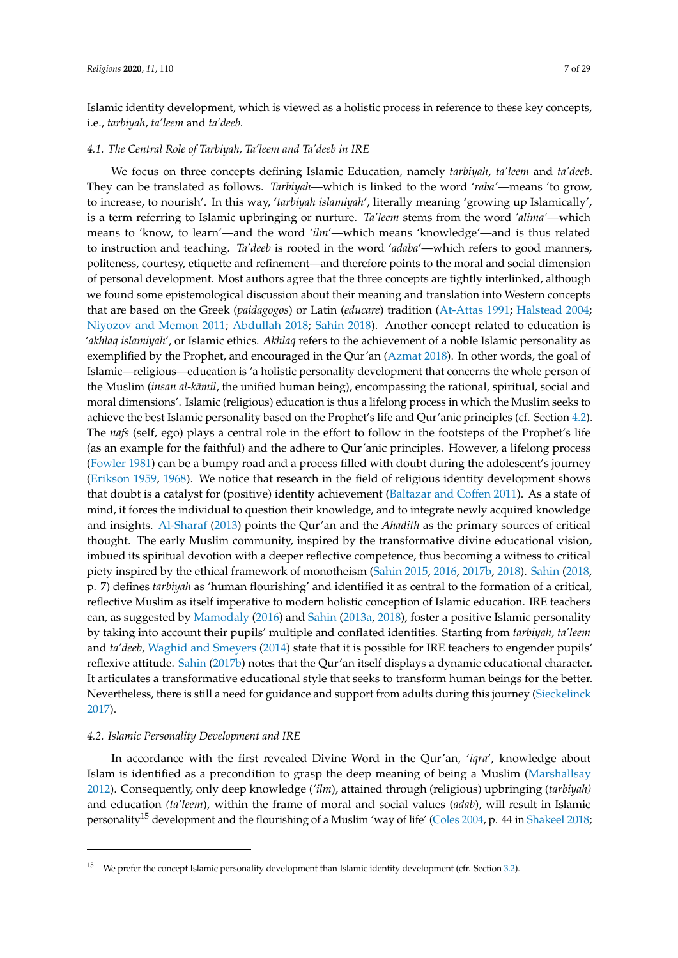Islamic identity development, which is viewed as a holistic process in reference to these key concepts, i.e., *tarbiyah*, *ta'leem* and *ta'deeb*.

#### *4.1. The Central Role of Tarbiyah, Ta'leem and Ta'deeb in IRE*

We focus on three concepts defining Islamic Education, namely *tarbiyah*, *ta'leem* and *ta'deeb*. They can be translated as follows. *Tarbiyah*—which is linked to the word *'raba'*—means 'to grow, to increase, to nourish'. In this way, '*tarbiyah islamiyah*', literally meaning 'growing up Islamically', is a term referring to Islamic upbringing or nurture. *Ta'leem* stems from the word *'alima'*—which means to 'know, to learn'—and the word '*ilm*'—which means 'knowledge'—and is thus related to instruction and teaching. *Ta'deeb* is rooted in the word '*adaba*'—which refers to good manners, politeness, courtesy, etiquette and refinement—and therefore points to the moral and social dimension of personal development. Most authors agree that the three concepts are tightly interlinked, although we found some epistemological discussion about their meaning and translation into Western concepts that are based on the Greek (*paidagogos*) or Latin (*educare*) tradition [\(At-Attas](#page-17-8) [1991;](#page-17-8) [Halstead](#page-21-4) [2004;](#page-21-4) [Niyozov and Memon](#page-24-10) [2011;](#page-24-10) [Abdullah](#page-17-9) [2018;](#page-17-9) [Sahin](#page-25-5) [2018\)](#page-25-5). Another concept related to education is '*akhlaq islamiyah*', or Islamic ethics. *Akhlaq* refers to the achievement of a noble Islamic personality as exemplified by the Prophet, and encouraged in the Qur'an [\(Azmat](#page-17-10) [2018\)](#page-17-10). In other words, the goal of Islamic—religious—education is 'a holistic personality development that concerns the whole person of the Muslim (*insan al-kāmil*, the unified human being), encompassing the rational, spiritual, social and moral dimensions'. Islamic (religious) education is thus a lifelong process in which the Muslim seeks to achieve the best Islamic personality based on the Prophet's life and Qur'anic principles (cf. Section [4.2\)](#page-6-0). The *nafs* (self, ego) plays a central role in the effort to follow in the footsteps of the Prophet's life (as an example for the faithful) and the adhere to Qur'anic principles. However, a lifelong process [\(Fowler](#page-21-18) [1981\)](#page-21-18) can be a bumpy road and a process filled with doubt during the adolescent's journey [\(Erikson](#page-20-10) [1959,](#page-20-10) [1968\)](#page-20-11). We notice that research in the field of religious identity development shows that doubt is a catalyst for (positive) identity achievement [\(Baltazar and Co](#page-17-11)ffen [2011\)](#page-17-11). As a state of mind, it forces the individual to question their knowledge, and to integrate newly acquired knowledge and insights. [Al-Sharaf](#page-17-12) [\(2013\)](#page-17-12) points the Qur'an and the *Ahadith* as the primary sources of critical thought. The early Muslim community, inspired by the transformative divine educational vision, imbued its spiritual devotion with a deeper reflective competence, thus becoming a witness to critical piety inspired by the ethical framework of monotheism [\(Sahin](#page-24-11) [2015,](#page-24-11) [2016,](#page-24-12) [2017b,](#page-25-6) [2018\)](#page-25-5). [Sahin](#page-25-5) [\(2018,](#page-25-5) p. 7) defines *tarbiyah* as 'human flourishing' and identified it as central to the formation of a critical, reflective Muslim as itself imperative to modern holistic conception of Islamic education. IRE teachers can, as suggested by [Mamodaly](#page-23-14) [\(2016\)](#page-23-14) and [Sahin](#page-24-5) [\(2013a,](#page-24-5) [2018\)](#page-25-5), foster a positive Islamic personality by taking into account their pupils' multiple and conflated identities. Starting from *tarbiyah*, *ta'leem* and *ta'deeb*, [Waghid and Smeyers](#page-27-12) [\(2014\)](#page-27-12) state that it is possible for IRE teachers to engender pupils' reflexive attitude. [Sahin](#page-25-6) [\(2017b\)](#page-25-6) notes that the Qur'an itself displays a dynamic educational character. It articulates a transformative educational style that seeks to transform human beings for the better. Nevertheless, there is still a need for guidance and support from adults during this journey [\(Sieckelinck](#page-25-7) [2017\)](#page-25-7).

#### <span id="page-6-0"></span>*4.2. Islamic Personality Development and IRE*

In accordance with the first revealed Divine Word in the Qur'an, '*iqra*', knowledge about Islam is identified as a precondition to grasp the deep meaning of being a Muslim [\(Marshallsay](#page-23-15) [2012\)](#page-23-15). Consequently, only deep knowledge (*'ilm*), attained through (religious) upbringing (*tarbiyah)* and education *(ta'leem*), within the frame of moral and social values (*adab*), will result in Islamic personality<sup>15</sup> development and the flourishing of a Muslim 'way of life' [\(Coles](#page-18-17) [2004,](#page-18-17) p. 44 in [Shakeel](#page-25-8) [2018;](#page-25-8)

<sup>15</sup> We prefer the concept Islamic personality development than Islamic identity development (cfr. Section [3.2\)](#page-4-0).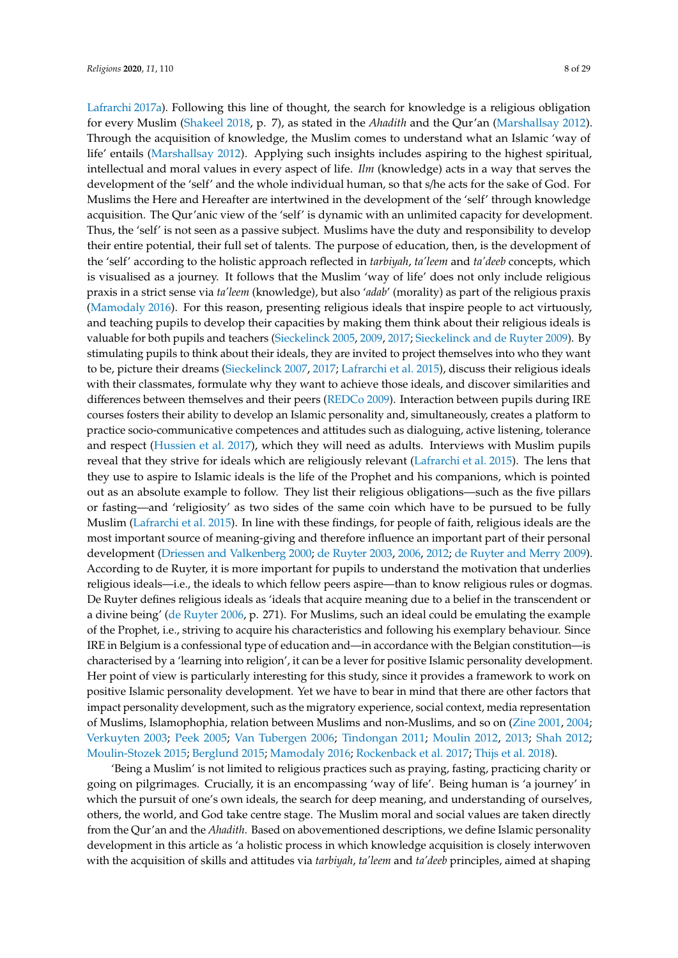[Lafrarchi](#page-23-0) [2017a\)](#page-23-0). Following this line of thought, the search for knowledge is a religious obligation for every Muslim [\(Shakeel](#page-25-8) [2018,](#page-25-8) p. 7), as stated in the *Ahadith* and the Qur'an [\(Marshallsay](#page-23-15) [2012\)](#page-23-15). Through the acquisition of knowledge, the Muslim comes to understand what an Islamic 'way of life' entails [\(Marshallsay](#page-23-15) [2012\)](#page-23-15). Applying such insights includes aspiring to the highest spiritual, intellectual and moral values in every aspect of life. *Ilm* (knowledge) acts in a way that serves the development of the 'self' and the whole individual human, so that s/he acts for the sake of God. For Muslims the Here and Hereafter are intertwined in the development of the 'self' through knowledge acquisition. The Qur'anic view of the 'self' is dynamic with an unlimited capacity for development. Thus, the 'self' is not seen as a passive subject. Muslims have the duty and responsibility to develop their entire potential, their full set of talents. The purpose of education, then, is the development of the 'self' according to the holistic approach reflected in *tarbiyah*, *ta'leem* and *ta'deeb* concepts, which is visualised as a journey. It follows that the Muslim 'way of life' does not only include religious praxis in a strict sense via *ta'leem* (knowledge), but also '*adab*' (morality) as part of the religious praxis [\(Mamodaly](#page-23-14) [2016\)](#page-23-14). For this reason, presenting religious ideals that inspire people to act virtuously, and teaching pupils to develop their capacities by making them think about their religious ideals is valuable for both pupils and teachers [\(Sieckelinck](#page-25-9) [2005,](#page-25-9) [2009,](#page-25-10) [2017;](#page-25-7) [Sieckelinck and de Ruyter](#page-25-11) [2009\)](#page-25-11). By stimulating pupils to think about their ideals, they are invited to project themselves into who they want to be, picture their dreams [\(Sieckelinck](#page-25-12) [2007,](#page-25-12) [2017;](#page-25-7) [Lafrarchi et al.](#page-23-13) [2015\)](#page-23-13), discuss their religious ideals with their classmates, formulate why they want to achieve those ideals, and discover similarities and differences between themselves and their peers [\(REDCo](#page-24-13) [2009\)](#page-24-13). Interaction between pupils during IRE courses fosters their ability to develop an Islamic personality and, simultaneously, creates a platform to practice socio-communicative competences and attitudes such as dialoguing, active listening, tolerance and respect [\(Hussien et al.](#page-21-19) [2017\)](#page-21-19), which they will need as adults. Interviews with Muslim pupils reveal that they strive for ideals which are religiously relevant [\(Lafrarchi et al.](#page-23-13) [2015\)](#page-23-13). The lens that they use to aspire to Islamic ideals is the life of the Prophet and his companions, which is pointed out as an absolute example to follow. They list their religious obligations—such as the five pillars or fasting—and 'religiosity' as two sides of the same coin which have to be pursued to be fully Muslim [\(Lafrarchi et al.](#page-23-13) [2015\)](#page-23-13). In line with these findings, for people of faith, religious ideals are the most important source of meaning-giving and therefore influence an important part of their personal development [\(Driessen and Valkenberg](#page-20-12) [2000;](#page-20-12) [de Ruyter](#page-19-11) [2003,](#page-19-11) [2006,](#page-19-12) [2012;](#page-19-13) [de Ruyter and Merry](#page-20-13) [2009\)](#page-20-13). According to de Ruyter, it is more important for pupils to understand the motivation that underlies religious ideals—i.e., the ideals to which fellow peers aspire—than to know religious rules or dogmas. De Ruyter defines religious ideals as 'ideals that acquire meaning due to a belief in the transcendent or a divine being' [\(de Ruyter](#page-19-12) [2006,](#page-19-12) p. 271). For Muslims, such an ideal could be emulating the example of the Prophet, i.e., striving to acquire his characteristics and following his exemplary behaviour. Since IRE in Belgium is a confessional type of education and—in accordance with the Belgian constitution—is characterised by a 'learning into religion', it can be a lever for positive Islamic personality development. Her point of view is particularly interesting for this study, since it provides a framework to work on positive Islamic personality development. Yet we have to bear in mind that there are other factors that impact personality development, such as the migratory experience, social context, media representation of Muslims, Islamophophia, relation between Muslims and non-Muslims, and so on [\(Zine](#page-28-0) [2001,](#page-28-0) [2004;](#page-28-1) [Verkuyten](#page-25-13) [2003;](#page-25-13) [Peek](#page-24-9) [2005;](#page-24-9) [Van Tubergen](#page-25-14) [2006;](#page-25-14) [Tindongan](#page-25-3) [2011;](#page-25-3) [Moulin](#page-24-14) [2012,](#page-24-14) [2013;](#page-24-15) [Shah](#page-25-15) [2012;](#page-25-15) [Moulin-Stozek](#page-24-16) [2015;](#page-24-16) [Berglund](#page-17-13) [2015;](#page-17-13) [Mamodaly](#page-23-14) [2016;](#page-23-14) [Rockenback et al.](#page-24-17) [2017;](#page-24-17) [Thijs et al.](#page-25-16) [2018\)](#page-25-16).

'Being a Muslim' is not limited to religious practices such as praying, fasting, practicing charity or going on pilgrimages. Crucially, it is an encompassing 'way of life'. Being human is 'a journey' in which the pursuit of one's own ideals, the search for deep meaning, and understanding of ourselves, others, the world, and God take centre stage. The Muslim moral and social values are taken directly from the Qur'an and the *Ahadith*. Based on abovementioned descriptions, we define Islamic personality development in this article as 'a holistic process in which knowledge acquisition is closely interwoven with the acquisition of skills and attitudes via *tarbiyah*, *ta'leem* and *ta'deeb* principles, aimed at shaping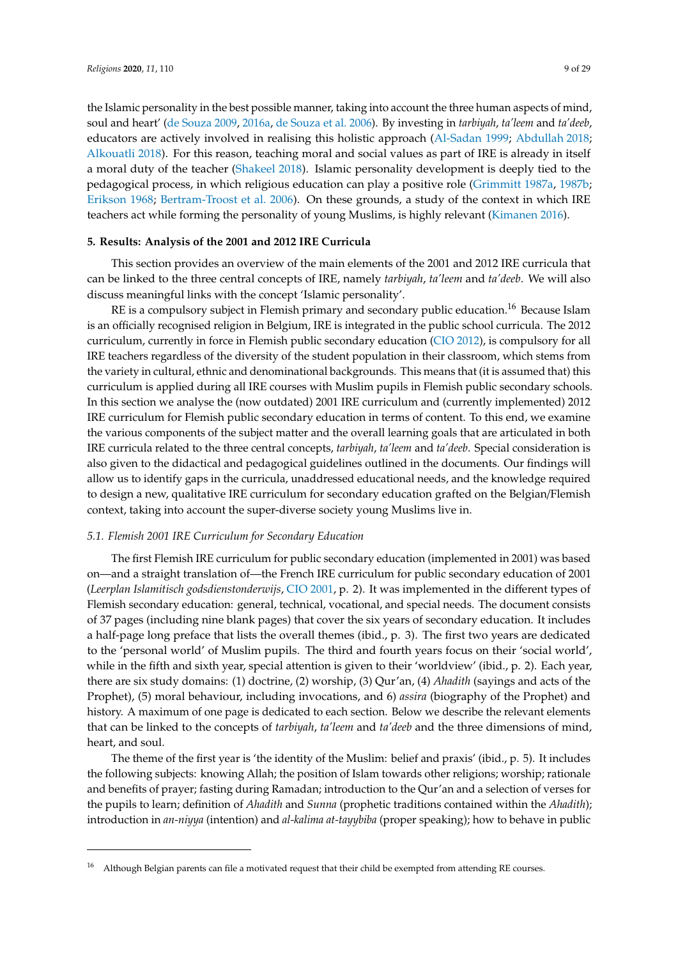the Islamic personality in the best possible manner, taking into account the three human aspects of mind, soul and heart' [\(de Souza](#page-20-14) [2009,](#page-20-14) [2016a,](#page-20-15) [de Souza et al.](#page-20-3) [2006\)](#page-20-3). By investing in *tarbiyah*, *ta'leem* and *ta'deeb*, educators are actively involved in realising this holistic approach [\(Al-Sadan](#page-17-14) [1999;](#page-17-14) [Abdullah](#page-17-9) [2018;](#page-17-9) [Alkouatli](#page-17-15) [2018\)](#page-17-15). For this reason, teaching moral and social values as part of IRE is already in itself a moral duty of the teacher [\(Shakeel](#page-25-8) [2018\)](#page-25-8). Islamic personality development is deeply tied to the pedagogical process, in which religious education can play a positive role [\(Grimmitt](#page-21-20) [1987a,](#page-21-20) [1987b;](#page-21-21) [Erikson](#page-20-11) [1968;](#page-20-11) [Bertram-Troost et al.](#page-17-16) [2006\)](#page-17-16). On these grounds, a study of the context in which IRE teachers act while forming the personality of young Muslims, is highly relevant [\(Kimanen](#page-22-5) [2016\)](#page-22-5).

# <span id="page-8-0"></span>**5. Results: Analysis of the 2001 and 2012 IRE Curricula**

This section provides an overview of the main elements of the 2001 and 2012 IRE curricula that can be linked to the three central concepts of IRE, namely *tarbiyah*, *ta'leem* and *ta'deeb*. We will also discuss meaningful links with the concept 'Islamic personality'.

RE is a compulsory subject in Flemish primary and secondary public education.<sup>16</sup> Because Islam is an officially recognised religion in Belgium, IRE is integrated in the public school curricula. The 2012 curriculum, currently in force in Flemish public secondary education [\(CIO](#page-18-13) [2012\)](#page-18-13), is compulsory for all IRE teachers regardless of the diversity of the student population in their classroom, which stems from the variety in cultural, ethnic and denominational backgrounds. This means that (it is assumed that) this curriculum is applied during all IRE courses with Muslim pupils in Flemish public secondary schools. In this section we analyse the (now outdated) 2001 IRE curriculum and (currently implemented) 2012 IRE curriculum for Flemish public secondary education in terms of content. To this end, we examine the various components of the subject matter and the overall learning goals that are articulated in both IRE curricula related to the three central concepts, *tarbiyah*, *ta'leem* and *ta'deeb*. Special consideration is also given to the didactical and pedagogical guidelines outlined in the documents. Our findings will allow us to identify gaps in the curricula, unaddressed educational needs, and the knowledge required to design a new, qualitative IRE curriculum for secondary education grafted on the Belgian/Flemish context, taking into account the super-diverse society young Muslims live in.

# *5.1. Flemish 2001 IRE Curriculum for Secondary Education*

The first Flemish IRE curriculum for public secondary education (implemented in 2001) was based on—and a straight translation of—the French IRE curriculum for public secondary education of 2001 (*Leerplan Islamitisch godsdienstonderwijs*, [CIO](#page-17-4) [2001,](#page-17-4) p. 2). It was implemented in the different types of Flemish secondary education: general, technical, vocational, and special needs. The document consists of 37 pages (including nine blank pages) that cover the six years of secondary education. It includes a half-page long preface that lists the overall themes (ibid., p. 3). The first two years are dedicated to the 'personal world' of Muslim pupils. The third and fourth years focus on their 'social world', while in the fifth and sixth year, special attention is given to their 'worldview' (ibid., p. 2). Each year, there are six study domains: (1) doctrine, (2) worship, (3) Qur'an, (4) *Ahadith* (sayings and acts of the Prophet), (5) moral behaviour, including invocations, and 6) *assira* (biography of the Prophet) and history. A maximum of one page is dedicated to each section. Below we describe the relevant elements that can be linked to the concepts of *tarbiyah*, *ta'leem* and *ta'deeb* and the three dimensions of mind, heart, and soul.

The theme of the first year is 'the identity of the Muslim: belief and praxis' (ibid., p. 5). It includes the following subjects: knowing Allah; the position of Islam towards other religions; worship; rationale and benefits of prayer; fasting during Ramadan; introduction to the Qur'an and a selection of verses for the pupils to learn; definition of *Ahadith* and *Sunna* (prophetic traditions contained within the *Ahadith*); introduction in *an-niyya* (intention) and *al-kalima at-tayybiba* (proper speaking); how to behave in public

Although Belgian parents can file a motivated request that their child be exempted from attending RE courses.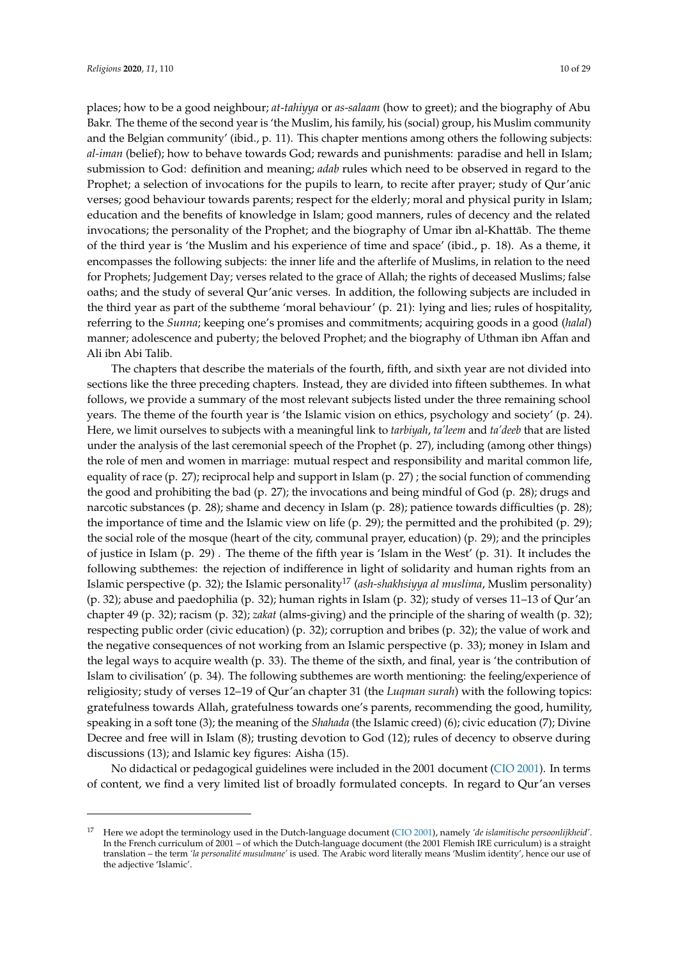places; how to be a good neighbour; *at-tahiyya* or *as-salaam* (how to greet); and the biography of Abu Bakr. The theme of the second year is 'the Muslim, his family, his (social) group, his Muslim community and the Belgian community' (ibid., p. 11). This chapter mentions among others the following subjects: *al-iman* (belief); how to behave towards God; rewards and punishments: paradise and hell in Islam; submission to God: definition and meaning; *adab* rules which need to be observed in regard to the Prophet; a selection of invocations for the pupils to learn, to recite after prayer; study of Qur'anic verses; good behaviour towards parents; respect for the elderly; moral and physical purity in Islam; education and the benefits of knowledge in Islam; good manners, rules of decency and the related invocations; the personality of the Prophet; and the biography of Umar ibn al-Khattab. The theme ¯ of the third year is 'the Muslim and his experience of time and space' (ibid., p. 18). As a theme, it encompasses the following subjects: the inner life and the afterlife of Muslims, in relation to the need for Prophets; Judgement Day; verses related to the grace of Allah; the rights of deceased Muslims; false oaths; and the study of several Qur'anic verses. In addition, the following subjects are included in the third year as part of the subtheme 'moral behaviour' (p. 21): lying and lies; rules of hospitality, referring to the *Sunna*; keeping one's promises and commitments; acquiring goods in a good (*halal*) manner; adolescence and puberty; the beloved Prophet; and the biography of Uthman ibn Affan and Ali ibn Abi Talib.

The chapters that describe the materials of the fourth, fifth, and sixth year are not divided into sections like the three preceding chapters. Instead, they are divided into fifteen subthemes. In what follows, we provide a summary of the most relevant subjects listed under the three remaining school years. The theme of the fourth year is 'the Islamic vision on ethics, psychology and society' (p. 24). Here, we limit ourselves to subjects with a meaningful link to *tarbiyah*, *ta'leem* and *ta'deeb* that are listed under the analysis of the last ceremonial speech of the Prophet (p. 27), including (among other things) the role of men and women in marriage: mutual respect and responsibility and marital common life, equality of race (p. 27); reciprocal help and support in Islam (p. 27) ; the social function of commending the good and prohibiting the bad (p. 27); the invocations and being mindful of God (p. 28); drugs and narcotic substances (p. 28); shame and decency in Islam (p. 28); patience towards difficulties (p. 28); the importance of time and the Islamic view on life (p. 29); the permitted and the prohibited (p. 29); the social role of the mosque (heart of the city, communal prayer, education) (p. 29); and the principles of justice in Islam (p. 29) . The theme of the fifth year is 'Islam in the West' (p. 31). It includes the following subthemes: the rejection of indifference in light of solidarity and human rights from an Islamic perspective (p. 32); the Islamic personality<sup>17</sup> (*ash-shakhsiyya al muslima*, Muslim personality) (p. 32); abuse and paedophilia (p. 32); human rights in Islam (p. 32); study of verses 11–13 of Qur'an chapter 49 (p. 32); racism (p. 32); *zakat* (alms-giving) and the principle of the sharing of wealth (p. 32); respecting public order (civic education) (p. 32); corruption and bribes (p. 32); the value of work and the negative consequences of not working from an Islamic perspective (p. 33); money in Islam and the legal ways to acquire wealth (p. 33). The theme of the sixth, and final, year is 'the contribution of Islam to civilisation' (p. 34). The following subthemes are worth mentioning: the feeling/experience of religiosity; study of verses 12–19 of Qur'an chapter 31 (the *Luqman surah*) with the following topics: gratefulness towards Allah, gratefulness towards one's parents, recommending the good, humility, speaking in a soft tone (3); the meaning of the *Shahada* (the Islamic creed) (6); civic education (7); Divine Decree and free will in Islam (8); trusting devotion to God (12); rules of decency to observe during discussions (13); and Islamic key figures: Aisha (15).

No didactical or pedagogical guidelines were included in the 2001 document [\(CIO](#page-17-4) [2001\)](#page-17-4). In terms of content, we find a very limited list of broadly formulated concepts. In regard to Qur'an verses

<sup>17</sup> Here we adopt the terminology used in the Dutch-language document [\(CIO](#page-17-4) [2001\)](#page-17-4), namely *'de islamitische persoonlijkheid'*. In the French curriculum of 2001 – of which the Dutch-language document (the 2001 Flemish IRE curriculum) is a straight translation – the term *'la personalité musulmane'* is used. The Arabic word literally means 'Muslim identity', hence our use of the adjective 'Islamic'.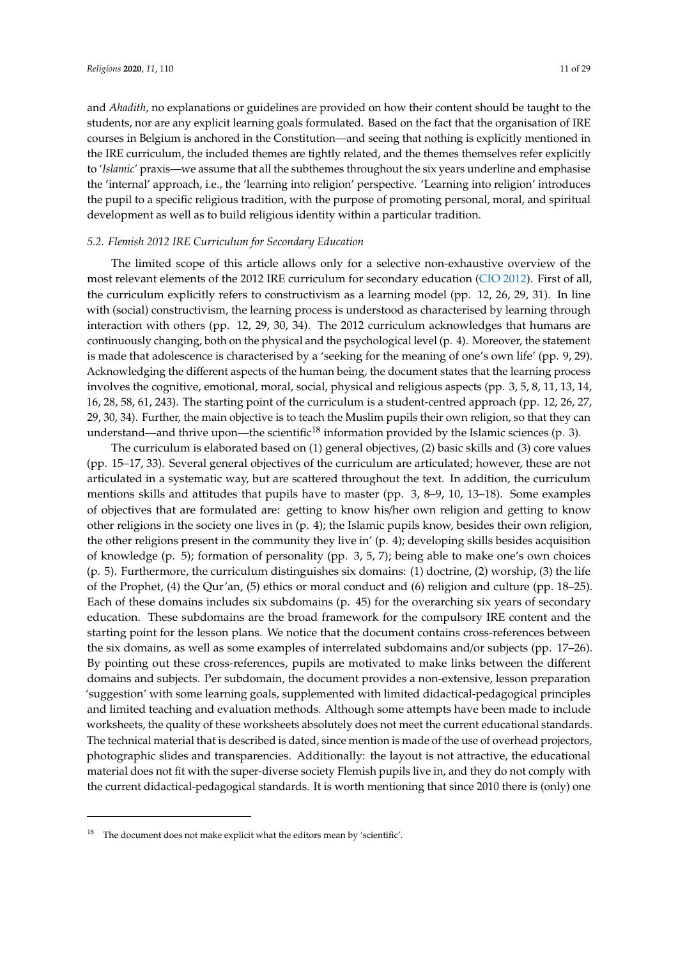and *Ahadith*, no explanations or guidelines are provided on how their content should be taught to the students, nor are any explicit learning goals formulated. Based on the fact that the organisation of IRE courses in Belgium is anchored in the Constitution—and seeing that nothing is explicitly mentioned in the IRE curriculum, the included themes are tightly related, and the themes themselves refer explicitly to '*Islamic*' praxis—we assume that all the subthemes throughout the six years underline and emphasise the 'internal' approach, i.e., the 'learning into religion' perspective. 'Learning into religion' introduces the pupil to a specific religious tradition, with the purpose of promoting personal, moral, and spiritual development as well as to build religious identity within a particular tradition.

### *5.2. Flemish 2012 IRE Curriculum for Secondary Education*

The limited scope of this article allows only for a selective non-exhaustive overview of the most relevant elements of the 2012 IRE curriculum for secondary education [\(CIO](#page-18-13) [2012\)](#page-18-13). First of all, the curriculum explicitly refers to constructivism as a learning model (pp. 12, 26, 29, 31). In line with (social) constructivism, the learning process is understood as characterised by learning through interaction with others (pp. 12, 29, 30, 34). The 2012 curriculum acknowledges that humans are continuously changing, both on the physical and the psychological level (p. 4). Moreover, the statement is made that adolescence is characterised by a 'seeking for the meaning of one's own life' (pp. 9, 29). Acknowledging the different aspects of the human being, the document states that the learning process involves the cognitive, emotional, moral, social, physical and religious aspects (pp. 3, 5, 8, 11, 13, 14, 16, 28, 58, 61, 243). The starting point of the curriculum is a student-centred approach (pp. 12, 26, 27, 29, 30, 34). Further, the main objective is to teach the Muslim pupils their own religion, so that they can understand—and thrive upon—the scientific<sup>18</sup> information provided by the Islamic sciences (p. 3).

The curriculum is elaborated based on (1) general objectives, (2) basic skills and (3) core values (pp. 15–17, 33). Several general objectives of the curriculum are articulated; however, these are not articulated in a systematic way, but are scattered throughout the text. In addition, the curriculum mentions skills and attitudes that pupils have to master (pp. 3, 8–9, 10, 13–18). Some examples of objectives that are formulated are: getting to know his/her own religion and getting to know other religions in the society one lives in (p. 4); the Islamic pupils know, besides their own religion, the other religions present in the community they live in' (p. 4); developing skills besides acquisition of knowledge (p. 5); formation of personality (pp. 3, 5, 7); being able to make one's own choices (p. 5). Furthermore, the curriculum distinguishes six domains: (1) doctrine, (2) worship, (3) the life of the Prophet, (4) the Qur'an, (5) ethics or moral conduct and (6) religion and culture (pp. 18–25). Each of these domains includes six subdomains (p. 45) for the overarching six years of secondary education. These subdomains are the broad framework for the compulsory IRE content and the starting point for the lesson plans. We notice that the document contains cross-references between the six domains, as well as some examples of interrelated subdomains and/or subjects (pp. 17–26). By pointing out these cross-references, pupils are motivated to make links between the different domains and subjects. Per subdomain, the document provides a non-extensive, lesson preparation 'suggestion' with some learning goals, supplemented with limited didactical-pedagogical principles and limited teaching and evaluation methods. Although some attempts have been made to include worksheets, the quality of these worksheets absolutely does not meet the current educational standards. The technical material that is described is dated, since mention is made of the use of overhead projectors, photographic slides and transparencies. Additionally: the layout is not attractive, the educational material does not fit with the super-diverse society Flemish pupils live in, and they do not comply with the current didactical-pedagogical standards. It is worth mentioning that since 2010 there is (only) one

<sup>&</sup>lt;sup>18</sup> The document does not make explicit what the editors mean by 'scientific'.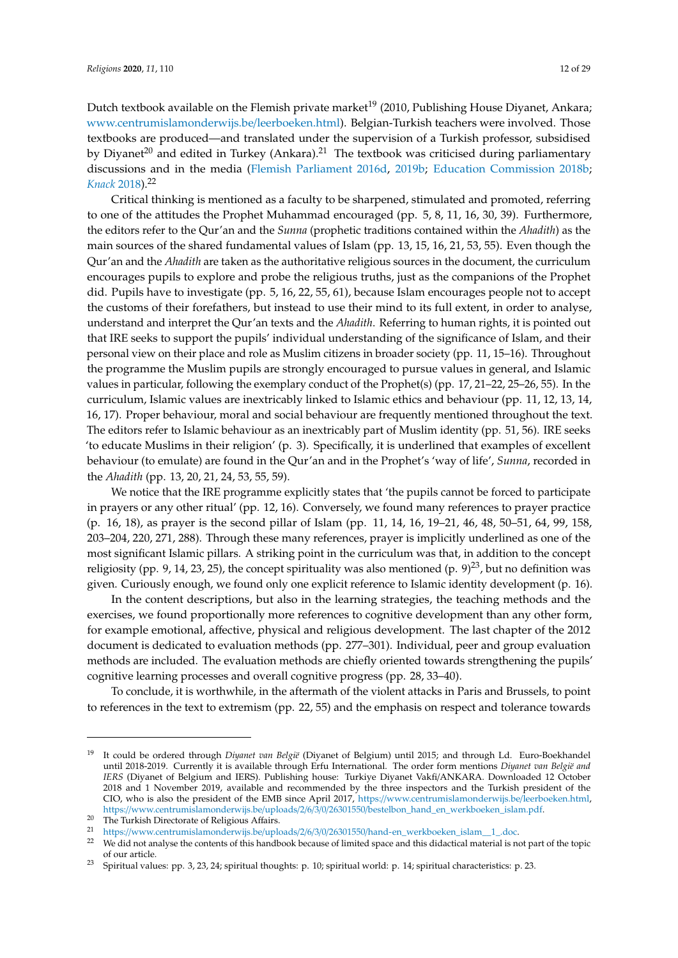Dutch textbook available on the Flemish private market<sup>19</sup> (2010, Publishing House Diyanet, Ankara; [www.centrumislamonderwijs.be](www.centrumislamonderwijs.be/leerboeken.html)/leerboeken.html). Belgian-Turkish teachers were involved. Those textbooks are produced—and translated under the supervision of a Turkish professor, subsidised by Diyanet<sup>20</sup> and edited in Turkey (Ankara).<sup>21</sup> The textbook was criticised during parliamentary discussions and in the media [\(Flemish Parliament](#page-27-13) [2016d,](#page-27-13) [2019b;](#page-27-9) [Education Commission](#page-19-7) [2018b;](#page-19-7) *[Knack](#page-23-7)* [2018\)](#page-23-7).<sup>22</sup>

Critical thinking is mentioned as a faculty to be sharpened, stimulated and promoted, referring to one of the attitudes the Prophet Muhammad encouraged (pp. 5, 8, 11, 16, 30, 39). Furthermore, the editors refer to the Qur'an and the *Sunna* (prophetic traditions contained within the *Ahadith*) as the main sources of the shared fundamental values of Islam (pp. 13, 15, 16, 21, 53, 55). Even though the Qur'an and the *Ahadith* are taken as the authoritative religious sources in the document, the curriculum encourages pupils to explore and probe the religious truths, just as the companions of the Prophet did. Pupils have to investigate (pp. 5, 16, 22, 55, 61), because Islam encourages people not to accept the customs of their forefathers, but instead to use their mind to its full extent, in order to analyse, understand and interpret the Qur'an texts and the *Ahadith*. Referring to human rights, it is pointed out that IRE seeks to support the pupils' individual understanding of the significance of Islam, and their personal view on their place and role as Muslim citizens in broader society (pp. 11, 15–16). Throughout the programme the Muslim pupils are strongly encouraged to pursue values in general, and Islamic values in particular, following the exemplary conduct of the Prophet(s) (pp. 17, 21–22, 25–26, 55). In the curriculum, Islamic values are inextricably linked to Islamic ethics and behaviour (pp. 11, 12, 13, 14, 16, 17). Proper behaviour, moral and social behaviour are frequently mentioned throughout the text. The editors refer to Islamic behaviour as an inextricably part of Muslim identity (pp. 51, 56). IRE seeks 'to educate Muslims in their religion' (p. 3). Specifically, it is underlined that examples of excellent behaviour (to emulate) are found in the Qur'an and in the Prophet's 'way of life', *Sunna*, recorded in the *Ahadith* (pp. 13, 20, 21, 24, 53, 55, 59).

We notice that the IRE programme explicitly states that 'the pupils cannot be forced to participate in prayers or any other ritual' (pp. 12, 16). Conversely, we found many references to prayer practice (p. 16, 18), as prayer is the second pillar of Islam (pp. 11, 14, 16, 19–21, 46, 48, 50–51, 64, 99, 158, 203–204, 220, 271, 288). Through these many references, prayer is implicitly underlined as one of the most significant Islamic pillars. A striking point in the curriculum was that, in addition to the concept religiosity (pp. 9, 14, 23, 25), the concept spirituality was also mentioned (p.  $9)^{23}$ , but no definition was given. Curiously enough, we found only one explicit reference to Islamic identity development (p. 16).

In the content descriptions, but also in the learning strategies, the teaching methods and the exercises, we found proportionally more references to cognitive development than any other form, for example emotional, affective, physical and religious development. The last chapter of the 2012 document is dedicated to evaluation methods (pp. 277–301). Individual, peer and group evaluation methods are included. The evaluation methods are chiefly oriented towards strengthening the pupils' cognitive learning processes and overall cognitive progress (pp. 28, 33–40).

To conclude, it is worthwhile, in the aftermath of the violent attacks in Paris and Brussels, to point to references in the text to extremism (pp. 22, 55) and the emphasis on respect and tolerance towards

<sup>19</sup> It could be ordered through *Diyanet van België* (Diyanet of Belgium) until 2015; and through Ld. Euro-Boekhandel until 2018-2019. Currently it is available through Erfu International. The order form mentions *Diyanet van België and IERS* (Diyanet of Belgium and IERS). Publishing house: Turkiye Diyanet Vakfi/ANKARA. Downloaded 12 October 2018 and 1 November 2019, available and recommended by the three inspectors and the Turkish president of the CIO, who is also the president of the EMB since April 2017, https://[www.centrumislamonderwijs.be](https://www.centrumislamonderwijs.be/leerboeken.html)/leerboeken.html, https://www.centrumislamonderwijs.be/uploads/2/6/3/0/26301550/[bestelbon\\_hand\\_en\\_werkboeken\\_islam.pdf.](https://www.centrumislamonderwijs.be/uploads/2/6/3/0/26301550/bestelbon_hand_en_werkboeken_islam.pdf)

<sup>20</sup> The Turkish Directorate of Religious Affairs.

<sup>21</sup> https://www.centrumislamonderwijs.be/uploads/2/6/3/0/26301550/[hand-en\\_werkboeken\\_islam\\_\\_1\\_.doc.](https://www.centrumislamonderwijs.be/uploads/2/6/3/0/26301550/hand-en_werkboeken_islam__1_.doc)

<sup>&</sup>lt;sup>22</sup> We did not analyse the contents of this handbook because of limited space and this didactical material is not part of the topic of our article.

 $23$  Spiritual values: pp. 3, 23, 24; spiritual thoughts: p. 10; spiritual world: p. 14; spiritual characteristics: p. 23.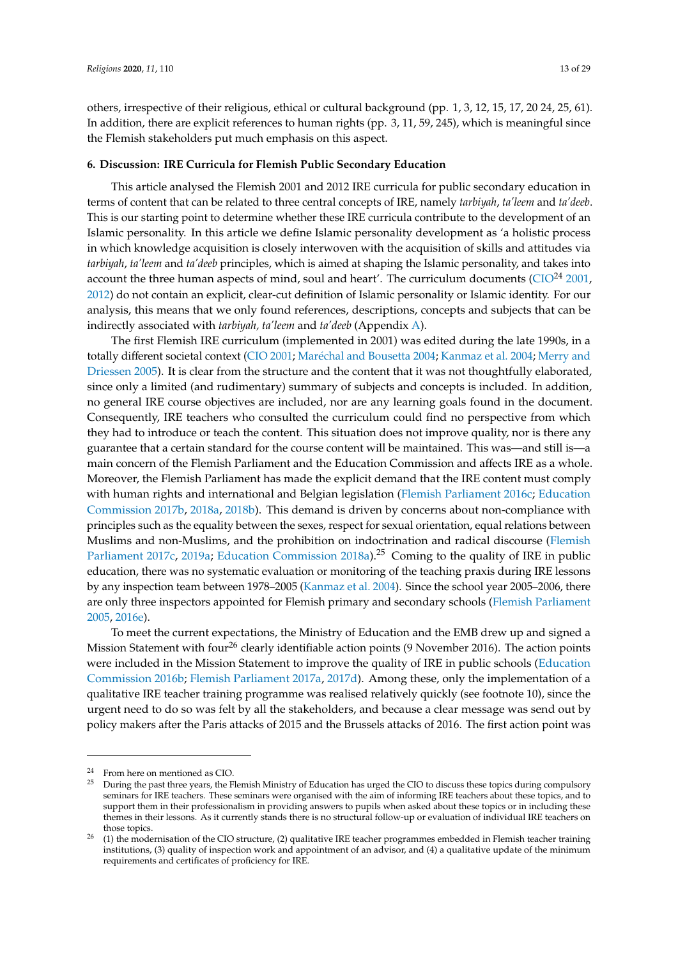others, irrespective of their religious, ethical or cultural background (pp. 1, 3, 12, 15, 17, 20 24, 25, 61). In addition, there are explicit references to human rights (pp. 3, 11, 59, 245), which is meaningful since the Flemish stakeholders put much emphasis on this aspect.

#### **6. Discussion: IRE Curricula for Flemish Public Secondary Education**

This article analysed the Flemish 2001 and 2012 IRE curricula for public secondary education in terms of content that can be related to three central concepts of IRE, namely *tarbiyah*, *ta'leem* and *ta'deeb*. This is our starting point to determine whether these IRE curricula contribute to the development of an Islamic personality. In this article we define Islamic personality development as 'a holistic process in which knowledge acquisition is closely interwoven with the acquisition of skills and attitudes via *tarbiyah*, *ta'leem* and *ta'deeb* principles, which is aimed at shaping the Islamic personality, and takes into account the three human aspects of mind, soul and heart'. The curriculum documents ( $\text{CIO}^{24}$  [2001,](#page-17-4) [2012\)](#page-18-13) do not contain an explicit, clear-cut definition of Islamic personality or Islamic identity. For our analysis, this means that we only found references, descriptions, concepts and subjects that can be indirectly associated with *tarbiyah, ta'leem* and *ta'deeb* (Appendix [A\)](#page-17-5).

The first Flemish IRE curriculum (implemented in 2001) was edited during the late 1990s, in a totally different societal context [\(CIO](#page-17-4) [2001;](#page-17-4) Maré[chal and Bousetta](#page-23-11) [2004;](#page-23-11) [Kanmaz et al.](#page-22-12) [2004;](#page-22-12) [Merry and](#page-23-12) [Driessen](#page-23-12) [2005\)](#page-23-12). It is clear from the structure and the content that it was not thoughtfully elaborated, since only a limited (and rudimentary) summary of subjects and concepts is included. In addition, no general IRE course objectives are included, nor are any learning goals found in the document. Consequently, IRE teachers who consulted the curriculum could find no perspective from which they had to introduce or teach the content. This situation does not improve quality, nor is there any guarantee that a certain standard for the course content will be maintained. This was—and still is—a main concern of the Flemish Parliament and the Education Commission and affects IRE as a whole. Moreover, the Flemish Parliament has made the explicit demand that the IRE content must comply with human rights and international and Belgian legislation [\(Flemish Parliament](#page-27-2) [2016c;](#page-27-2) [Education](#page-19-14) [Commission](#page-19-14) [2017b,](#page-19-14) [2018a,](#page-19-8) [2018b\)](#page-19-7). This demand is driven by concerns about non-compliance with principles such as the equality between the sexes, respect for sexual orientation, equal relations between Muslims and non-Muslims, and the prohibition on indoctrination and radical discourse [\(Flemish](#page-27-14) [Parliament](#page-27-14) [2017c,](#page-27-14) [2019a;](#page-27-8) [Education Commission](#page-19-8) [2018a\)](#page-19-8).<sup>25</sup> Coming to the quality of IRE in public education, there was no systematic evaluation or monitoring of the teaching praxis during IRE lessons by any inspection team between 1978–2005 [\(Kanmaz et al.](#page-22-12) [2004\)](#page-22-12). Since the school year 2005–2006, there are only three inspectors appointed for Flemish primary and secondary schools [\(Flemish Parliament](#page-26-17) [2005,](#page-26-17) [2016e\)](#page-27-6).

To meet the current expectations, the Ministry of Education and the EMB drew up and signed a Mission Statement with four<sup>26</sup> clearly identifiable action points (9 November 2016). The action points were included in the Mission Statement to improve the quality of IRE in public schools [\(Education](#page-18-2) [Commission](#page-18-2) [2016b;](#page-18-2) [Flemish Parliament](#page-27-3) [2017a,](#page-27-3) [2017d\)](#page-27-4). Among these, only the implementation of a qualitative IRE teacher training programme was realised relatively quickly (see footnote 10), since the urgent need to do so was felt by all the stakeholders, and because a clear message was send out by policy makers after the Paris attacks of 2015 and the Brussels attacks of 2016. The first action point was

<sup>&</sup>lt;sup>24</sup> From here on mentioned as CIO.<br><sup>25</sup> During the next three vears, the E

<sup>25</sup> During the past three years, the Flemish Ministry of Education has urged the CIO to discuss these topics during compulsory seminars for IRE teachers. These seminars were organised with the aim of informing IRE teachers about these topics, and to support them in their professionalism in providing answers to pupils when asked about these topics or in including these themes in their lessons. As it currently stands there is no structural follow-up or evaluation of individual IRE teachers on those topics.

<sup>26</sup> (1) the modernisation of the CIO structure, (2) qualitative IRE teacher programmes embedded in Flemish teacher training institutions, (3) quality of inspection work and appointment of an advisor, and (4) a qualitative update of the minimum requirements and certificates of proficiency for IRE.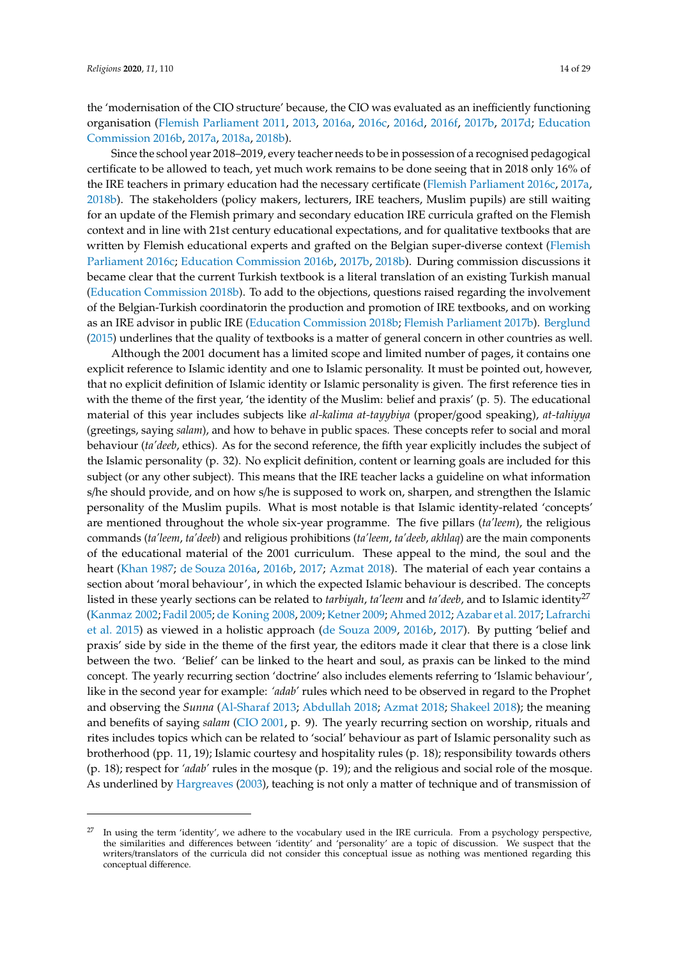the 'modernisation of the CIO structure' because, the CIO was evaluated as an inefficiently functioning organisation [\(Flemish Parliament](#page-26-15) [2011,](#page-26-15) [2013,](#page-26-16) [2016a,](#page-26-14) [2016c,](#page-27-2) [2016d,](#page-27-13) [2016f,](#page-27-15) [2017b,](#page-27-16) [2017d;](#page-27-4) [Education](#page-18-2) [Commission](#page-18-2) [2016b,](#page-18-2) [2017a,](#page-18-8) [2018a,](#page-19-8) [2018b\)](#page-19-7).

Since the school year 2018–2019, every teacher needs to be in possession of a recognised pedagogical certificate to be allowed to teach, yet much work remains to be done seeing that in 2018 only 16% of the IRE teachers in primary education had the necessary certificate [\(Flemish Parliament](#page-27-2) [2016c,](#page-27-2) [2017a,](#page-27-3) [2018b\)](#page-27-5). The stakeholders (policy makers, lecturers, IRE teachers, Muslim pupils) are still waiting for an update of the Flemish primary and secondary education IRE curricula grafted on the Flemish context and in line with 21st century educational expectations, and for qualitative textbooks that are written by Flemish educational experts and grafted on the Belgian super-diverse context [\(Flemish](#page-27-2) [Parliament](#page-27-2) [2016c;](#page-27-2) [Education Commission](#page-18-2) [2016b,](#page-18-2) [2017b,](#page-19-14) [2018b\)](#page-19-7). During commission discussions it became clear that the current Turkish textbook is a literal translation of an existing Turkish manual [\(Education Commission](#page-19-7) [2018b\)](#page-19-7). To add to the objections, questions raised regarding the involvement of the Belgian-Turkish coordinatorin the production and promotion of IRE textbooks, and on working as an IRE advisor in public IRE [\(Education Commission](#page-19-7) [2018b;](#page-19-7) [Flemish Parliament](#page-27-16) [2017b\)](#page-27-16). [Berglund](#page-17-13) [\(2015\)](#page-17-13) underlines that the quality of textbooks is a matter of general concern in other countries as well.

Although the 2001 document has a limited scope and limited number of pages, it contains one explicit reference to Islamic identity and one to Islamic personality. It must be pointed out, however, that no explicit definition of Islamic identity or Islamic personality is given. The first reference ties in with the theme of the first year, 'the identity of the Muslim: belief and praxis' (p. 5). The educational material of this year includes subjects like *al-kalima at-tayybiya* (proper/good speaking), *at-tahiyya* (greetings, saying *salam*), and how to behave in public spaces. These concepts refer to social and moral behaviour (*ta'deeb*, ethics). As for the second reference, the fifth year explicitly includes the subject of the Islamic personality (p. 32). No explicit definition, content or learning goals are included for this subject (or any other subject). This means that the IRE teacher lacks a guideline on what information s/he should provide, and on how s/he is supposed to work on, sharpen, and strengthen the Islamic personality of the Muslim pupils. What is most notable is that Islamic identity-related 'concepts' are mentioned throughout the whole six-year programme. The five pillars (*ta'leem*), the religious commands (*ta'leem*, *ta'deeb*) and religious prohibitions (*ta'leem*, *ta'deeb*, *akhlaq*) are the main components of the educational material of the 2001 curriculum. These appeal to the mind, the soul and the heart [\(Khan](#page-22-13) [1987;](#page-22-13) [de Souza](#page-20-15) [2016a,](#page-20-15) [2016b,](#page-20-16) [2017;](#page-20-17) [Azmat](#page-17-10) [2018\)](#page-17-10). The material of each year contains a section about 'moral behaviour', in which the expected Islamic behaviour is described. The concepts listed in these yearly sections can be related to *tarbiyah*, *ta'leem* and *ta'deeb*, and to Islamic identity<sup>27</sup> [\(Kanmaz](#page-22-9) [2002;](#page-22-9) [Fadil](#page-21-16) [2005;](#page-21-16) [de Koning](#page-19-9) [2008,](#page-19-9) [2009;](#page-19-10) [Ketner](#page-22-11) [2009;](#page-22-11) [Ahmed](#page-17-0) [2012;](#page-17-0) [Azabar et al.](#page-17-7) [2017;](#page-17-7) [Lafrarchi](#page-23-13) [et al.](#page-23-13) [2015\)](#page-23-13) as viewed in a holistic approach [\(de Souza](#page-20-14) [2009,](#page-20-14) [2016b,](#page-20-16) [2017\)](#page-20-17). By putting 'belief and praxis' side by side in the theme of the first year, the editors made it clear that there is a close link between the two. 'Belief' can be linked to the heart and soul, as praxis can be linked to the mind concept. The yearly recurring section 'doctrine' also includes elements referring to 'Islamic behaviour', like in the second year for example: *'adab'* rules which need to be observed in regard to the Prophet and observing the *Sunna* [\(Al-Sharaf](#page-17-12) [2013;](#page-17-12) [Abdullah](#page-17-9) [2018;](#page-17-9) [Azmat](#page-17-10) [2018;](#page-17-10) [Shakeel](#page-25-8) [2018\)](#page-25-8); the meaning and benefits of saying *salam* [\(CIO](#page-17-4) [2001,](#page-17-4) p. 9). The yearly recurring section on worship, rituals and rites includes topics which can be related to 'social' behaviour as part of Islamic personality such as brotherhood (pp. 11, 19); Islamic courtesy and hospitality rules (p. 18); responsibility towards others (p. 18); respect for *'adab'* rules in the mosque (p. 19); and the religious and social role of the mosque. As underlined by [Hargreaves](#page-21-22) [\(2003\)](#page-21-22), teaching is not only a matter of technique and of transmission of

 $27$  In using the term 'identity', we adhere to the vocabulary used in the IRE curricula. From a psychology perspective, the similarities and differences between 'identity' and 'personality' are a topic of discussion. We suspect that the writers/translators of the curricula did not consider this conceptual issue as nothing was mentioned regarding this conceptual difference.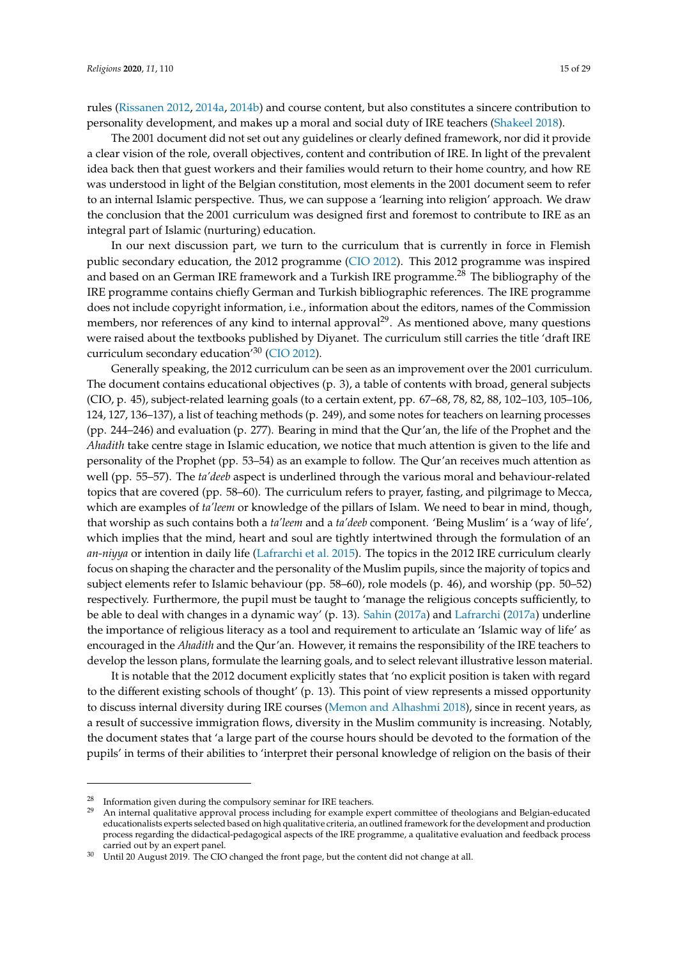rules [\(Rissanen](#page-24-18) [2012,](#page-24-18) [2014a,](#page-24-7) [2014b\)](#page-24-8) and course content, but also constitutes a sincere contribution to personality development, and makes up a moral and social duty of IRE teachers [\(Shakeel](#page-25-8) [2018\)](#page-25-8).

The 2001 document did not set out any guidelines or clearly defined framework, nor did it provide a clear vision of the role, overall objectives, content and contribution of IRE. In light of the prevalent idea back then that guest workers and their families would return to their home country, and how RE was understood in light of the Belgian constitution, most elements in the 2001 document seem to refer to an internal Islamic perspective. Thus, we can suppose a 'learning into religion' approach. We draw the conclusion that the 2001 curriculum was designed first and foremost to contribute to IRE as an integral part of Islamic (nurturing) education.

In our next discussion part, we turn to the curriculum that is currently in force in Flemish public secondary education, the 2012 programme [\(CIO](#page-18-13) [2012\)](#page-18-13). This 2012 programme was inspired and based on an German IRE framework and a Turkish IRE programme.<sup>28</sup> The bibliography of the IRE programme contains chiefly German and Turkish bibliographic references. The IRE programme does not include copyright information, i.e., information about the editors, names of the Commission members, nor references of any kind to internal approval<sup>29</sup>. As mentioned above, many questions were raised about the textbooks published by Diyanet. The curriculum still carries the title 'draft IRE curriculum secondary education $\frac{30}{30}$  [\(CIO](#page-18-13) [2012\)](#page-18-13).

Generally speaking, the 2012 curriculum can be seen as an improvement over the 2001 curriculum. The document contains educational objectives (p. 3), a table of contents with broad, general subjects (CIO, p. 45), subject-related learning goals (to a certain extent, pp. 67–68, 78, 82, 88, 102–103, 105–106, 124, 127, 136–137), a list of teaching methods (p. 249), and some notes for teachers on learning processes (pp. 244–246) and evaluation (p. 277). Bearing in mind that the Qur'an, the life of the Prophet and the *Ahadith* take centre stage in Islamic education, we notice that much attention is given to the life and personality of the Prophet (pp. 53–54) as an example to follow. The Qur'an receives much attention as well (pp. 55–57). The *ta'deeb* aspect is underlined through the various moral and behaviour-related topics that are covered (pp. 58–60). The curriculum refers to prayer, fasting, and pilgrimage to Mecca, which are examples of *ta'leem* or knowledge of the pillars of Islam. We need to bear in mind, though, that worship as such contains both a *ta'leem* and a *ta'deeb* component. 'Being Muslim' is a 'way of life', which implies that the mind, heart and soul are tightly intertwined through the formulation of an *an-niyya* or intention in daily life [\(Lafrarchi et al.](#page-23-13) [2015\)](#page-23-13). The topics in the 2012 IRE curriculum clearly focus on shaping the character and the personality of the Muslim pupils, since the majority of topics and subject elements refer to Islamic behaviour (pp. 58–60), role models (p. 46), and worship (pp. 50–52) respectively. Furthermore, the pupil must be taught to 'manage the religious concepts sufficiently, to be able to deal with changes in a dynamic way' (p. 13). [Sahin](#page-25-17) [\(2017a\)](#page-25-17) and [Lafrarchi](#page-23-0) [\(2017a\)](#page-23-0) underline the importance of religious literacy as a tool and requirement to articulate an 'Islamic way of life' as encouraged in the *Ahadith* and the Qur'an. However, it remains the responsibility of the IRE teachers to develop the lesson plans, formulate the learning goals, and to select relevant illustrative lesson material.

It is notable that the 2012 document explicitly states that 'no explicit position is taken with regard to the different existing schools of thought' (p. 13). This point of view represents a missed opportunity to discuss internal diversity during IRE courses [\(Memon and Alhashmi](#page-23-16) [2018\)](#page-23-16), since in recent years, as a result of successive immigration flows, diversity in the Muslim community is increasing. Notably, the document states that 'a large part of the course hours should be devoted to the formation of the pupils' in terms of their abilities to 'interpret their personal knowledge of religion on the basis of their

 $28$  Information given during the compulsory seminar for IRE teachers.

<sup>29</sup> An internal qualitative approval process including for example expert committee of theologians and Belgian-educated educationalists experts selected based on high qualitative criteria, an outlined framework for the development and production process regarding the didactical-pedagogical aspects of the IRE programme, a qualitative evaluation and feedback process carried out by an expert panel.

<sup>&</sup>lt;sup>30</sup> Until 20 August 2019. The CIO changed the front page, but the content did not change at all.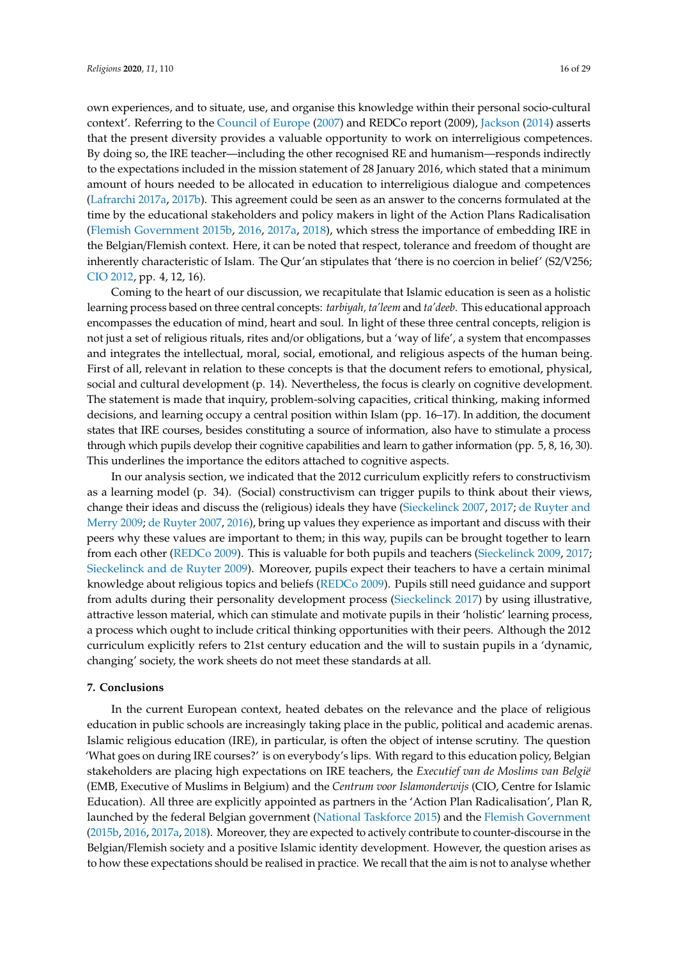own experiences, and to situate, use, and organise this knowledge within their personal socio-cultural context'. Referring to the [Council of Europe](#page-19-15) [\(2007\)](#page-19-15) and REDCo report (2009), [Jackson](#page-21-23) [\(2014\)](#page-21-23) asserts that the present diversity provides a valuable opportunity to work on interreligious competences. By doing so, the IRE teacher—including the other recognised RE and humanism—responds indirectly to the expectations included in the mission statement of 28 January 2016, which stated that a minimum amount of hours needed to be allocated in education to interreligious dialogue and competences [\(Lafrarchi](#page-23-0) [2017a,](#page-23-0) [2017b\)](#page-23-1). This agreement could be seen as an answer to the concerns formulated at the time by the educational stakeholders and policy makers in light of the Action Plans Radicalisation [\(Flemish Government](#page-26-0) [2015b,](#page-26-0) [2016,](#page-26-1) [2017a,](#page-26-3) [2018\)](#page-26-2), which stress the importance of embedding IRE in the Belgian/Flemish context. Here, it can be noted that respect, tolerance and freedom of thought are inherently characteristic of Islam. The Qur'an stipulates that 'there is no coercion in belief' (S2/V256; [CIO](#page-18-13) [2012,](#page-18-13) pp. 4, 12, 16).

Coming to the heart of our discussion, we recapitulate that Islamic education is seen as a holistic learning process based on three central concepts: *tarbiyah, ta'leem* and *ta'deeb*. This educational approach encompasses the education of mind, heart and soul. In light of these three central concepts, religion is not just a set of religious rituals, rites and/or obligations, but a 'way of life', a system that encompasses and integrates the intellectual, moral, social, emotional, and religious aspects of the human being. First of all, relevant in relation to these concepts is that the document refers to emotional, physical, social and cultural development (p. 14). Nevertheless, the focus is clearly on cognitive development. The statement is made that inquiry, problem-solving capacities, critical thinking, making informed decisions, and learning occupy a central position within Islam (pp. 16–17). In addition, the document states that IRE courses, besides constituting a source of information, also have to stimulate a process through which pupils develop their cognitive capabilities and learn to gather information (pp. 5, 8, 16, 30). This underlines the importance the editors attached to cognitive aspects.

In our analysis section, we indicated that the 2012 curriculum explicitly refers to constructivism as a learning model (p. 34). (Social) constructivism can trigger pupils to think about their views, change their ideas and discuss the (religious) ideals they have [\(Sieckelinck](#page-25-12) [2007,](#page-25-12) [2017;](#page-25-7) [de Ruyter and](#page-20-13) [Merry](#page-20-13) [2009;](#page-20-13) [de Ruyter](#page-19-16) [2007,](#page-19-16) [2016\)](#page-20-18), bring up values they experience as important and discuss with their peers why these values are important to them; in this way, pupils can be brought together to learn from each other [\(REDCo](#page-24-13) [2009\)](#page-24-13). This is valuable for both pupils and teachers [\(Sieckelinck](#page-25-10) [2009,](#page-25-10) [2017;](#page-25-7) [Sieckelinck and de Ruyter](#page-25-11) [2009\)](#page-25-11). Moreover, pupils expect their teachers to have a certain minimal knowledge about religious topics and beliefs [\(REDCo](#page-24-13) [2009\)](#page-24-13). Pupils still need guidance and support from adults during their personality development process [\(Sieckelinck](#page-25-7) [2017\)](#page-25-7) by using illustrative, attractive lesson material, which can stimulate and motivate pupils in their 'holistic' learning process, a process which ought to include critical thinking opportunities with their peers. Although the 2012 curriculum explicitly refers to 21st century education and the will to sustain pupils in a 'dynamic, changing' society, the work sheets do not meet these standards at all.

#### **7. Conclusions**

In the current European context, heated debates on the relevance and the place of religious education in public schools are increasingly taking place in the public, political and academic arenas. Islamic religious education (IRE), in particular, is often the object of intense scrutiny. The question 'What goes on during IRE courses?' is on everybody's lips. With regard to this education policy, Belgian stakeholders are placing high expectations on IRE teachers, the *Executief van de Moslims van België* (EMB, Executive of Muslims in Belgium) and the *Centrum voor Islamonderwijs* (CIO, Centre for Islamic Education). All three are explicitly appointed as partners in the 'Action Plan Radicalisation', Plan R, launched by the federal Belgian government [\(National Taskforce](#page-24-0) [2015\)](#page-24-0) and the [Flemish Government](#page-26-0) [\(2015b,](#page-26-0) [2016,](#page-26-1) [2017a,](#page-26-3) [2018\)](#page-26-2). Moreover, they are expected to actively contribute to counter-discourse in the Belgian/Flemish society and a positive Islamic identity development. However, the question arises as to how these expectations should be realised in practice. We recall that the aim is not to analyse whether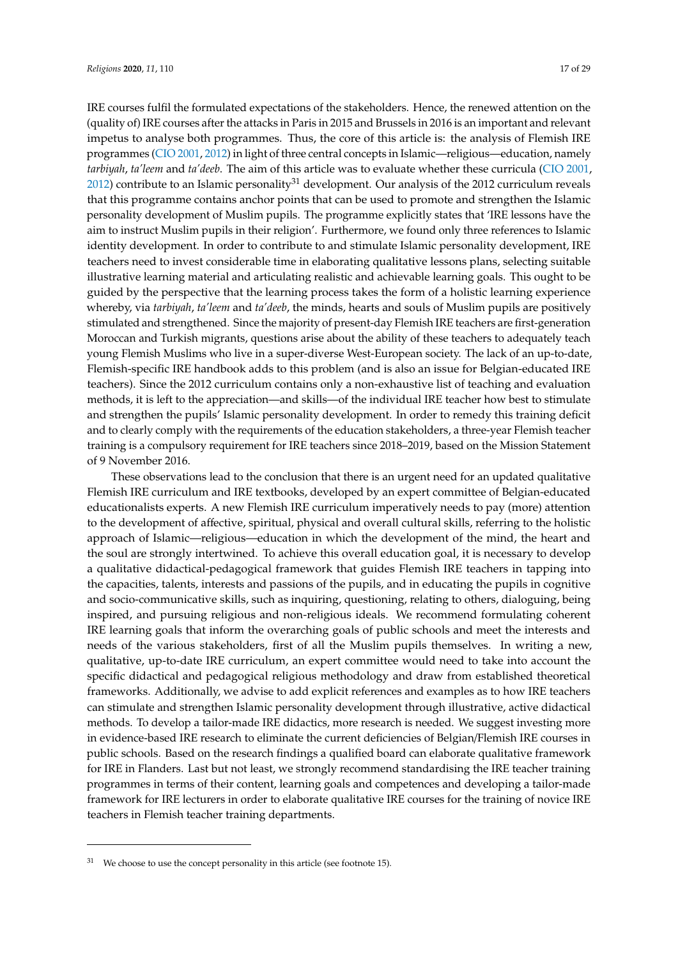IRE courses fulfil the formulated expectations of the stakeholders. Hence, the renewed attention on the (quality of) IRE courses after the attacks in Paris in 2015 and Brussels in 2016 is an important and relevant impetus to analyse both programmes. Thus, the core of this article is: the analysis of Flemish IRE programmes [\(CIO](#page-17-4) [2001,](#page-17-4) [2012\)](#page-18-13) in light of three central concepts in Islamic—religious—education, namely *tarbiyah*, *ta'leem* and *ta'deeb*. The aim of this article was to evaluate whether these curricula [\(CIO](#page-17-4) [2001,](#page-17-4) [2012\)](#page-18-13) contribute to an Islamic personality<sup>31</sup> development. Our analysis of the 2012 curriculum reveals that this programme contains anchor points that can be used to promote and strengthen the Islamic personality development of Muslim pupils. The programme explicitly states that 'IRE lessons have the aim to instruct Muslim pupils in their religion'. Furthermore, we found only three references to Islamic identity development. In order to contribute to and stimulate Islamic personality development, IRE teachers need to invest considerable time in elaborating qualitative lessons plans, selecting suitable illustrative learning material and articulating realistic and achievable learning goals. This ought to be guided by the perspective that the learning process takes the form of a holistic learning experience whereby, via *tarbiyah*, *ta'leem* and *ta'deeb*, the minds, hearts and souls of Muslim pupils are positively stimulated and strengthened. Since the majority of present-day Flemish IRE teachers are first-generation Moroccan and Turkish migrants, questions arise about the ability of these teachers to adequately teach young Flemish Muslims who live in a super-diverse West-European society. The lack of an up-to-date, Flemish-specific IRE handbook adds to this problem (and is also an issue for Belgian-educated IRE teachers). Since the 2012 curriculum contains only a non-exhaustive list of teaching and evaluation methods, it is left to the appreciation—and skills—of the individual IRE teacher how best to stimulate and strengthen the pupils' Islamic personality development. In order to remedy this training deficit and to clearly comply with the requirements of the education stakeholders, a three-year Flemish teacher training is a compulsory requirement for IRE teachers since 2018–2019, based on the Mission Statement of 9 November 2016.

These observations lead to the conclusion that there is an urgent need for an updated qualitative Flemish IRE curriculum and IRE textbooks, developed by an expert committee of Belgian-educated educationalists experts. A new Flemish IRE curriculum imperatively needs to pay (more) attention to the development of affective, spiritual, physical and overall cultural skills, referring to the holistic approach of Islamic—religious—education in which the development of the mind, the heart and the soul are strongly intertwined. To achieve this overall education goal, it is necessary to develop a qualitative didactical-pedagogical framework that guides Flemish IRE teachers in tapping into the capacities, talents, interests and passions of the pupils, and in educating the pupils in cognitive and socio-communicative skills, such as inquiring, questioning, relating to others, dialoguing, being inspired, and pursuing religious and non-religious ideals. We recommend formulating coherent IRE learning goals that inform the overarching goals of public schools and meet the interests and needs of the various stakeholders, first of all the Muslim pupils themselves. In writing a new, qualitative, up-to-date IRE curriculum, an expert committee would need to take into account the specific didactical and pedagogical religious methodology and draw from established theoretical frameworks. Additionally, we advise to add explicit references and examples as to how IRE teachers can stimulate and strengthen Islamic personality development through illustrative, active didactical methods. To develop a tailor-made IRE didactics, more research is needed. We suggest investing more in evidence-based IRE research to eliminate the current deficiencies of Belgian/Flemish IRE courses in public schools. Based on the research findings a qualified board can elaborate qualitative framework for IRE in Flanders. Last but not least, we strongly recommend standardising the IRE teacher training programmes in terms of their content, learning goals and competences and developing a tailor-made framework for IRE lecturers in order to elaborate qualitative IRE courses for the training of novice IRE teachers in Flemish teacher training departments.

 $31$  We choose to use the concept personality in this article (see footnote 15).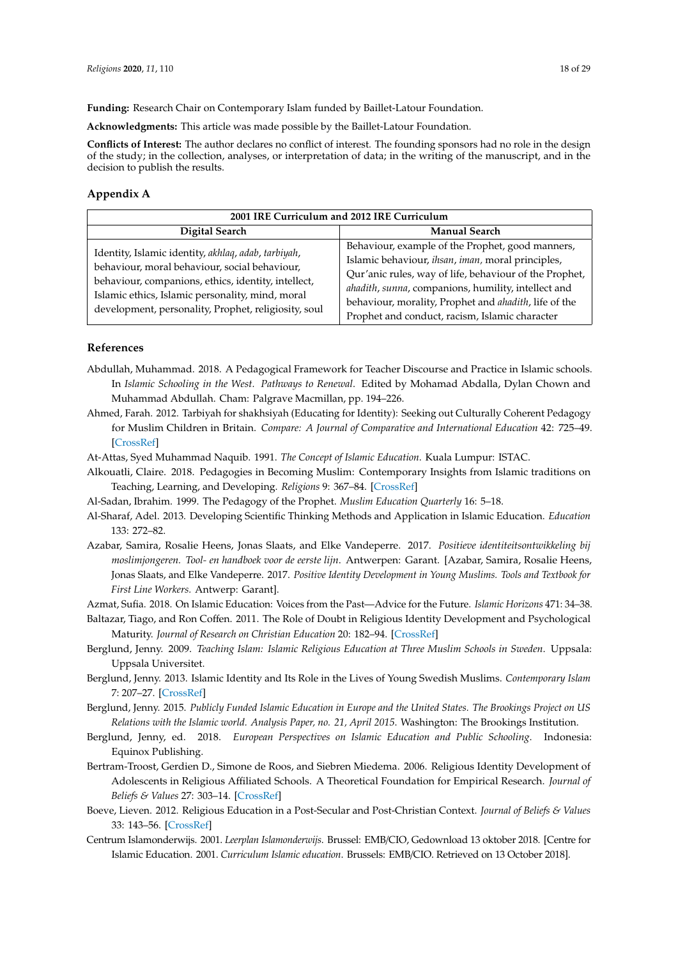**Funding:** Research Chair on Contemporary Islam funded by Baillet-Latour Foundation.

**Acknowledgments:** This article was made possible by the Baillet-Latour Foundation.

**Conflicts of Interest:** The author declares no conflict of interest. The founding sponsors had no role in the design of the study; in the collection, analyses, or interpretation of data; in the writing of the manuscript, and in the decision to publish the results.

# <span id="page-17-5"></span>**Appendix A**

| 2001 IRE Curriculum and 2012 IRE Curriculum                                                                                                                                                                                                                             |                                                                                                                                                                                                                                                                                                                                   |
|-------------------------------------------------------------------------------------------------------------------------------------------------------------------------------------------------------------------------------------------------------------------------|-----------------------------------------------------------------------------------------------------------------------------------------------------------------------------------------------------------------------------------------------------------------------------------------------------------------------------------|
| Digital Search                                                                                                                                                                                                                                                          | <b>Manual Search</b>                                                                                                                                                                                                                                                                                                              |
| Identity, Islamic identity, akhlaq, adab, tarbiyah,<br>behaviour, moral behaviour, social behaviour,<br>behaviour, companions, ethics, identity, intellect,<br>Islamic ethics, Islamic personality, mind, moral<br>development, personality, Prophet, religiosity, soul | Behaviour, example of the Prophet, good manners,<br>Islamic behaviour, ihsan, iman, moral principles,<br>Qur'anic rules, way of life, behaviour of the Prophet,<br>ahadith, sunna, companions, humility, intellect and<br>behaviour, morality, Prophet and ahadith, life of the<br>Prophet and conduct, racism, Islamic character |

# **References**

- <span id="page-17-9"></span>Abdullah, Muhammad. 2018. A Pedagogical Framework for Teacher Discourse and Practice in Islamic schools. In *Islamic Schooling in the West. Pathways to Renewal*. Edited by Mohamad Abdalla, Dylan Chown and Muhammad Abdullah. Cham: Palgrave Macmillan, pp. 194–226.
- <span id="page-17-0"></span>Ahmed, Farah. 2012. Tarbiyah for shakhsiyah (Educating for Identity): Seeking out Culturally Coherent Pedagogy for Muslim Children in Britain. *Compare: A Journal of Comparative and International Education* 42: 725–49. [\[CrossRef\]](http://dx.doi.org/10.1080/03057925.2012.706452)
- <span id="page-17-8"></span>At-Attas, Syed Muhammad Naquib. 1991. *The Concept of Islamic Education*. Kuala Lumpur: ISTAC.
- <span id="page-17-15"></span>Alkouatli, Claire. 2018. Pedagogies in Becoming Muslim: Contemporary Insights from Islamic traditions on Teaching, Learning, and Developing. *Religions* 9: 367–84. [\[CrossRef\]](http://dx.doi.org/10.3390/rel9110367)
- <span id="page-17-14"></span>Al-Sadan, Ibrahim. 1999. The Pedagogy of the Prophet. *Muslim Education Quarterly* 16: 5–18.
- <span id="page-17-12"></span>Al-Sharaf, Adel. 2013. Developing Scientific Thinking Methods and Application in Islamic Education. *Education* 133: 272–82.
- <span id="page-17-7"></span>Azabar, Samira, Rosalie Heens, Jonas Slaats, and Elke Vandeperre. 2017. *Positieve identiteitsontwikkeling bij moslimjongeren. Tool- en handboek voor de eerste lijn*. Antwerpen: Garant. [Azabar, Samira, Rosalie Heens, Jonas Slaats, and Elke Vandeperre. 2017. *Positive Identity Development in Young Muslims. Tools and Textbook for First Line Workers.* Antwerp: Garant].
- <span id="page-17-10"></span>Azmat, Sufia. 2018. On Islamic Education: Voices from the Past—Advice for the Future. *Islamic Horizons* 471: 34–38.
- <span id="page-17-11"></span>Baltazar, Tiago, and Ron Coffen. 2011. The Role of Doubt in Religious Identity Development and Psychological Maturity. *Journal of Research on Christian Education* 20: 182–94. [\[CrossRef\]](http://dx.doi.org/10.1080/10656219.2011.590123)
- <span id="page-17-1"></span>Berglund, Jenny. 2009. *Teaching Islam: Islamic Religious Education at Three Muslim Schools in Sweden*. Uppsala: Uppsala Universitet.
- <span id="page-17-2"></span>Berglund, Jenny. 2013. Islamic Identity and Its Role in the Lives of Young Swedish Muslims. *Contemporary Islam* 7: 207–27. [\[CrossRef\]](http://dx.doi.org/10.1007/s11562-012-0191-1)
- <span id="page-17-13"></span>Berglund, Jenny. 2015. *Publicly Funded Islamic Education in Europe and the United States. The Brookings Project on US Relations with the Islamic world. Analysis Paper, no. 21, April 2015*. Washington: The Brookings Institution.
- <span id="page-17-3"></span>Berglund, Jenny, ed. 2018. *European Perspectives on Islamic Education and Public Schooling*. Indonesia: Equinox Publishing.
- <span id="page-17-16"></span>Bertram-Troost, Gerdien D., Simone de Roos, and Siebren Miedema. 2006. Religious Identity Development of Adolescents in Religious Affiliated Schools. A Theoretical Foundation for Empirical Research. *Journal of Beliefs & Values* 27: 303–14. [\[CrossRef\]](http://dx.doi.org/10.1080/13617670601001165)
- <span id="page-17-6"></span>Boeve, Lieven. 2012. Religious Education in a Post-Secular and Post-Christian Context. *Journal of Beliefs & Values* 33: 143–56. [\[CrossRef\]](http://dx.doi.org/10.1080/13617672.2012.694058)
- <span id="page-17-4"></span>Centrum Islamonderwijs. 2001. *Leerplan Islamonderwijs*. Brussel: EMB/CIO, Gedownload 13 oktober 2018. [Centre for Islamic Education. 2001. *Curriculum Islamic education*. Brussels: EMB/CIO. Retrieved on 13 October 2018].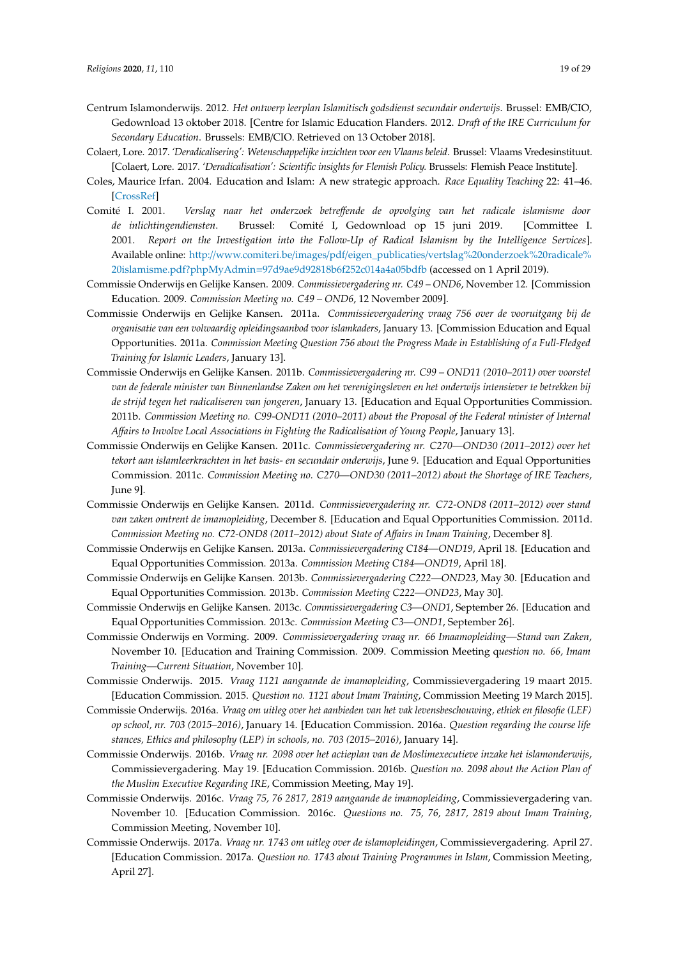- <span id="page-18-13"></span>Centrum Islamonderwijs. 2012. *Het ontwerp leerplan Islamitisch godsdienst secundair onderwijs*. Brussel: EMB/CIO, Gedownload 13 oktober 2018. [Centre for Islamic Education Flanders. 2012. *Draft of the IRE Curriculum for Secondary Education*. Brussels: EMB/CIO. Retrieved on 13 October 2018].
- <span id="page-18-9"></span>Colaert, Lore. 2017. *'Deradicalisering': Wetenschappelijke inzichten voor een Vlaams beleid*. Brussel: Vlaams Vredesinstituut. [Colaert, Lore. 2017. *'Deradicalisation': Scientific insights for Flemish Policy.* Brussels: Flemish Peace Institute].
- <span id="page-18-17"></span>Coles, Maurice Irfan. 2004. Education and Islam: A new strategic approach. *Race Equality Teaching* 22: 41–46. [\[CrossRef\]](http://dx.doi.org/10.18546/RET.22.3.13)
- <span id="page-18-0"></span>Comité I. 2001. *Verslag naar het onderzoek betre*ff*ende de opvolging van het radicale islamisme door de inlichtingendiensten*. Brussel: Comité I, Gedownload op 15 juni 2019. [Committee I. 2001. *Report on the Investigation into the Follow-Up of Radical Islamism by the Intelligence Services*]. Available online: http://www.comiteri.be/images/pdf/eigen\_publicaties/[vertslag%20onderzoek%20radicale%](http://www.comiteri.be/images/pdf/eigen_publicaties/vertslag%20onderzoek%20radicale%20islamisme.pdf?phpMyAdmin=97d9ae9d92818b6f252c014a4a05bdfb) 20islamisme.pdf?phpMyAdmin=[97d9ae9d92818b6f252c014a4a05bdfb](http://www.comiteri.be/images/pdf/eigen_publicaties/vertslag%20onderzoek%20radicale%20islamisme.pdf?phpMyAdmin=97d9ae9d92818b6f252c014a4a05bdfb) (accessed on 1 April 2019).
- <span id="page-18-3"></span>Commissie Onderwijs en Gelijke Kansen. 2009. *Commissievergadering nr. C49 – OND6*, November 12. [Commission Education. 2009. *Commission Meeting no. C49 – OND6*, 12 November 2009].
- <span id="page-18-10"></span>Commissie Onderwijs en Gelijke Kansen. 2011a. *Commissievergadering vraag 756 over de vooruitgang bij de organisatie van een volwaardig opleidingsaanbod voor islamkaders*, January 13. [Commission Education and Equal Opportunities. 2011a. *Commission Meeting Question 756 about the Progress Made in Establishing of a Full-Fledged Training for Islamic Leaders*, January 13].
- <span id="page-18-14"></span>Commissie Onderwijs en Gelijke Kansen. 2011b. *Commissievergadering nr. C99 – OND11 (2010–2011) over voorstel van de federale minister van Binnenlandse Zaken om het verenigingsleven en het onderwijs intensiever te betrekken bij de strijd tegen het radicaliseren van jongeren*, January 13. [Education and Equal Opportunities Commission. 2011b. *Commission Meeting no. C99-OND11 (2010–2011) about the Proposal of the Federal minister of Internal A*ff*airs to Involve Local Associations in Fighting the Radicalisation of Young People*, January 13].
- <span id="page-18-4"></span>Commissie Onderwijs en Gelijke Kansen. 2011c. *Commissievergadering nr. C270—OND30 (2011–2012) over het tekort aan islamleerkrachten in het basis- en secundair onderwijs*, June 9. [Education and Equal Opportunities Commission. 2011c. *Commission Meeting no. C270—OND30 (2011–2012) about the Shortage of IRE Teachers*, June 9].
- <span id="page-18-6"></span>Commissie Onderwijs en Gelijke Kansen. 2011d. *Commissievergadering nr. C72-OND8 (2011–2012) over stand van zaken omtrent de imamopleiding*, December 8. [Education and Equal Opportunities Commission. 2011d. *Commission Meeting no. C72-OND8 (2011–2012) about State of A*ff*airs in Imam Training*, December 8].
- <span id="page-18-16"></span>Commissie Onderwijs en Gelijke Kansen. 2013a. *Commissievergadering C184—OND19*, April 18. [Education and Equal Opportunities Commission. 2013a. *Commission Meeting C184—OND19*, April 18].
- <span id="page-18-15"></span>Commissie Onderwijs en Gelijke Kansen. 2013b. *Commissievergadering C222—OND23*, May 30. [Education and Equal Opportunities Commission. 2013b. *Commission Meeting C222—OND23*, May 30].
- <span id="page-18-11"></span>Commissie Onderwijs en Gelijke Kansen. 2013c. *Commissievergadering C3—OND1*, September 26. [Education and Equal Opportunities Commission. 2013c. *Commission Meeting C3—OND1*, September 26].
- <span id="page-18-5"></span>Commissie Onderwijs en Vorming. 2009. *Commissievergadering vraag nr. 66 Imaamopleiding—Stand van Zaken*, November 10. [Education and Training Commission. 2009. Commission Meeting q*uestion no. 66, Imam Training—Current Situation*, November 10].
- <span id="page-18-1"></span>Commissie Onderwijs. 2015. *Vraag 1121 aangaande de imamopleiding*, Commissievergadering 19 maart 2015. [Education Commission. 2015. *Question no. 1121 about Imam Training*, Commission Meeting 19 March 2015].
- <span id="page-18-12"></span>Commissie Onderwijs. 2016a. *Vraag om uitleg over het aanbieden van het vak levensbeschouwing, ethiek en filosofie (LEF) op school, nr. 703 (2015–2016)*, January 14. [Education Commission. 2016a. *Question regarding the course life stances, Ethics and philosophy (LEP) in schools, no. 703 (2015–2016)*, January 14].
- <span id="page-18-2"></span>Commissie Onderwijs. 2016b. *Vraag nr. 2098 over het actieplan van de Moslimexecutieve inzake het islamonderwijs*, Commissievergadering. May 19. [Education Commission. 2016b. *Question no. 2098 about the Action Plan of the Muslim Executive Regarding IRE*, Commission Meeting, May 19].
- <span id="page-18-7"></span>Commissie Onderwijs. 2016c. *Vraag 75, 76 2817, 2819 aangaande de imamopleiding*, Commissievergadering van. November 10. [Education Commission. 2016c. *Questions no. 75, 76, 2817, 2819 about Imam Training*, Commission Meeting, November 10].
- <span id="page-18-8"></span>Commissie Onderwijs. 2017a. *Vraag nr. 1743 om uitleg over de islamopleidingen*, Commissievergadering. April 27. [Education Commission. 2017a. *Question no. 1743 about Training Programmes in Islam*, Commission Meeting, April 27].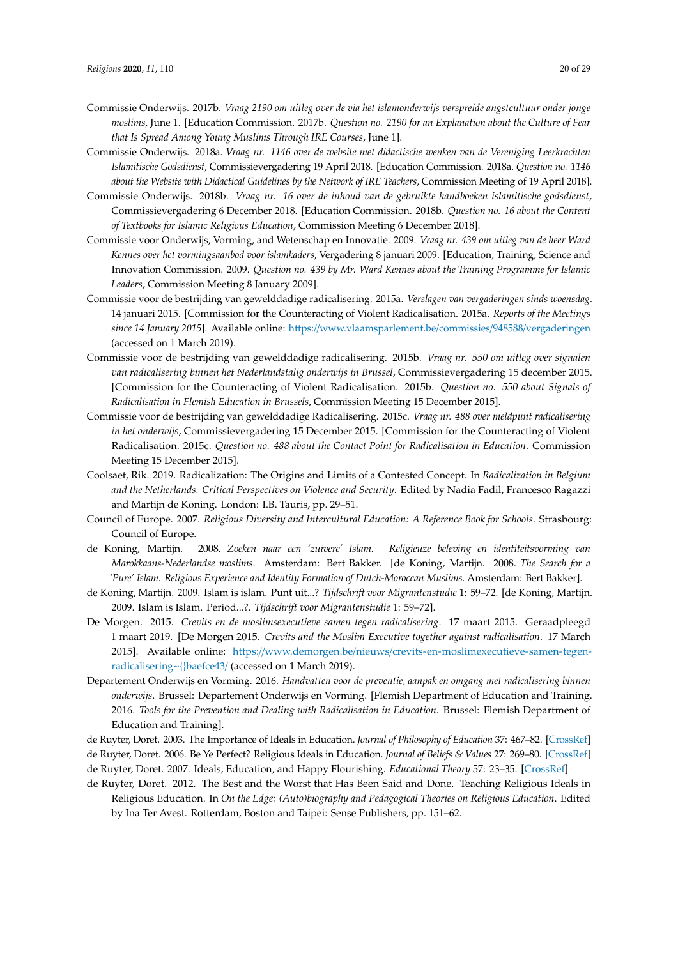- <span id="page-19-14"></span>Commissie Onderwijs. 2017b. *Vraag 2190 om uitleg over de via het islamonderwijs verspreide angstcultuur onder jonge moslims*, June 1. [Education Commission. 2017b. *Question no. 2190 for an Explanation about the Culture of Fear that Is Spread Among Young Muslims Through IRE Courses*, June 1].
- <span id="page-19-8"></span>Commissie Onderwijs. 2018a. *Vraag nr. 1146 over de website met didactische wenken van de Vereniging Leerkrachten Islamitische Godsdienst*, Commissievergadering 19 April 2018. [Education Commission. 2018a. *Question no. 1146 about the Website with Didactical Guidelines by the Network of IRE Teachers*, Commission Meeting of 19 April 2018].
- <span id="page-19-7"></span>Commissie Onderwijs. 2018b. *Vraag nr. 16 over de inhoud van de gebruikte handboeken islamitische godsdienst*, Commissievergadering 6 December 2018. [Education Commission. 2018b. *Question no. 16 about the Content of Textbooks for Islamic Religious Education*, Commission Meeting 6 December 2018].
- <span id="page-19-4"></span>Commissie voor Onderwijs, Vorming, and Wetenschap en Innovatie. 2009. *Vraag nr. 439 om uitleg van de heer Ward Kennes over het vormingsaanbod voor islamkaders*, Vergadering 8 januari 2009. [Education, Training, Science and Innovation Commission. 2009. *Question no. 439 by Mr. Ward Kennes about the Training Programme for Islamic Leaders*, Commission Meeting 8 January 2009].
- <span id="page-19-0"></span>Commissie voor de bestrijding van gewelddadige radicalisering. 2015a. *Verslagen van vergaderingen sinds woensdag*. 14 januari 2015. [Commission for the Counteracting of Violent Radicalisation. 2015a. *Reports of the Meetings since 14 January 2015*]. Available online: https://[www.vlaamsparlement.be](https://www.vlaamsparlement.be/commissies/948588/vergaderingen)/commissies/948588/vergaderingen (accessed on 1 March 2019).
- <span id="page-19-1"></span>Commissie voor de bestrijding van gewelddadige radicalisering. 2015b. *Vraag nr. 550 om uitleg over signalen van radicalisering binnen het Nederlandstalig onderwijs in Brussel*, Commissievergadering 15 december 2015. [Commission for the Counteracting of Violent Radicalisation. 2015b. *Question no. 550 about Signals of Radicalisation in Flemish Education in Brussels*, Commission Meeting 15 December 2015].
- <span id="page-19-3"></span>Commissie voor de bestrijding van gewelddadige Radicalisering. 2015c. *Vraag nr. 488 over meldpunt radicalisering in het onderwijs*, Commissievergadering 15 December 2015. [Commission for the Counteracting of Violent Radicalisation. 2015c. *Question no. 488 about the Contact Point for Radicalisation in Education*. Commission Meeting 15 December 2015].
- <span id="page-19-6"></span>Coolsaet, Rik. 2019. Radicalization: The Origins and Limits of a Contested Concept. In *Radicalization in Belgium and the Netherlands. Critical Perspectives on Violence and Security*. Edited by Nadia Fadil, Francesco Ragazzi and Martijn de Koning. London: I.B. Tauris, pp. 29–51.
- <span id="page-19-15"></span>Council of Europe. 2007. *Religious Diversity and Intercultural Education: A Reference Book for Schools*. Strasbourg: Council of Europe.
- <span id="page-19-9"></span>de Koning, Martijn. 2008. *Zoeken naar een 'zuivere' Islam. Religieuze beleving en identiteitsvorming van Marokkaans-Nederlandse moslims*. Amsterdam: Bert Bakker. [de Koning, Martijn. 2008. *The Search for a 'Pure' Islam. Religious Experience and Identity Formation of Dutch-Moroccan Muslims.* Amsterdam: Bert Bakker].
- <span id="page-19-10"></span>de Koning, Martijn. 2009. Islam is islam. Punt uit...? *Tijdschrift voor Migrantenstudie* 1: 59–72. [de Koning, Martijn. 2009. Islam is Islam. Period...?. *Tijdschrift voor Migrantenstudie* 1: 59–72].
- <span id="page-19-5"></span>De Morgen. 2015. *Crevits en de moslimsexecutieve samen tegen radicalisering*. 17 maart 2015. Geraadpleegd 1 maart 2019. [De Morgen 2015. *Crevits and the Moslim Executive together against radicalisation*. 17 March 2015]. Available online: https://www.demorgen.be/nieuws/[crevits-en-moslimexecutieve-samen-tegen](https://www.demorgen.be/nieuws/crevits-en-moslimexecutieve-samen-tegen-radicalisering~{}baefce43/)[radicalisering~{}baefce43](https://www.demorgen.be/nieuws/crevits-en-moslimexecutieve-samen-tegen-radicalisering~{}baefce43/)/ (accessed on 1 March 2019).
- <span id="page-19-2"></span>Departement Onderwijs en Vorming. 2016. *Handvatten voor de preventie, aanpak en omgang met radicalisering binnen onderwijs*. Brussel: Departement Onderwijs en Vorming. [Flemish Department of Education and Training. 2016. *Tools for the Prevention and Dealing with Radicalisation in Education*. Brussel: Flemish Department of Education and Training].

<span id="page-19-12"></span><span id="page-19-11"></span>de Ruyter, Doret. 2003. The Importance of Ideals in Education. *Journal of Philosophy of Education* 37: 467–82. [\[CrossRef\]](http://dx.doi.org/10.1111/1467-9752.00339) de Ruyter, Doret. 2006. Be Ye Perfect? Religious Ideals in Education. *Journal of Beliefs & Values* 27: 269–80. [\[CrossRef\]](http://dx.doi.org/10.1080/13617670601000977) de Ruyter, Doret. 2007. Ideals, Education, and Happy Flourishing. *Educational Theory* 57: 23–35. [\[CrossRef\]](http://dx.doi.org/10.1111/j.1741-5446.2006.00242.x)

<span id="page-19-16"></span><span id="page-19-13"></span>de Ruyter, Doret. 2012. The Best and the Worst that Has Been Said and Done. Teaching Religious Ideals in Religious Education. In *On the Edge: (Auto)biography and Pedagogical Theories on Religious Education*. Edited by Ina Ter Avest. Rotterdam, Boston and Taipei: Sense Publishers, pp. 151–62.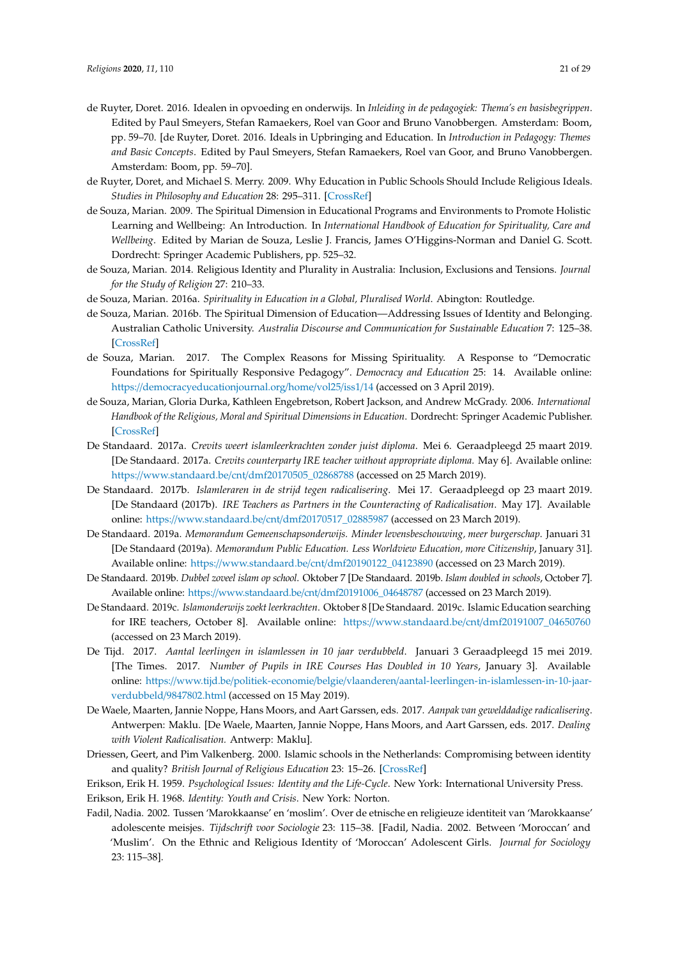- <span id="page-20-18"></span>de Ruyter, Doret. 2016. Idealen in opvoeding en onderwijs. In *Inleiding in de pedagogiek: Thema's en basisbegrippen*. Edited by Paul Smeyers, Stefan Ramaekers, Roel van Goor and Bruno Vanobbergen. Amsterdam: Boom, pp. 59–70. [de Ruyter, Doret. 2016. Ideals in Upbringing and Education. In *Introduction in Pedagogy: Themes and Basic Concepts*. Edited by Paul Smeyers, Stefan Ramaekers, Roel van Goor, and Bruno Vanobbergen. Amsterdam: Boom, pp. 59–70].
- <span id="page-20-13"></span>de Ruyter, Doret, and Michael S. Merry. 2009. Why Education in Public Schools Should Include Religious Ideals. *Studies in Philosophy and Education* 28: 295–311. [\[CrossRef\]](http://dx.doi.org/10.1007/s11217-008-9120-4)
- <span id="page-20-14"></span>de Souza, Marian. 2009. The Spiritual Dimension in Educational Programs and Environments to Promote Holistic Learning and Wellbeing: An Introduction. In *International Handbook of Education for Spirituality, Care and Wellbeing*. Edited by Marian de Souza, Leslie J. Francis, James O'Higgins-Norman and Daniel G. Scott. Dordrecht: Springer Academic Publishers, pp. 525–32.
- <span id="page-20-4"></span>de Souza, Marian. 2014. Religious Identity and Plurality in Australia: Inclusion, Exclusions and Tensions. *Journal for the Study of Religion* 27: 210–33.
- <span id="page-20-15"></span>de Souza, Marian. 2016a. *Spirituality in Education in a Global, Pluralised World*. Abington: Routledge.
- <span id="page-20-16"></span>de Souza, Marian. 2016b. The Spiritual Dimension of Education—Addressing Issues of Identity and Belonging. Australian Catholic University. *Australia Discourse and Communication for Sustainable Education* 7: 125–38. [\[CrossRef\]](http://dx.doi.org/10.1515/dcse-2016-0009)
- <span id="page-20-17"></span>de Souza, Marian. 2017. The Complex Reasons for Missing Spirituality. A Response to "Democratic Foundations for Spiritually Responsive Pedagogy". *Democracy and Education* 25: 14. Available online: https://[democracyeducationjournal.org](https://democracyeducationjournal.org/home/vol25/iss1/14)/home/vol25/iss1/14 (accessed on 3 April 2019).
- <span id="page-20-3"></span>de Souza, Marian, Gloria Durka, Kathleen Engebretson, Robert Jackson, and Andrew McGrady. 2006. *International Handbook of the Religious, Moral and Spiritual Dimensions in Education*. Dordrecht: Springer Academic Publisher. [\[CrossRef\]](http://dx.doi.org/10.1007/1-4020-5246-4)
- <span id="page-20-6"></span>De Standaard. 2017a. *Crevits weert islamleerkrachten zonder juist diploma*. Mei 6. Geraadpleegd 25 maart 2019. [De Standaard. 2017a. *Crevits counterparty IRE teacher without appropriate diploma.* May 6]. Available online: https://www.standaard.be/cnt/[dmf20170505\\_02868788](https://www.standaard.be/cnt/dmf20170505_02868788) (accessed on 25 March 2019).
- <span id="page-20-0"></span>De Standaard. 2017b. *Islamleraren in de strijd tegen radicalisering*. Mei 17. Geraadpleegd op 23 maart 2019. [De Standaard (2017b). *IRE Teachers as Partners in the Counteracting of Radicalisation*. May 17]. Available online: https://www.standaard.be/cnt/[dmf20170517\\_02885987](https://www.standaard.be/cnt/dmf20170517_02885987) (accessed on 23 March 2019).
- <span id="page-20-5"></span>De Standaard. 2019a. *Memorandum Gemeenschapsonderwijs. Minder levensbeschouwing, meer burgerschap*. Januari 31 [De Standaard (2019a). *Memorandum Public Education. Less Worldview Education, more Citizenship*, January 31]. Available online: https://www.standaard.be/cnt/[dmf20190122\\_04123890](https://www.standaard.be/cnt/dmf20190122_04123890) (accessed on 23 March 2019).
- <span id="page-20-7"></span>De Standaard. 2019b. *Dubbel zoveel islam op school*. Oktober 7 [De Standaard. 2019b. *Islam doubled in schools*, October 7]. Available online: https://www.standaard.be/cnt/[dmf20191006\\_04648787](https://www.standaard.be/cnt/dmf20191006_04648787) (accessed on 23 March 2019).
- <span id="page-20-8"></span>De Standaard. 2019c. *Islamonderwijs zoekt leerkrachten*. Oktober 8 [De Standaard. 2019c. Islamic Education searching for IRE teachers, October 8]. Available online: https://www.standaard.be/cnt/[dmf20191007\\_04650760](https://www.standaard.be/cnt/dmf20191007_04650760) (accessed on 23 March 2019).
- <span id="page-20-1"></span>De Tijd. 2017. *Aantal leerlingen in islamlessen in 10 jaar verdubbeld*. Januari 3 Geraadpleegd 15 mei 2019. [The Times. 2017. *Number of Pupils in IRE Courses Has Doubled in 10 Years*, January 3]. Available online: https://www.tijd.be/politiek-economie/belgie/vlaanderen/[aantal-leerlingen-in-islamlessen-in-10-jaar](https://www.tijd.be/politiek-economie/belgie/vlaanderen/aantal-leerlingen-in-islamlessen-in-10-jaar-verdubbeld/9847802.html)verdubbeld/[9847802.html](https://www.tijd.be/politiek-economie/belgie/vlaanderen/aantal-leerlingen-in-islamlessen-in-10-jaar-verdubbeld/9847802.html) (accessed on 15 May 2019).
- <span id="page-20-2"></span>De Waele, Maarten, Jannie Noppe, Hans Moors, and Aart Garssen, eds. 2017. *Aanpak van gewelddadige radicalisering*. Antwerpen: Maklu. [De Waele, Maarten, Jannie Noppe, Hans Moors, and Aart Garssen, eds. 2017. *Dealing with Violent Radicalisation.* Antwerp: Maklu].
- <span id="page-20-12"></span>Driessen, Geert, and Pim Valkenberg. 2000. Islamic schools in the Netherlands: Compromising between identity and quality? *British Journal of Religious Education* 23: 15–26. [\[CrossRef\]](http://dx.doi.org/10.1080/0141620000230103)

<span id="page-20-10"></span>Erikson, Erik H. 1959. *Psychological Issues: Identity and the Life-Cycle*. New York: International University Press.

- <span id="page-20-11"></span>Erikson, Erik H. 1968. *Identity: Youth and Crisis*. New York: Norton.
- <span id="page-20-9"></span>Fadil, Nadia. 2002. Tussen 'Marokkaanse' en 'moslim'. Over de etnische en religieuze identiteit van 'Marokkaanse' adolescente meisjes. *Tijdschrift voor Sociologie* 23: 115–38. [Fadil, Nadia. 2002. Between 'Moroccan' and 'Muslim'. On the Ethnic and Religious Identity of 'Moroccan' Adolescent Girls. *Journal for Sociology* 23: 115–38].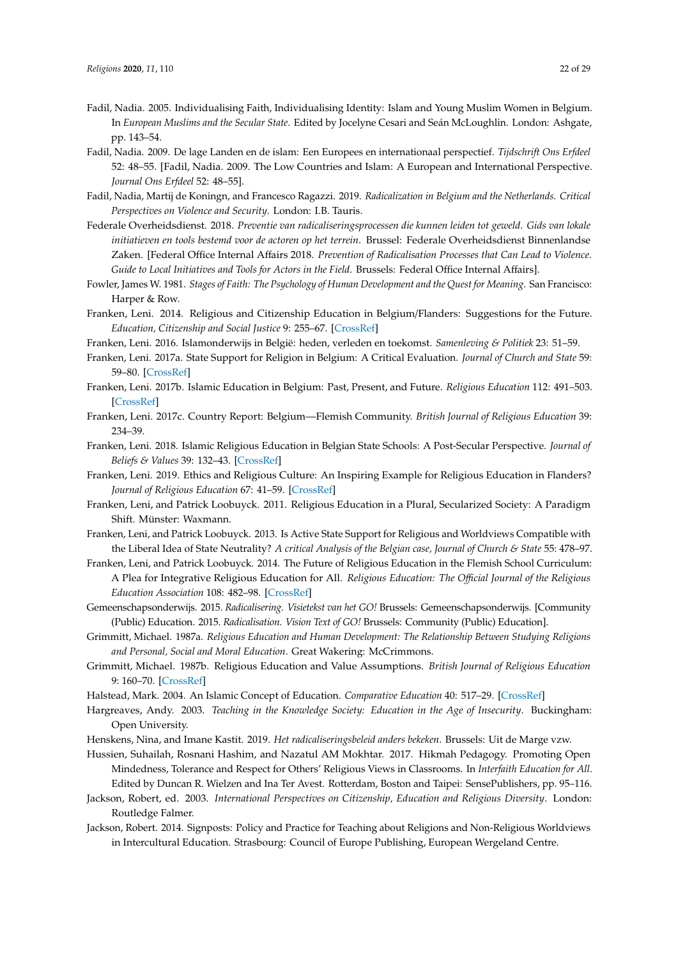- <span id="page-21-16"></span>Fadil, Nadia. 2005. Individualising Faith, Individualising Identity: Islam and Young Muslim Women in Belgium. In *European Muslims and the Secular State*. Edited by Jocelyne Cesari and Seán McLoughlin. London: Ashgate, pp. 143–54.
- <span id="page-21-17"></span>Fadil, Nadia. 2009. De lage Landen en de islam: Een Europees en internationaal perspectief. *Tijdschrift Ons Erfdeel* 52: 48–55. [Fadil, Nadia. 2009. The Low Countries and Islam: A European and International Perspective. *Journal Ons Erfdeel* 52: 48–55].
- <span id="page-21-2"></span>Fadil, Nadia, Martij de Koningn, and Francesco Ragazzi. 2019. *Radicalization in Belgium and the Netherlands. Critical Perspectives on Violence and Security*. London: I.B. Tauris.
- <span id="page-21-1"></span>Federale Overheidsdienst. 2018. *Preventie van radicaliseringsprocessen die kunnen leiden tot geweld. Gids van lokale initiatieven en tools bestemd voor de actoren op het terrein*. Brussel: Federale Overheidsdienst Binnenlandse Zaken. [Federal Office Internal Affairs 2018. *Prevention of Radicalisation Processes that Can Lead to Violence. Guide to Local Initiatives and Tools for Actors in the Field*. Brussels: Federal Office Internal Affairs].
- <span id="page-21-18"></span>Fowler, James W. 1981. *Stages of Faith: The Psychology of Human Development and the Quest for Meaning*. San Francisco: Harper & Row.
- <span id="page-21-7"></span>Franken, Leni. 2014. Religious and Citizenship Education in Belgium/Flanders: Suggestions for the Future. *Education, Citizenship and Social Justice* 9: 255–67. [\[CrossRef\]](http://dx.doi.org/10.1177/1746197914545924)
- <span id="page-21-12"></span>Franken, Leni. 2016. Islamonderwijs in België: heden, verleden en toekomst. *Samenleving & Politiek* 23: 51–59.
- <span id="page-21-8"></span>Franken, Leni. 2017a. State Support for Religion in Belgium: A Critical Evaluation. *Journal of Church and State* 59: 59–80. [\[CrossRef\]](http://dx.doi.org/10.1093/jcs/csv099)
- <span id="page-21-14"></span>Franken, Leni. 2017b. Islamic Education in Belgium: Past, Present, and Future. *Religious Education* 112: 491–503. [\[CrossRef\]](http://dx.doi.org/10.1080/00344087.2017.1303300)
- <span id="page-21-9"></span>Franken, Leni. 2017c. Country Report: Belgium—Flemish Community. *British Journal of Religious Education* 39: 234–39.
- <span id="page-21-15"></span>Franken, Leni. 2018. Islamic Religious Education in Belgian State Schools: A Post-Secular Perspective. *Journal of Beliefs & Values* 39: 132–43. [\[CrossRef\]](http://dx.doi.org/10.1080/13617672.2018.1451602)
- <span id="page-21-13"></span>Franken, Leni. 2019. Ethics and Religious Culture: An Inspiring Example for Religious Education in Flanders? *Journal of Religious Education* 67: 41–59. [\[CrossRef\]](http://dx.doi.org/10.1007/s40839-018-0073-9)
- <span id="page-21-10"></span>Franken, Leni, and Patrick Loobuyck. 2011. Religious Education in a Plural, Secularized Society: A Paradigm Shift. Münster: Waxmann.
- <span id="page-21-6"></span>Franken, Leni, and Patrick Loobuyck. 2013. Is Active State Support for Religious and Worldviews Compatible with the Liberal Idea of State Neutrality? *A critical Analysis of the Belgian case, Journal of Church & State* 55: 478–97.
- <span id="page-21-11"></span>Franken, Leni, and Patrick Loobuyck. 2014. The Future of Religious Education in the Flemish School Curriculum: A Plea for Integrative Religious Education for All. *Religious Education: The O*ffi*cial Journal of the Religious Education Association* 108: 482–98. [\[CrossRef\]](http://dx.doi.org/10.1080/00344087.2013.835641)
- <span id="page-21-0"></span>Gemeenschapsonderwijs. 2015. *Radicalisering. Visietekst van het GO!* Brussels: Gemeenschapsonderwijs. [Community (Public) Education. 2015. *Radicalisation. Vision Text of GO!* Brussels: Community (Public) Education].
- <span id="page-21-20"></span>Grimmitt, Michael. 1987a. *Religious Education and Human Development: The Relationship Between Studying Religions and Personal, Social and Moral Education*. Great Wakering: McCrimmons.
- <span id="page-21-21"></span>Grimmitt, Michael. 1987b. Religious Education and Value Assumptions. *British Journal of Religious Education* 9: 160–70. [\[CrossRef\]](http://dx.doi.org/10.1080/0141620870090308)
- <span id="page-21-4"></span>Halstead, Mark. 2004. An Islamic Concept of Education. *Comparative Education* 40: 517–29. [\[CrossRef\]](http://dx.doi.org/10.1080/0305006042000284510)
- <span id="page-21-22"></span>Hargreaves, Andy. 2003. *Teaching in the Knowledge Society: Education in the Age of Insecurity*. Buckingham: Open University.
- <span id="page-21-3"></span>Henskens, Nina, and Imane Kastit. 2019. *Het radicaliseringsbeleid anders bekeken*. Brussels: Uit de Marge vzw.
- <span id="page-21-19"></span>Hussien, Suhailah, Rosnani Hashim, and Nazatul AM Mokhtar. 2017. Hikmah Pedagogy. Promoting Open Mindedness, Tolerance and Respect for Others' Religious Views in Classrooms. In *Interfaith Education for All*. Edited by Duncan R. Wielzen and Ina Ter Avest. Rotterdam, Boston and Taipei: SensePublishers, pp. 95–116.
- <span id="page-21-5"></span>Jackson, Robert, ed. 2003. *International Perspectives on Citizenship, Education and Religious Diversity*. London: Routledge Falmer.
- <span id="page-21-23"></span>Jackson, Robert. 2014. Signposts: Policy and Practice for Teaching about Religions and Non-Religious Worldviews in Intercultural Education. Strasbourg: Council of Europe Publishing, European Wergeland Centre.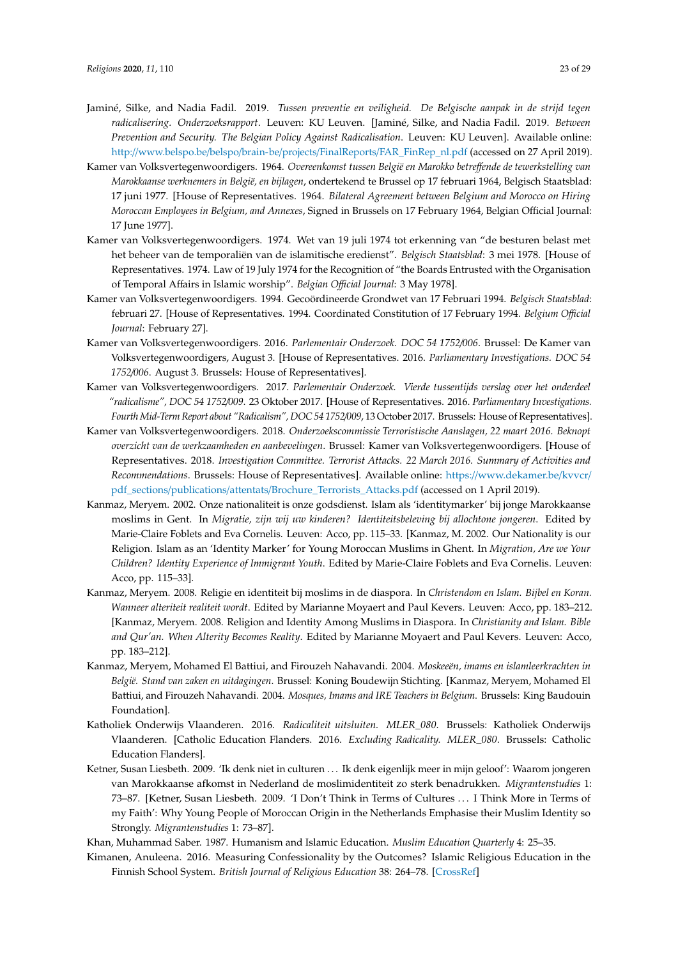- <span id="page-22-4"></span>Jaminé, Silke, and Nadia Fadil. 2019. *Tussen preventie en veiligheid. De Belgische aanpak in de strijd tegen radicalisering. Onderzoeksrapport*. Leuven: KU Leuven. [Jaminé, Silke, and Nadia Fadil. 2019. *Between Prevention and Security. The Belgian Policy Against Radicalisation*. Leuven: KU Leuven]. Available online: http://www.belspo.be/belspo/brain-be/projects/FinalReports/[FAR\\_FinRep\\_nl.pdf](http://www.belspo.be/belspo/brain-be/projects/FinalReports/FAR_FinRep_nl.pdf) (accessed on 27 April 2019).
- <span id="page-22-7"></span>Kamer van Volksvertegenwoordigers. 1964. *Overeenkomst tussen België en Marokko betre*ff*ende de tewerkstelling van Marokkaanse werknemers in België, en bijlagen*, ondertekend te Brussel op 17 februari 1964, Belgisch Staatsblad: 17 juni 1977. [House of Representatives. 1964. *Bilateral Agreement between Belgium and Morocco on Hiring Moroccan Employees in Belgium, and Annexes*, Signed in Brussels on 17 February 1964, Belgian Official Journal: 17 June 1977].
- <span id="page-22-8"></span>Kamer van Volksvertegenwoordigers. 1974. Wet van 19 juli 1974 tot erkenning van "de besturen belast met het beheer van de temporaliën van de islamitische eredienst". *Belgisch Staatsblad*: 3 mei 1978. [House of Representatives. 1974. Law of 19 July 1974 for the Recognition of "the Boards Entrusted with the Organisation of Temporal Affairs in Islamic worship". *Belgian O*ffi*cial Journal*: 3 May 1978].
- <span id="page-22-6"></span>Kamer van Volksvertegenwoordigers. 1994. Gecoördineerde Grondwet van 17 Februari 1994. *Belgisch Staatsblad*: februari 27. [House of Representatives. 1994. Coordinated Constitution of 17 February 1994. *Belgium O*ffi*cial Journal*: February 27].
- <span id="page-22-0"></span>Kamer van Volksvertegenwoordigers. 2016. *Parlementair Onderzoek. DOC 54 1752*/*006*. Brussel: De Kamer van Volksvertegenwoordigers, August 3. [House of Representatives. 2016. *Parliamentary Investigations. DOC 54 1752*/*006*. August 3. Brussels: House of Representatives].
- <span id="page-22-1"></span>Kamer van Volksvertegenwoordigers. 2017. *Parlementair Onderzoek. Vierde tussentijds verslag over het onderdeel "radicalisme", DOC 54 1752*/*009*. 23 Oktober 2017. [House of Representatives. 2016. *Parliamentary Investigations. Fourth Mid-Term Report about "Radicalism", DOC 54 1752*/*009*, 13 October 2017. Brussels: House of Representatives].
- <span id="page-22-2"></span>Kamer van Volksvertegenwoordigers. 2018. *Onderzoekscommissie Terroristische Aanslagen, 22 maart 2016. Beknopt overzicht van de werkzaamheden en aanbevelingen*. Brussel: Kamer van Volksvertegenwoordigers. [House of Representatives. 2018. *Investigation Committee. Terrorist Attacks. 22 March 2016. Summary of Activities and Recommendations*. Brussels: House of Representatives]. Available online: https://[www.dekamer.be](https://www.dekamer.be/kvvcr/pdf_sections/publications/attentats/Brochure_Terrorists_Attacks.pdf)/kvvcr/ pdf\_sections/publications/attentats/[Brochure\\_Terrorists\\_Attacks.pdf](https://www.dekamer.be/kvvcr/pdf_sections/publications/attentats/Brochure_Terrorists_Attacks.pdf) (accessed on 1 April 2019).
- <span id="page-22-9"></span>Kanmaz, Meryem. 2002. Onze nationaliteit is onze godsdienst. Islam als 'identitymarker' bij jonge Marokkaanse moslims in Gent. In *Migratie, zijn wij uw kinderen? Identiteitsbeleving bij allochtone jongeren*. Edited by Marie-Claire Foblets and Eva Cornelis. Leuven: Acco, pp. 115–33. [Kanmaz, M. 2002. Our Nationality is our Religion. Islam as an 'Identity Marker' for Young Moroccan Muslims in Ghent. In *Migration, Are we Your Children? Identity Experience of Immigrant Youth*. Edited by Marie-Claire Foblets and Eva Cornelis. Leuven: Acco, pp. 115–33].
- <span id="page-22-10"></span>Kanmaz, Meryem. 2008. Religie en identiteit bij moslims in de diaspora. In *Christendom en Islam. Bijbel en Koran. Wanneer alteriteit realiteit wordt*. Edited by Marianne Moyaert and Paul Kevers. Leuven: Acco, pp. 183–212. [Kanmaz, Meryem. 2008. Religion and Identity Among Muslims in Diaspora. In *Christianity and Islam. Bible and Qur'an. When Alterity Becomes Reality*. Edited by Marianne Moyaert and Paul Kevers. Leuven: Acco, pp. 183–212].
- <span id="page-22-12"></span>Kanmaz, Meryem, Mohamed El Battiui, and Firouzeh Nahavandi. 2004. *Moskeeën, imams en islamleerkrachten in België. Stand van zaken en uitdagingen*. Brussel: Koning Boudewijn Stichting. [Kanmaz, Meryem, Mohamed El Battiui, and Firouzeh Nahavandi. 2004. *Mosques, Imams and IRE Teachers in Belgium*. Brussels: King Baudouin Foundation].
- <span id="page-22-3"></span>Katholiek Onderwijs Vlaanderen. 2016. *Radicaliteit uitsluiten. MLER\_080*. Brussels: Katholiek Onderwijs Vlaanderen. [Catholic Education Flanders. 2016. *Excluding Radicality. MLER\_080*. Brussels: Catholic Education Flanders].
- <span id="page-22-11"></span>Ketner, Susan Liesbeth. 2009. 'Ik denk niet in culturen . . . Ik denk eigenlijk meer in mijn geloof': Waarom jongeren van Marokkaanse afkomst in Nederland de moslimidentiteit zo sterk benadrukken. *Migrantenstudies* 1: 73–87. [Ketner, Susan Liesbeth. 2009. 'I Don't Think in Terms of Cultures . . . I Think More in Terms of my Faith': Why Young People of Moroccan Origin in the Netherlands Emphasise their Muslim Identity so Strongly. *Migrantenstudies* 1: 73–87].
- <span id="page-22-13"></span>Khan, Muhammad Saber. 1987. Humanism and Islamic Education. *Muslim Education Quarterly* 4: 25–35.
- <span id="page-22-5"></span>Kimanen, Anuleena. 2016. Measuring Confessionality by the Outcomes? Islamic Religious Education in the Finnish School System. *British Journal of Religious Education* 38: 264–78. [\[CrossRef\]](http://dx.doi.org/10.1080/01416200.2014.984582)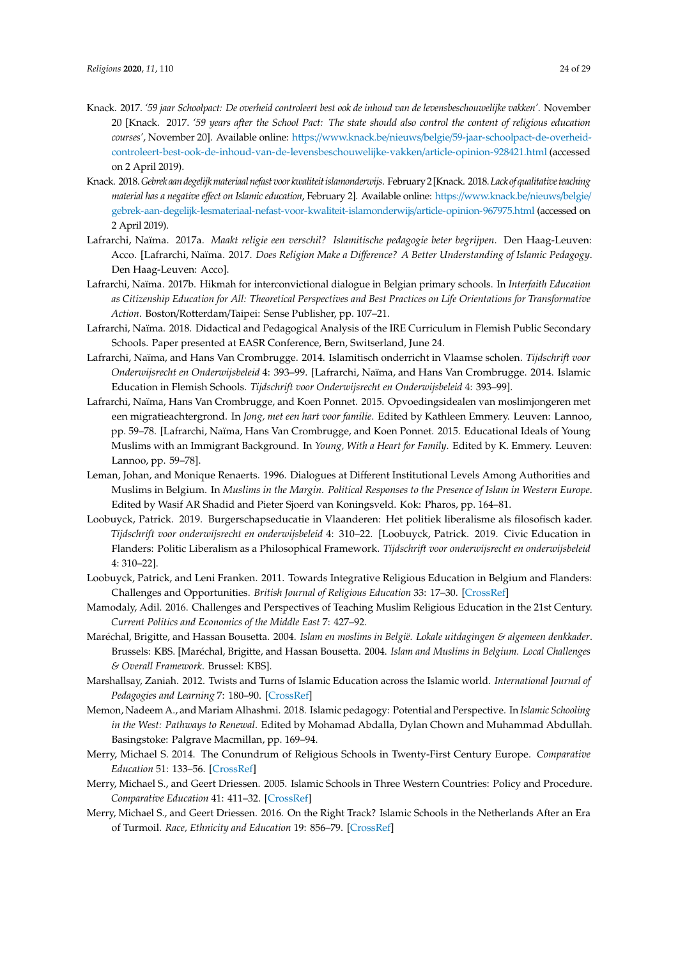- <span id="page-23-6"></span>Knack. 2017. *'59 jaar Schoolpact: De overheid controleert best ook de inhoud van de levensbeschouwelijke vakken'*. November 20 [Knack. 2017. *'59 years after the School Pact: The state should also control the content of religious education courses'*, November 20]. Available online: https://www.knack.be/nieuws/belgie/[59-jaar-schoolpact-de-overheid](https://www.knack.be/nieuws/belgie/59-jaar-schoolpact-de-overheid-controleert-best-ook-de-inhoud-van-de-levensbeschouwelijke-vakken/article-opinion-928421.html)[controleert-best-ook-de-inhoud-van-de-levensbeschouwelijke-vakken](https://www.knack.be/nieuws/belgie/59-jaar-schoolpact-de-overheid-controleert-best-ook-de-inhoud-van-de-levensbeschouwelijke-vakken/article-opinion-928421.html)/article-opinion-928421.html (accessed on 2 April 2019).
- <span id="page-23-7"></span>Knack. 2018.*Gebrek aan degelijkmateriaal nefast voor kwaliteitislamonderwijs*. February 2 [Knack. 2018.*Lack of qualitative teaching material has a negative effect on Islamic education*, February 2]. Available online: https://[www.knack.be](https://www.knack.be/nieuws/belgie/gebrek-aan-degelijk-lesmateriaal-nefast-voor-kwaliteit-islamonderwijs/article-opinion-967975.html)/nieuws/belgie/ [gebrek-aan-degelijk-lesmateriaal-nefast-voor-kwaliteit-islamonderwijs](https://www.knack.be/nieuws/belgie/gebrek-aan-degelijk-lesmateriaal-nefast-voor-kwaliteit-islamonderwijs/article-opinion-967975.html)/article-opinion-967975.html (accessed on 2 April 2019).
- <span id="page-23-0"></span>Lafrarchi, Naïma. 2017a. *Maakt religie een verschil? Islamitische pedagogie beter begrijpen*. Den Haag-Leuven: Acco. [Lafrarchi, Naïma. 2017. *Does Religion Make a Di*ff*erence? A Better Understanding of Islamic Pedagogy*. Den Haag-Leuven: Acco].
- <span id="page-23-1"></span>Lafrarchi, Naïma. 2017b. Hikmah for interconvictional dialogue in Belgian primary schools. In *Interfaith Education as Citizenship Education for All: Theoretical Perspectives and Best Practices on Life Orientations for Transformative Action*. Boston/Rotterdam/Taipei: Sense Publisher, pp. 107–21.
- <span id="page-23-9"></span>Lafrarchi, Naïma. 2018. Didactical and Pedagogical Analysis of the IRE Curriculum in Flemish Public Secondary Schools. Paper presented at EASR Conference, Bern, Switserland, June 24.
- <span id="page-23-8"></span>Lafrarchi, Naïma, and Hans Van Crombrugge. 2014. Islamitisch onderricht in Vlaamse scholen. *Tijdschrift voor Onderwijsrecht en Onderwijsbeleid* 4: 393–99. [Lafrarchi, Naïma, and Hans Van Crombrugge. 2014. Islamic Education in Flemish Schools. *Tijdschrift voor Onderwijsrecht en Onderwijsbeleid* 4: 393–99].
- <span id="page-23-13"></span>Lafrarchi, Naïma, Hans Van Crombrugge, and Koen Ponnet. 2015. Opvoedingsidealen van moslimjongeren met een migratieachtergrond. In *Jong, met een hart voor familie*. Edited by Kathleen Emmery. Leuven: Lannoo, pp. 59–78. [Lafrarchi, Naïma, Hans Van Crombrugge, and Koen Ponnet. 2015. Educational Ideals of Young Muslims with an Immigrant Background. In *Young, With a Heart for Family*. Edited by K. Emmery. Leuven: Lannoo, pp. 59–78].
- <span id="page-23-10"></span>Leman, Johan, and Monique Renaerts. 1996. Dialogues at Different Institutional Levels Among Authorities and Muslims in Belgium. In *Muslims in the Margin. Political Responses to the Presence of Islam in Western Europe*. Edited by Wasif AR Shadid and Pieter Sjoerd van Koningsveld. Kok: Pharos, pp. 164–81.
- <span id="page-23-5"></span>Loobuyck, Patrick. 2019. Burgerschapseducatie in Vlaanderen: Het politiek liberalisme als filosofisch kader. *Tijdschrift voor onderwijsrecht en onderwijsbeleid* 4: 310–22. [Loobuyck, Patrick. 2019. Civic Education in Flanders: Politic Liberalism as a Philosophical Framework. *Tijdschrift voor onderwijsrecht en onderwijsbeleid* 4: 310–22].
- <span id="page-23-4"></span>Loobuyck, Patrick, and Leni Franken. 2011. Towards Integrative Religious Education in Belgium and Flanders: Challenges and Opportunities. *British Journal of Religious Education* 33: 17–30. [\[CrossRef\]](http://dx.doi.org/10.1080/01416200.2011.523517)
- <span id="page-23-14"></span>Mamodaly, Adil. 2016. Challenges and Perspectives of Teaching Muslim Religious Education in the 21st Century. *Current Politics and Economics of the Middle East* 7: 427–92.
- <span id="page-23-11"></span>Maréchal, Brigitte, and Hassan Bousetta. 2004. *Islam en moslims in België. Lokale uitdagingen & algemeen denkkader*. Brussels: KBS. [Maréchal, Brigitte, and Hassan Bousetta. 2004. *Islam and Muslims in Belgium. Local Challenges & Overall Framework*. Brussel: KBS].
- <span id="page-23-15"></span>Marshallsay, Zaniah. 2012. Twists and Turns of Islamic Education across the Islamic world. *International Journal of Pedagogies and Learning* 7: 180–90. [\[CrossRef\]](http://dx.doi.org/10.5172/ijpl.2012.7.3.180)
- <span id="page-23-16"></span>Memon, Nadeem A., and Mariam Alhashmi. 2018. Islamic pedagogy: Potential and Perspective. In *Islamic Schooling in the West: Pathways to Renewal*. Edited by Mohamad Abdalla, Dylan Chown and Muhammad Abdullah. Basingstoke: Palgrave Macmillan, pp. 169–94.
- <span id="page-23-3"></span>Merry, Michael S. 2014. The Conundrum of Religious Schools in Twenty-First Century Europe. *Comparative Education* 51: 133–56. [\[CrossRef\]](http://dx.doi.org/10.1080/03050068.2014.935582)
- <span id="page-23-12"></span>Merry, Michael S., and Geert Driessen. 2005. Islamic Schools in Three Western Countries: Policy and Procedure. *Comparative Education* 41: 411–32. [\[CrossRef\]](http://dx.doi.org/10.1080/03050060500300931)
- <span id="page-23-2"></span>Merry, Michael S., and Geert Driessen. 2016. On the Right Track? Islamic Schools in the Netherlands After an Era of Turmoil. *Race, Ethnicity and Education* 19: 856–79. [\[CrossRef\]](http://dx.doi.org/10.1080/13613324.2014.985586)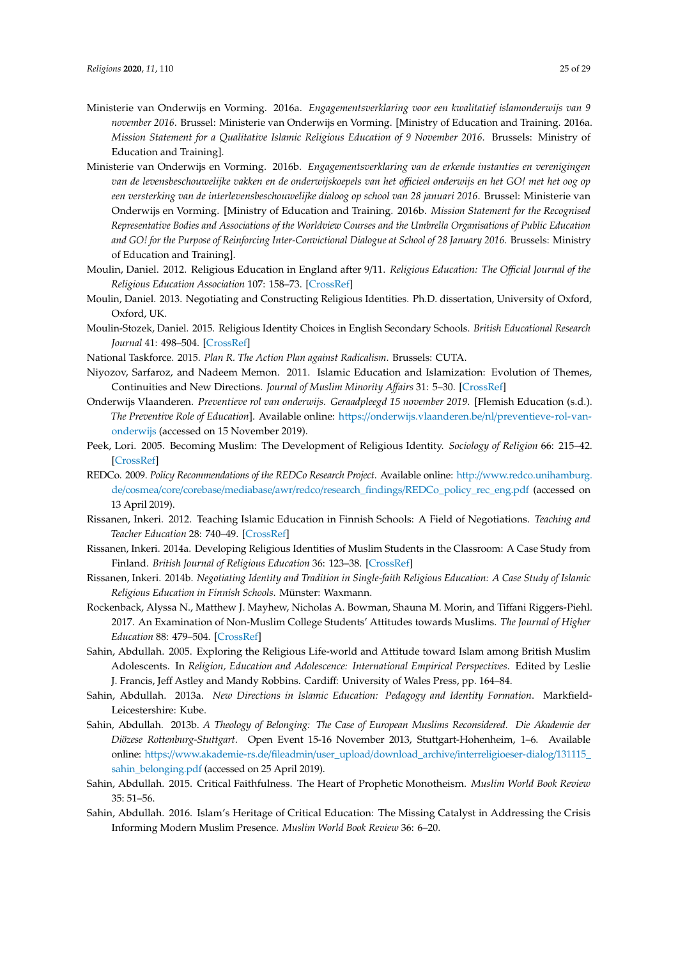- <span id="page-24-3"></span>Ministerie van Onderwijs en Vorming. 2016a. *Engagementsverklaring voor een kwalitatief islamonderwijs van 9 november 2016*. Brussel: Ministerie van Onderwijs en Vorming. [Ministry of Education and Training. 2016a. *Mission Statement for a Qualitative Islamic Religious Education of 9 November 2016*. Brussels: Ministry of Education and Training].
- <span id="page-24-2"></span>Ministerie van Onderwijs en Vorming. 2016b. *Engagementsverklaring van de erkende instanties en verenigingen van de levensbeschouwelijke vakken en de onderwijskoepels van het o*ffi*cieel onderwijs en het GO! met het oog op een versterking van de interlevensbeschouwelijke dialoog op school van 28 januari 2016*. Brussel: Ministerie van Onderwijs en Vorming. [Ministry of Education and Training. 2016b. *Mission Statement for the Recognised Representative Bodies and Associations of the Worldview Courses and the Umbrella Organisations of Public Education and GO! for the Purpose of Reinforcing Inter-Convictional Dialogue at School of 28 January 2016*. Brussels: Ministry of Education and Training].
- <span id="page-24-14"></span>Moulin, Daniel. 2012. Religious Education in England after 9/11. *Religious Education: The O*ffi*cial Journal of the Religious Education Association* 107: 158–73. [\[CrossRef\]](http://dx.doi.org/10.1080/00344087.2012.660418)
- <span id="page-24-15"></span>Moulin, Daniel. 2013. Negotiating and Constructing Religious Identities. Ph.D. dissertation, University of Oxford, Oxford, UK.
- <span id="page-24-16"></span>Moulin-Stozek, Daniel. 2015. Religious Identity Choices in English Secondary Schools. *British Educational Research Journal* 41: 498–504. [\[CrossRef\]](http://dx.doi.org/10.1002/BERJ.3151)
- <span id="page-24-10"></span><span id="page-24-0"></span>National Taskforce. 2015. *Plan R. The Action Plan against Radicalism*. Brussels: CUTA.
- Niyozov, Sarfaroz, and Nadeem Memon. 2011. Islamic Education and Islamization: Evolution of Themes, Continuities and New Directions. *Journal of Muslim Minority A*ff*airs* 31: 5–30. [\[CrossRef\]](http://dx.doi.org/10.1080/13602004.2011.556886)
- <span id="page-24-1"></span>Onderwijs Vlaanderen. *Preventieve rol van onderwijs. Geraadpleegd 15 november 2019*. [Flemish Education (s.d.). *The Preventive Role of Education*]. Available online: https://[onderwijs.vlaanderen.be](https://onderwijs.vlaanderen.be/nl/preventieve-rol-van-onderwijs)/nl/preventieve-rol-van[onderwijs](https://onderwijs.vlaanderen.be/nl/preventieve-rol-van-onderwijs) (accessed on 15 November 2019).
- <span id="page-24-9"></span>Peek, Lori. 2005. Becoming Muslim: The Development of Religious Identity. *Sociology of Religion* 66: 215–42. [\[CrossRef\]](http://dx.doi.org/10.2307/4153097)
- <span id="page-24-13"></span>REDCo. 2009. *Policy Recommendations of the REDCo Research Project*. Available online: http://[www.redco.unihamburg.](http://www.redco.unihamburg.de/cosmea/core/corebase/mediabase/awr/redco/research_findings/REDCo_policy_rec_eng.pdf) de/cosmea/core/corebase/mediabase/awr/redco/research\_findings/[REDCo\\_policy\\_rec\\_eng.pdf](http://www.redco.unihamburg.de/cosmea/core/corebase/mediabase/awr/redco/research_findings/REDCo_policy_rec_eng.pdf) (accessed on 13 April 2019).
- <span id="page-24-18"></span>Rissanen, Inkeri. 2012. Teaching Islamic Education in Finnish Schools: A Field of Negotiations. *Teaching and Teacher Education* 28: 740–49. [\[CrossRef\]](http://dx.doi.org/10.1016/j.tate.2012.02.001)
- <span id="page-24-7"></span>Rissanen, Inkeri. 2014a. Developing Religious Identities of Muslim Students in the Classroom: A Case Study from Finland. *British Journal of Religious Education* 36: 123–38. [\[CrossRef\]](http://dx.doi.org/10.1080/01416200.2013.773194)
- <span id="page-24-8"></span>Rissanen, Inkeri. 2014b. *Negotiating Identity and Tradition in Single-faith Religious Education: A Case Study of Islamic Religious Education in Finnish Schools*. Münster: Waxmann.
- <span id="page-24-17"></span>Rockenback, Alyssa N., Matthew J. Mayhew, Nicholas A. Bowman, Shauna M. Morin, and Tiffani Riggers-Piehl. 2017. An Examination of Non-Muslim College Students' Attitudes towards Muslims. *The Journal of Higher Education* 88: 479–504. [\[CrossRef\]](http://dx.doi.org/10.1080/00221546.2016.1272329)
- <span id="page-24-4"></span>Sahin, Abdullah. 2005. Exploring the Religious Life-world and Attitude toward Islam among British Muslim Adolescents. In *Religion, Education and Adolescence: International Empirical Perspectives*. Edited by Leslie J. Francis, Jeff Astley and Mandy Robbins. Cardiff: University of Wales Press, pp. 164–84.
- <span id="page-24-5"></span>Sahin, Abdullah. 2013a. *New Directions in Islamic Education: Pedagogy and Identity Formation*. Markfield-Leicestershire: Kube.
- <span id="page-24-6"></span>Sahin, Abdullah. 2013b. *A Theology of Belonging: The Case of European Muslims Reconsidered. Die Akademie der Diözese Rottenburg-Stuttgart*. Open Event 15-16 November 2013, Stuttgart-Hohenheim, 1–6. Available online: https://www.akademie-rs.de/fileadmin/user\_upload/download\_archive/[interreligioeser-dialog](https://www.akademie-rs.de/fileadmin/user_upload/download_archive/interreligioeser-dialog/131115_sahin_belonging.pdf)/131115\_ [sahin\\_belonging.pdf](https://www.akademie-rs.de/fileadmin/user_upload/download_archive/interreligioeser-dialog/131115_sahin_belonging.pdf) (accessed on 25 April 2019).
- <span id="page-24-11"></span>Sahin, Abdullah. 2015. Critical Faithfulness. The Heart of Prophetic Monotheism. *Muslim World Book Review* 35: 51–56.
- <span id="page-24-12"></span>Sahin, Abdullah. 2016. Islam's Heritage of Critical Education: The Missing Catalyst in Addressing the Crisis Informing Modern Muslim Presence. *Muslim World Book Review* 36: 6–20.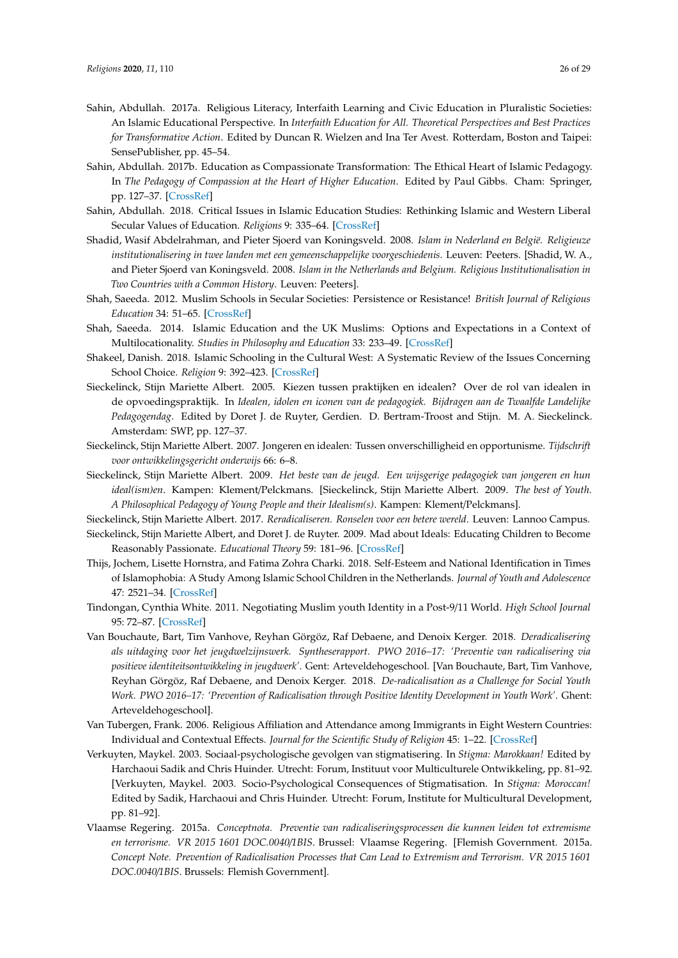- <span id="page-25-17"></span>Sahin, Abdullah. 2017a. Religious Literacy, Interfaith Learning and Civic Education in Pluralistic Societies: An Islamic Educational Perspective. In *Interfaith Education for All. Theoretical Perspectives and Best Practices for Transformative Action*. Edited by Duncan R. Wielzen and Ina Ter Avest. Rotterdam, Boston and Taipei: SensePublisher, pp. 45–54.
- <span id="page-25-6"></span>Sahin, Abdullah. 2017b. Education as Compassionate Transformation: The Ethical Heart of Islamic Pedagogy. In *The Pedagogy of Compassion at the Heart of Higher Education*. Edited by Paul Gibbs. Cham: Springer, pp. 127–37. [\[CrossRef\]](http://dx.doi.org/10.1007/978-3-319-57783-8_9)
- <span id="page-25-5"></span>Sahin, Abdullah. 2018. Critical Issues in Islamic Education Studies: Rethinking Islamic and Western Liberal Secular Values of Education. *Religions* 9: 335–64. [\[CrossRef\]](http://dx.doi.org/10.3390/rel9110335)
- <span id="page-25-2"></span>Shadid, Wasif Abdelrahman, and Pieter Sjoerd van Koningsveld. 2008. *Islam in Nederland en België. Religieuze institutionalisering in twee landen met een gemeenschappelijke voorgeschiedenis*. Leuven: Peeters. [Shadid, W. A., and Pieter Sjoerd van Koningsveld. 2008. *Islam in the Netherlands and Belgium. Religious Institutionalisation in Two Countries with a Common History*. Leuven: Peeters].
- <span id="page-25-15"></span>Shah, Saeeda. 2012. Muslim Schools in Secular Societies: Persistence or Resistance! *British Journal of Religious Education* 34: 51–65. [\[CrossRef\]](http://dx.doi.org/10.1080/01416200.2011.601897)
- <span id="page-25-4"></span>Shah, Saeeda. 2014. Islamic Education and the UK Muslims: Options and Expectations in a Context of Multilocationality. *Studies in Philosophy and Education* 33: 233–49. [\[CrossRef\]](http://dx.doi.org/10.1007/s11217-013-9391-2)
- <span id="page-25-8"></span>Shakeel, Danish. 2018. Islamic Schooling in the Cultural West: A Systematic Review of the Issues Concerning School Choice. *Religion* 9: 392–423. [\[CrossRef\]](http://dx.doi.org/10.3390/rel9120392)
- <span id="page-25-9"></span>Sieckelinck, Stijn Mariette Albert. 2005. Kiezen tussen praktijken en idealen? Over de rol van idealen in de opvoedingspraktijk. In *Idealen, idolen en iconen van de pedagogiek. Bijdragen aan de Twaalfde Landelijke Pedagogendag*. Edited by Doret J. de Ruyter, Gerdien. D. Bertram-Troost and Stijn. M. A. Sieckelinck. Amsterdam: SWP, pp. 127–37.
- <span id="page-25-12"></span>Sieckelinck, Stijn Mariette Albert. 2007. Jongeren en idealen: Tussen onverschilligheid en opportunisme. *Tijdschrift voor ontwikkelingsgericht onderwijs* 66: 6–8.
- <span id="page-25-10"></span>Sieckelinck, Stijn Mariette Albert. 2009. *Het beste van de jeugd. Een wijsgerige pedagogiek van jongeren en hun ideal(ism)en*. Kampen: Klement/Pelckmans. [Sieckelinck, Stijn Mariette Albert. 2009. *The best of Youth. A Philosophical Pedagogy of Young People and their Idealism(s)*. Kampen: Klement/Pelckmans].
- <span id="page-25-11"></span><span id="page-25-7"></span>Sieckelinck, Stijn Mariette Albert. 2017. *Reradicaliseren. Ronselen voor een betere wereld*. Leuven: Lannoo Campus.
- Sieckelinck, Stijn Mariette Albert, and Doret J. de Ruyter. 2009. Mad about Ideals: Educating Children to Become Reasonably Passionate. *Educational Theory* 59: 181–96. [\[CrossRef\]](http://dx.doi.org/10.1111/j.1741-5446.2009.00313.x)
- <span id="page-25-16"></span>Thijs, Jochem, Lisette Hornstra, and Fatima Zohra Charki. 2018. Self-Esteem and National Identification in Times of Islamophobia: A Study Among Islamic School Children in the Netherlands. *Journal of Youth and Adolescence* 47: 2521–34. [\[CrossRef\]](http://dx.doi.org/10.1007/s10964-018-0906-6)
- <span id="page-25-3"></span>Tindongan, Cynthia White. 2011. Negotiating Muslim youth Identity in a Post-9/11 World. *High School Journal* 95: 72–87. [\[CrossRef\]](http://dx.doi.org/10.1353/hsj.2011.0012)
- <span id="page-25-1"></span>Van Bouchaute, Bart, Tim Vanhove, Reyhan Görgöz, Raf Debaene, and Denoix Kerger. 2018. *Deradicalisering als uitdaging voor het jeugdwelzijnswerk. Syntheserapport. PWO 2016–17: 'Preventie van radicalisering via positieve identiteitsontwikkeling in jeugdwerk'*. Gent: Arteveldehogeschool. [Van Bouchaute, Bart, Tim Vanhove, Reyhan Görgöz, Raf Debaene, and Denoix Kerger. 2018. *De-radicalisation as a Challenge for Social Youth Work. PWO 2016–17: 'Prevention of Radicalisation through Positive Identity Development in Youth Work'*. Ghent: Arteveldehogeschool].
- <span id="page-25-14"></span>Van Tubergen, Frank. 2006. Religious Affiliation and Attendance among Immigrants in Eight Western Countries: Individual and Contextual Effects. *Journal for the Scientific Study of Religion* 45: 1–22. [\[CrossRef\]](http://dx.doi.org/10.1111/j.1468-5906.2006.00002.x)
- <span id="page-25-13"></span>Verkuyten, Maykel. 2003. Sociaal-psychologische gevolgen van stigmatisering. In *Stigma: Marokkaan!* Edited by Harchaoui Sadik and Chris Huinder. Utrecht: Forum, Instituut voor Multiculturele Ontwikkeling, pp. 81–92. [Verkuyten, Maykel. 2003. Socio-Psychological Consequences of Stigmatisation. In *Stigma: Moroccan!* Edited by Sadik, Harchaoui and Chris Huinder. Utrecht: Forum, Institute for Multicultural Development, pp. 81–92].
- <span id="page-25-0"></span>Vlaamse Regering. 2015a. *Conceptnota. Preventie van radicaliseringsprocessen die kunnen leiden tot extremisme en terrorisme. VR 2015 1601 DOC.0040*/*1BIS*. Brussel: Vlaamse Regering. [Flemish Government. 2015a. *Concept Note. Prevention of Radicalisation Processes that Can Lead to Extremism and Terrorism. VR 2015 1601 DOC.0040*/*1BIS*. Brussels: Flemish Government].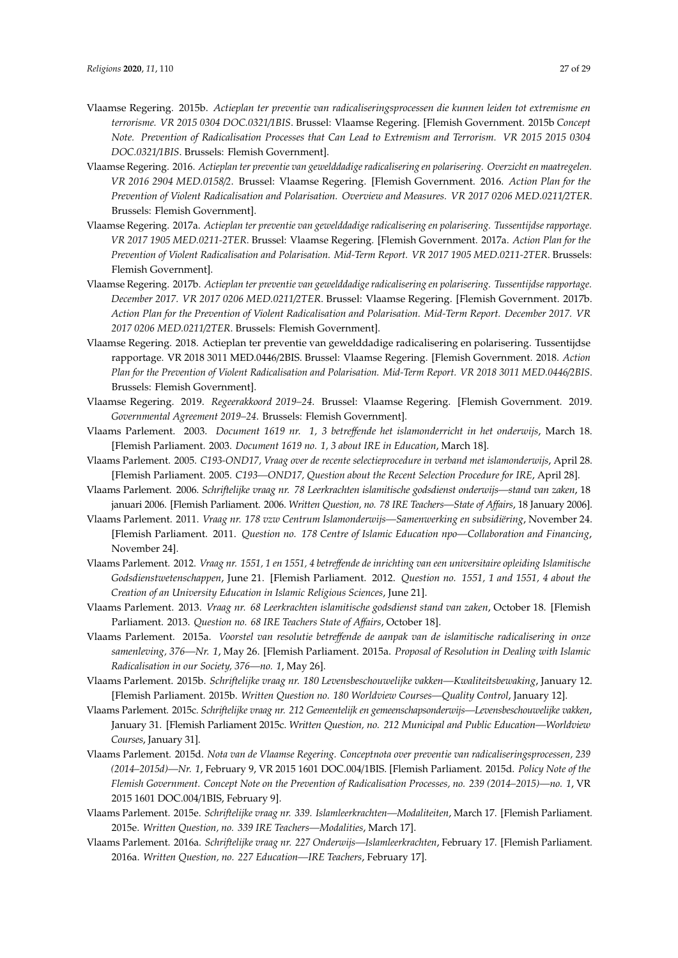- <span id="page-26-0"></span>Vlaamse Regering. 2015b. *Actieplan ter preventie van radicaliseringsprocessen die kunnen leiden tot extremisme en terrorisme. VR 2015 0304 DOC.0321*/*1BIS*. Brussel: Vlaamse Regering. [Flemish Government. 2015b *Concept Note. Prevention of Radicalisation Processes that Can Lead to Extremism and Terrorism. VR 2015 2015 0304 DOC.0321*/*1BIS*. Brussels: Flemish Government].
- <span id="page-26-1"></span>Vlaamse Regering. 2016. *Actieplan ter preventie van gewelddadige radicalisering en polarisering. Overzicht en maatregelen. VR 2016 2904 MED.0158*/*2*. Brussel: Vlaamse Regering. [Flemish Government. 2016. *Action Plan for the Prevention of Violent Radicalisation and Polarisation. Overview and Measures. VR 2017 0206 MED.0211*/*2TER*. Brussels: Flemish Government].
- <span id="page-26-3"></span>Vlaamse Regering. 2017a. *Actieplan ter preventie van gewelddadige radicalisering en polarisering. Tussentijdse rapportage. VR 2017 1905 MED.0211-2TER*. Brussel: Vlaamse Regering. [Flemish Government. 2017a. *Action Plan for the Prevention of Violent Radicalisation and Polarisation. Mid-Term Report. VR 2017 1905 MED.0211-2TER*. Brussels: Flemish Government].
- <span id="page-26-4"></span>Vlaamse Regering. 2017b. *Actieplan ter preventie van gewelddadige radicalisering en polarisering. Tussentijdse rapportage. December 2017. VR 2017 0206 MED.0211*/*2TER*. Brussel: Vlaamse Regering. [Flemish Government. 2017b. *Action Plan for the Prevention of Violent Radicalisation and Polarisation. Mid-Term Report. December 2017. VR 2017 0206 MED.0211*/*2TER*. Brussels: Flemish Government].
- <span id="page-26-2"></span>Vlaamse Regering. 2018. Actieplan ter preventie van gewelddadige radicalisering en polarisering. Tussentijdse rapportage. VR 2018 3011 MED.0446/2BIS. Brussel: Vlaamse Regering. [Flemish Government. 2018. *Action Plan for the Prevention of Violent Radicalisation and Polarisation. Mid-Term Report. VR 2018 3011 MED.0446*/*2BIS*. Brussels: Flemish Government].
- <span id="page-26-11"></span>Vlaamse Regering. 2019. *Regeerakkoord 2019–24*. Brussel: Vlaamse Regering. [Flemish Government. 2019. *Governmental Agreement 2019–24*. Brussels: Flemish Government].
- <span id="page-26-12"></span>Vlaams Parlement. 2003. *Document 1619 nr. 1, 3 betre*ff*ende het islamonderricht in het onderwijs*, March 18. [Flemish Parliament. 2003. *Document 1619 no. 1, 3 about IRE in Education*, March 18].
- <span id="page-26-17"></span>Vlaams Parlement. 2005. *C193-OND17, Vraag over de recente selectieprocedure in verband met islamonderwijs*, April 28. [Flemish Parliament. 2005. *C193—OND17, Question about the Recent Selection Procedure for IRE*, April 28].
- <span id="page-26-7"></span>Vlaams Parlement. 2006. *Schriftelijke vraag nr. 78 Leerkrachten islamitische godsdienst onderwijs—stand van zaken*, 18 januari 2006. [Flemish Parliament. 2006. *Written Question, no. 78 IRE Teachers—State of Affairs*, 18 January 2006].
- <span id="page-26-15"></span>Vlaams Parlement. 2011. *Vraag nr. 178 vzw Centrum Islamonderwijs—Samenwerking en subsidiëring*, November 24. [Flemish Parliament. 2011. *Question no. 178 Centre of Islamic Education npo—Collaboration and Financing*, November 24].
- <span id="page-26-9"></span>Vlaams Parlement. 2012. *Vraag nr. 1551, 1 en 1551, 4 betre*ff*ende de inrichting van een universitaire opleiding Islamitische Godsdienstwetenschappen*, June 21. [Flemish Parliament. 2012. *Question no. 1551, 1 and 1551, 4 about the Creation of an University Education in Islamic Religious Sciences*, June 21].
- <span id="page-26-16"></span>Vlaams Parlement. 2013. *Vraag nr. 68 Leerkrachten islamitische godsdienst stand van zaken*, October 18. [Flemish Parliament. 2013. *Question no. 68 IRE Teachers State of A*ff*airs*, October 18].
- <span id="page-26-5"></span>Vlaams Parlement. 2015a. *Voorstel van resolutie betre*ff*ende de aanpak van de islamitische radicalisering in onze samenleving, 376—Nr. 1*, May 26. [Flemish Parliament. 2015a. *Proposal of Resolution in Dealing with Islamic Radicalisation in our Society, 376—no. 1*, May 26].
- <span id="page-26-13"></span>Vlaams Parlement. 2015b. *Schriftelijke vraag nr. 180 Levensbeschouwelijke vakken—Kwaliteitsbewaking*, January 12. [Flemish Parliament. 2015b. *Written Question no. 180 Worldview Courses—Quality Control*, January 12].
- <span id="page-26-8"></span>Vlaams Parlement. 2015c. *Schriftelijke vraag nr. 212 Gemeentelijk en gemeenschapsonderwijs—Levensbeschouwelijke vakken*, January 31. [Flemish Parliament 2015c. *Written Question, no. 212 Municipal and Public Education—Worldview Courses*, January 31].
- <span id="page-26-6"></span>Vlaams Parlement. 2015d. *Nota van de Vlaamse Regering. Conceptnota over preventie van radicaliseringsprocessen, 239 (2014–2015d)—Nr. 1*, February 9, VR 2015 1601 DOC.004/1BIS. [Flemish Parliament. 2015d. *Policy Note of the Flemish Government. Concept Note on the Prevention of Radicalisation Processes, no. 239 (2014–2015)—no. 1*, VR 2015 1601 DOC.004/1BIS, February 9].
- <span id="page-26-10"></span>Vlaams Parlement. 2015e. *Schriftelijke vraag nr. 339. Islamleerkrachten—Modaliteiten*, March 17. [Flemish Parliament. 2015e. *Written Question, no. 339 IRE Teachers—Modalities*, March 17].
- <span id="page-26-14"></span>Vlaams Parlement. 2016a. *Schriftelijke vraag nr. 227 Onderwijs—Islamleerkrachten*, February 17. [Flemish Parliament. 2016a. *Written Question, no. 227 Education—IRE Teachers*, February 17].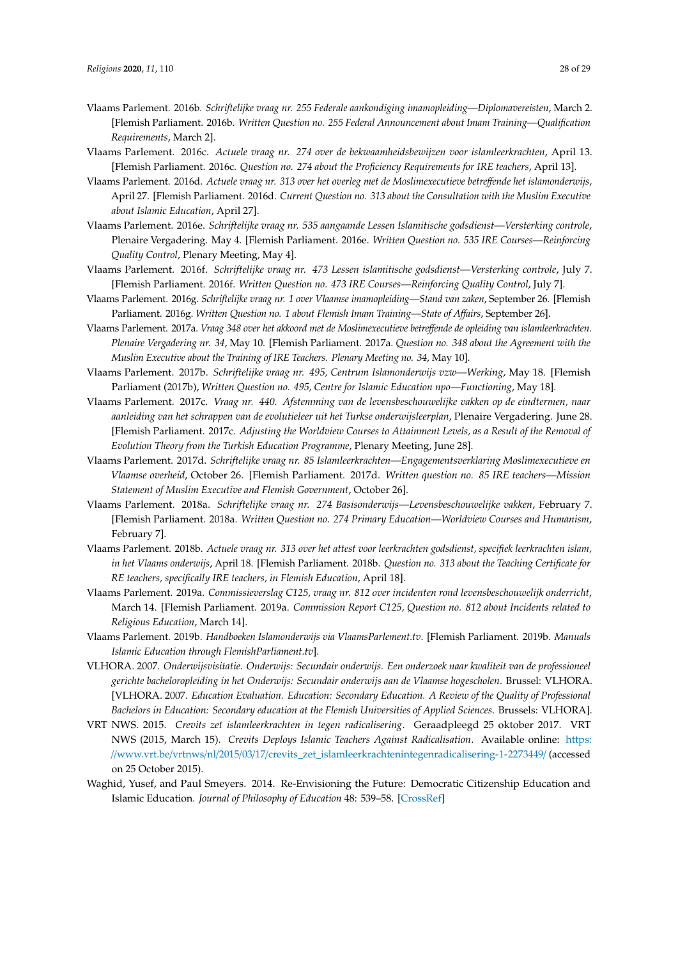- <span id="page-27-1"></span>Vlaams Parlement. 2016b. *Schriftelijke vraag nr. 255 Federale aankondiging imamopleiding—Diplomavereisten*, March 2. [Flemish Parliament. 2016b. *Written Question no. 255 Federal Announcement about Imam Training—Qualification Requirements*, March 2].
- <span id="page-27-2"></span>Vlaams Parlement. 2016c. *Actuele vraag nr. 274 over de bekwaamheidsbewijzen voor islamleerkrachten*, April 13. [Flemish Parliament. 2016c. *Question no. 274 about the Proficiency Requirements for IRE teachers*, April 13].
- <span id="page-27-13"></span>Vlaams Parlement. 2016d. *Actuele vraag nr. 313 over het overleg met de Moslimexecutieve betre*ff*ende het islamonderwijs*, April 27. [Flemish Parliament. 2016d. *Current Question no. 313 about the Consultation with the Muslim Executive about Islamic Education*, April 27].
- <span id="page-27-6"></span>Vlaams Parlement. 2016e. *Schriftelijke vraag nr. 535 aangaande Lessen Islamitische godsdienst—Versterking controle*, Plenaire Vergadering. May 4. [Flemish Parliament. 2016e. *Written Question no. 535 IRE Courses—Reinforcing Quality Control*, Plenary Meeting, May 4].
- <span id="page-27-15"></span>Vlaams Parlement. 2016f. *Schriftelijke vraag nr. 473 Lessen islamitische godsdienst—Versterking controle*, July 7. [Flemish Parliament. 2016f. *Written Question no. 473 IRE Courses—Reinforcing Quality Control*, July 7].
- <span id="page-27-7"></span>Vlaams Parlement. 2016g. *Schriftelijke vraag nr. 1 over Vlaamse imamopleiding—Stand van zaken*, September 26. [Flemish Parliament. 2016g. *Written Question no. 1 about Flemish Imam Training—State of Affairs*, September 26].
- <span id="page-27-3"></span>Vlaams Parlement. 2017a. *Vraag 348 over het akkoord met de Moslimexecutieve betreffende de opleiding van islamleerkrachten. Plenaire Vergadering nr. 34*, May 10. [Flemish Parliament. 2017a. *Question no. 348 about the Agreement with the Muslim Executive about the Training of IRE Teachers. Plenary Meeting no. 34*, May 10].
- <span id="page-27-16"></span>Vlaams Parlement. 2017b. *Schriftelijke vraag nr. 495, Centrum Islamonderwijs vzw—Werking*, May 18. [Flemish Parliament (2017b), *Written Question no. 495, Centre for Islamic Education npo—Functioning*, May 18].
- <span id="page-27-14"></span>Vlaams Parlement. 2017c. *Vraag nr. 440. Afstemming van de levensbeschouwelijke vakken op de eindtermen, naar aanleiding van het schrappen van de evolutieleer uit het Turkse onderwijsleerplan*, Plenaire Vergadering. June 28. [Flemish Parliament. 2017c. *Adjusting the Worldview Courses to Attainment Levels, as a Result of the Removal of Evolution Theory from the Turkish Education Programme*, Plenary Meeting, June 28].
- <span id="page-27-4"></span>Vlaams Parlement. 2017d. *Schriftelijke vraag nr. 85 Islamleerkrachten—Engagementsverklaring Moslimexecutieve en Vlaamse overheid*, October 26. [Flemish Parliament. 2017d. *Written question no. 85 IRE teachers—Mission Statement of Muslim Executive and Flemish Government*, October 26].
- <span id="page-27-11"></span>Vlaams Parlement. 2018a. *Schriftelijke vraag nr. 274 Basisonderwijs—Levensbeschouwelijke vakken*, February 7. [Flemish Parliament. 2018a. *Written Question no. 274 Primary Education—Worldview Courses and Humanism*, February 7].
- <span id="page-27-5"></span>Vlaams Parlement. 2018b. *Actuele vraag nr. 313 over het attest voor leerkrachten godsdienst, specifiek leerkrachten islam, in het Vlaams onderwijs*, April 18. [Flemish Parliament. 2018b. *Question no. 313 about the Teaching Certificate for RE teachers, specifically IRE teachers, in Flemish Education*, April 18].
- <span id="page-27-8"></span>Vlaams Parlement. 2019a. *Commissieverslag C125, vraag nr. 812 over incidenten rond levensbeschouwelijk onderricht*, March 14. [Flemish Parliament. 2019a. *Commission Report C125, Question no. 812 about Incidents related to Religious Education*, March 14].
- <span id="page-27-9"></span>Vlaams Parlement. 2019b. *Handboeken Islamonderwijs via VlaamsParlement.tv*. [Flemish Parliament. 2019b. *Manuals Islamic Education through FlemishParliament.tv*].
- <span id="page-27-10"></span>VLHORA. 2007. *Onderwijsvisitatie. Onderwijs: Secundair onderwijs. Een onderzoek naar kwaliteit van de professioneel gerichte bacheloropleiding in het Onderwijs: Secundair onderwijs aan de Vlaamse hogescholen*. Brussel: VLHORA. [VLHORA. 2007. *Education Evaluation. Education: Secondary Education. A Review of the Quality of Professional Bachelors in Education: Secondary education at the Flemish Universities of Applied Sciences*. Brussels: VLHORA].
- <span id="page-27-0"></span>VRT NWS. 2015. *Crevits zet islamleerkrachten in tegen radicalisering*. Geraadpleegd 25 oktober 2017. VRT NWS (2015, March 15). *Crevits Deploys Islamic Teachers Against Radicalisation*. Available online: [https:](https://www.vrt.be/vrtnws/nl/2015/03/17/crevits_zet_islamleerkrachtenintegenradicalisering-1-2273449/) //www.vrt.be/vrtnws/nl/2015/03/17/[crevits\\_zet\\_islamleerkrachtenintegenradicalisering-1-2273449](https://www.vrt.be/vrtnws/nl/2015/03/17/crevits_zet_islamleerkrachtenintegenradicalisering-1-2273449/)/ (accessed on 25 October 2015).
- <span id="page-27-12"></span>Waghid, Yusef, and Paul Smeyers. 2014. Re-Envisioning the Future: Democratic Citizenship Education and Islamic Education. *Journal of Philosophy of Education* 48: 539–58. [\[CrossRef\]](http://dx.doi.org/10.1111/1467-9752.12118)